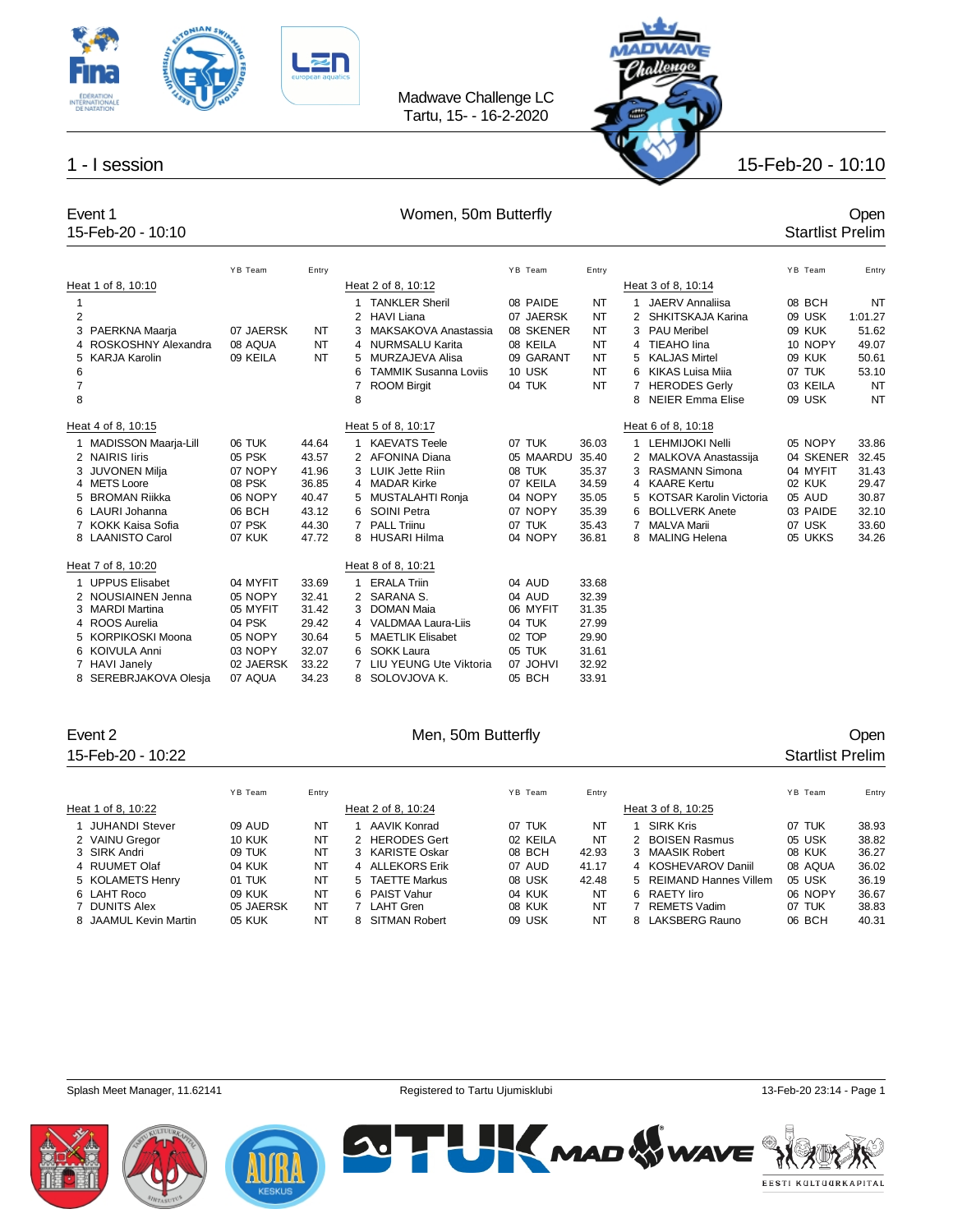



### 15-Feb-20 - 10:10

## Event 1 Comen, 50m Butterfly Coment 1 Comen 150m Butterfly Comen, 50m Butterfly coment 1 Coment 15-Feb-20 - 10:10

|                          |                                                                                                                                                                         | YB Team                                                                                 | Entry                                                                |                                                                                                                                                                                                              | YB Team                                                                              | Entry                                                                |                                                                                                                                                                                                                 | YB Team                                                                               | Entry                                                                |
|--------------------------|-------------------------------------------------------------------------------------------------------------------------------------------------------------------------|-----------------------------------------------------------------------------------------|----------------------------------------------------------------------|--------------------------------------------------------------------------------------------------------------------------------------------------------------------------------------------------------------|--------------------------------------------------------------------------------------|----------------------------------------------------------------------|-----------------------------------------------------------------------------------------------------------------------------------------------------------------------------------------------------------------|---------------------------------------------------------------------------------------|----------------------------------------------------------------------|
|                          | Heat 1 of 8, 10:10                                                                                                                                                      |                                                                                         |                                                                      | Heat 2 of 8, 10:12                                                                                                                                                                                           |                                                                                      |                                                                      | Heat 3 of 8, 10:14                                                                                                                                                                                              |                                                                                       |                                                                      |
| 1<br>2<br>3              | PAERKNA Maarja                                                                                                                                                          | 07 JAERSK                                                                               | NT                                                                   | <b>TANKLER Sheril</b><br><b>HAVI Liana</b><br>2<br>MAKSAKOVA Anastassia<br>3                                                                                                                                 | 08 PAIDE<br>07 JAERSK<br>08 SKENER                                                   | <b>NT</b><br><b>NT</b><br><b>NT</b>                                  | JAERV Annaliisa<br>SHKITSKAJA Karina<br><b>PAU Meribel</b><br>3                                                                                                                                                 | 08 BCH<br>09 USK<br>09 KUK                                                            | <b>NT</b><br>1:01.27<br>51.62                                        |
| 5                        | ROSKOSHNY Alexandra<br><b>KARJA Karolin</b>                                                                                                                             | 08 AQUA<br>09 KEILA                                                                     | NT<br>NT                                                             | <b>NURMSALU Karita</b><br>4<br>MURZAJEVA Alisa<br>5                                                                                                                                                          | 08 KEILA<br>09 GARANT                                                                | <b>NT</b><br>NT                                                      | TIEAHO lina<br>4<br><b>KALJAS Mirtel</b>                                                                                                                                                                        | 10 NOPY<br>09 KUK                                                                     | 49.07<br>50.61                                                       |
| 6<br>$\overline{7}$<br>8 |                                                                                                                                                                         |                                                                                         |                                                                      | <b>TAMMIK Susanna Loviis</b><br>6<br><b>ROOM Birgit</b><br>7<br>8                                                                                                                                            | 10 USK<br>04 TUK                                                                     | <b>NT</b><br>NT                                                      | KIKAS Luisa Miia<br>6<br><b>HERODES Gerly</b><br><b>NEIER Emma Elise</b><br>8                                                                                                                                   | 07 TUK<br>03 KEILA<br>09 USK                                                          | 53.10<br><b>NT</b><br><b>NT</b>                                      |
|                          | Heat 4 of 8, 10:15                                                                                                                                                      |                                                                                         |                                                                      | Heat 5 of 8, 10:17                                                                                                                                                                                           |                                                                                      |                                                                      | Heat 6 of 8, 10:18                                                                                                                                                                                              |                                                                                       |                                                                      |
| 5                        | <b>MADISSON Maarja-Lill</b><br>2 NAIRIS liris<br>3 JUVONEN Milja<br>4 METS Loore<br><b>BROMAN Riikka</b><br>6 LAURI Johanna<br>7 KOKK Kaisa Sofia<br>8 LAANISTO Carol   | 06 TUK<br>05 PSK<br>07 NOPY<br>08 PSK<br>06 NOPY<br>06 BCH<br>07 PSK<br>07 KUK          | 44.64<br>43.57<br>41.96<br>36.85<br>40.47<br>43.12<br>44.30<br>47.72 | <b>KAEVATS Teele</b><br>1<br>AFONINA Diana<br>2<br><b>LUIK Jette Riin</b><br>3<br><b>MADAR Kirke</b><br>4<br>MUSTALAHTI Ronja<br>5<br>SOINI Petra<br>6<br>PAI I Triinu<br>7<br>HUSARI Hilma<br>8             | 07 TUK<br>05 MAARDU<br>08 TUK<br>07 KEILA<br>04 NOPY<br>07 NOPY<br>07 TUK<br>04 NOPY | 36.03<br>35.40<br>35.37<br>34.59<br>35.05<br>35.39<br>35.43<br>36.81 | LEHMIJOKI Nelli<br>2 MALKOVA Anastassija<br><b>RASMANN Simona</b><br>3<br><b>KAARE Kertu</b><br>4<br><b>KOTSAR Karolin Victoria</b><br>5<br><b>BOLLVERK Anete</b><br>6<br><b>MALVA Marii</b><br>8 MALING Helena | 05 NOPY<br>04 SKENER<br>04 MYFIT<br>02 KUK<br>05 AUD<br>03 PAIDE<br>07 USK<br>05 UKKS | 33.86<br>32.45<br>31.43<br>29.47<br>30.87<br>32.10<br>33.60<br>34.26 |
|                          | Heat 7 of 8, 10:20                                                                                                                                                      |                                                                                         |                                                                      | Heat 8 of 8, 10:21                                                                                                                                                                                           |                                                                                      |                                                                      |                                                                                                                                                                                                                 |                                                                                       |                                                                      |
| 5.                       | <b>UPPUS Elisabet</b><br>2 NOUSIAINEN Jenna<br>3 MARDI Martina<br>4 ROOS Aurelia<br><b>KORPIKOSKI Moona</b><br>6 KOIVULA Anni<br>7 HAVI Janely<br>8 SEREBRJAKOVA Olesja | 04 MYFIT<br>05 NOPY<br>05 MYFIT<br>04 PSK<br>05 NOPY<br>03 NOPY<br>02 JAERSK<br>07 AQUA | 33.69<br>32.41<br>31.42<br>29.42<br>30.64<br>32.07<br>33.22<br>34.23 | <b>ERALA Triin</b><br>1<br>SARANA S.<br>2<br><b>DOMAN Maia</b><br>3<br>VALDMAA Laura-Liis<br>4<br><b>MAETLIK Elisabet</b><br>5<br><b>SOKK Laura</b><br>6<br>LIU YEUNG Ute Viktoria<br>7<br>SOLOVJOVA K.<br>8 | 04 AUD<br>04 AUD<br>06 MYFIT<br>04 TUK<br>02 TOP<br>05 TUK<br>07 JOHVI<br>05 BCH     | 33.68<br>32.39<br>31.35<br>27.99<br>29.90<br>31.61<br>32.92<br>33.91 |                                                                                                                                                                                                                 |                                                                                       |                                                                      |

### 15-Feb-20 - 10:22 Startlist Prelim

### Event 2 Communication of the Men, 50m Butterfly Communication of the Open

|                       | YB Team       | Entry |   |                    | YB Team  | Entry |     |                         | YB Team | Entry |
|-----------------------|---------------|-------|---|--------------------|----------|-------|-----|-------------------------|---------|-------|
| Heat 1 of 8, 10:22    |               |       |   | Heat 2 of 8, 10:24 |          |       |     | Heat 3 of 8, 10:25      |         |       |
| <b>JUHANDI Stever</b> | 09 AUD        | NT    |   | AAVIK Konrad       | 07 TUK   | NT    |     | <b>SIRK Kris</b>        | 07 TUK  | 38.93 |
| 2 VAINU Gregor        | <b>10 KUK</b> | NT    |   | 2 HERODES Gert     | 02 KEILA | NT    |     | 2 BOISEN Rasmus         | 05 USK  | 38.82 |
| 3 SIRK Andri          | 09 TUK        | NT    |   | 3 KARISTE Oskar    | 08 BCH   | 42.93 |     | 3 MAASIK Robert         | 08 KUK  | 36.27 |
| 4 RUUMET Olaf         | <b>04 KUK</b> | NT    |   | 4 ALLEKORS Erik    | 07 AUD   | 41.17 |     | 4 KOSHEVAROV Daniil     | 08 AQUA | 36.02 |
| 5 KOLAMETS Henry      | 01 TUK        | NT    |   | 5 TAETTE Markus    | 08 USK   | 42.48 |     | 5 REIMAND Hannes Villem | 05 USK  | 36.19 |
| 6 LAHT Roco           | <b>09 KUK</b> | NT    |   | 6 PAIST Vahur      | 04 KUK   | NT    |     | 6 RAETY liro            | 06 NOPY | 36.67 |
| 7 DUNITS Alex         | 05 JAERSK     | NT    |   | 7 LAHT Gren        | 08 KUK   | NT    |     | REMETS Vadim            | 07 TUK  | 38.83 |
| 8 JAAMUL Kevin Martin | 05 KUK        | NT    | 8 | SITMAN Robert      | 09 USK   | NT    | 8 I | LAKSBERG Rauno          | 06 BCH  | 40.31 |







**SUTH KMAD WWAVE** EESTI KULTUURKAPITAL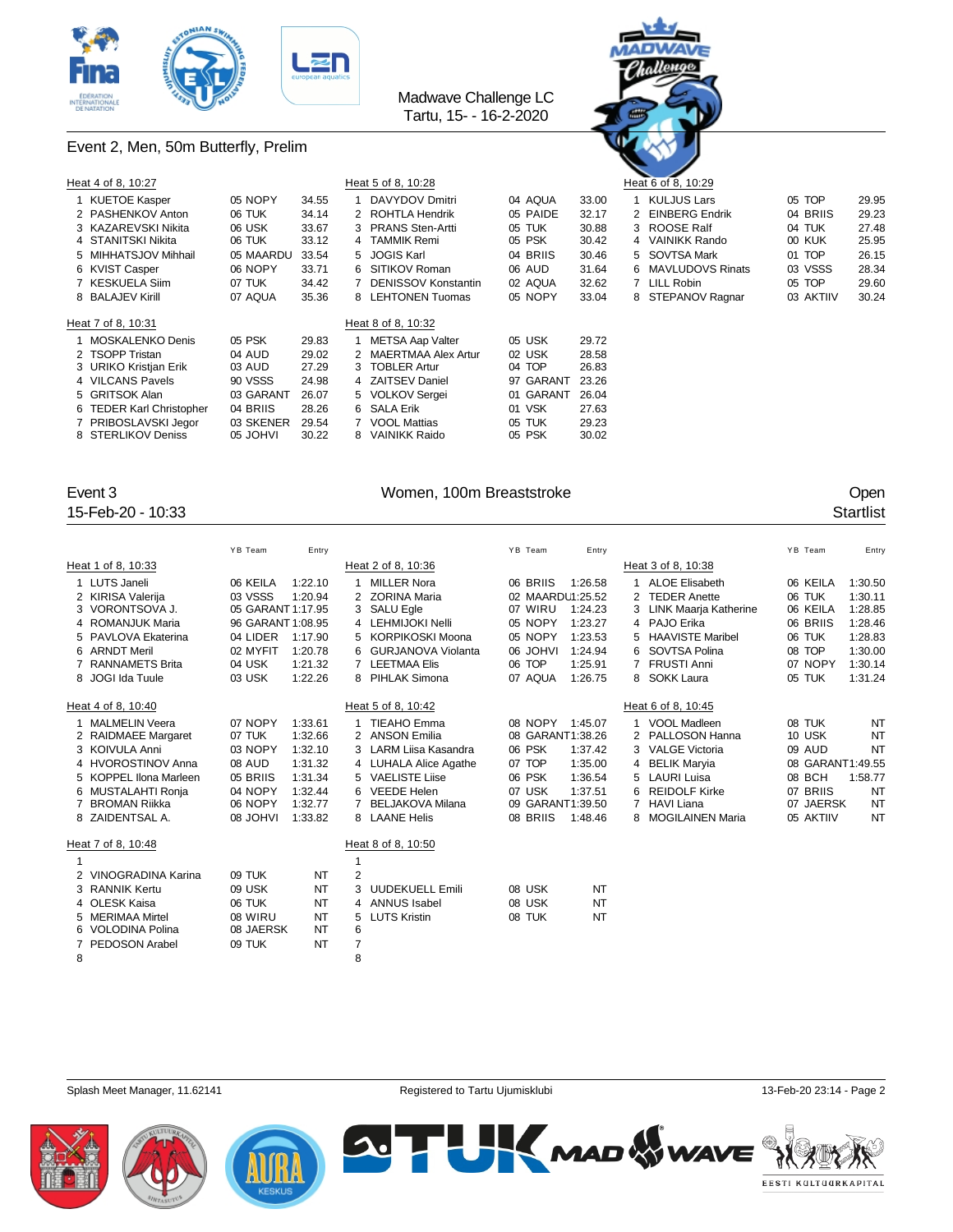

Event 2, Men, 50m Butterfly, Prelim

### Madwave Challenge LC Tartu, 15- - 16-2-2020



| Heat 4 of 8, 10:27       |           |       |   | Heat 5 of 8, 10:28    |           |       | $\sim$ $\sim$<br>Heat 6 of 8, 10:29 |           |       |
|--------------------------|-----------|-------|---|-----------------------|-----------|-------|-------------------------------------|-----------|-------|
| 1 KUETOE Kasper          | 05 NOPY   | 34.55 |   | DAVYDOV Dmitri        | 04 AQUA   | 33.00 | <b>KULJUS Lars</b>                  | 05 TOP    | 29.95 |
| 2 PASHENKOV Anton        | 06 TUK    | 34.14 |   | 2 ROHTLA Hendrik      | 05 PAIDE  | 32.17 | 2 EINBERG Endrik                    | 04 BRIIS  | 29.23 |
| 3 KAZAREVSKI Nikita      | 06 USK    | 33.67 |   | 3 PRANS Sten-Artti    | 05 TUK    | 30.88 | 3 ROOSE Ralf                        | 04 TUK    | 27.48 |
| 4 STANITSKI Nikita       | 06 TUK    | 33.12 |   | 4 TAMMIK Remi         | 05 PSK    | 30.42 | 4 VAINIKK Rando                     | 00 KUK    | 25.95 |
| 5 MIHHATSJOV Mihhail     | 05 MAARDU | 33.54 |   | 5 JOGIS Karl          | 04 BRIIS  | 30.46 | 5 SOVTSA Mark                       | 01 TOP    | 26.15 |
| 6 KVIST Casper           | 06 NOPY   | 33.71 |   | 6 SITIKOV Roman       | 06 AUD    | 31.64 | 6 MAVLUDOVS Rinats                  | 03 VSSS   | 28.34 |
| 7 KESKUELA Siim          | 07 TUK    | 34.42 |   | DENISSOV Konstantin   | 02 AQUA   | 32.62 | 7 LILL Robin                        | 05 TOP    | 29.60 |
| 8 BALAJEV Kirill         | 07 AQUA   | 35.36 |   | 8 LEHTONEN Tuomas     | 05 NOPY   | 33.04 | 8 STEPANOV Ragnar                   | 03 AKTIIV | 30.24 |
| Heat 7 of 8, 10:31       |           |       |   | Heat 8 of 8, 10:32    |           |       |                                     |           |       |
| 1 MOSKALENKO Denis       | 05 PSK    | 29.83 |   | METSA Aap Valter      | 05 USK    | 29.72 |                                     |           |       |
| 2 TSOPP Tristan          | 04 AUD    | 29.02 |   | 2 MAERTMAA Alex Artur | 02 USK    | 28.58 |                                     |           |       |
| 3 URIKO Kristjan Erik    | 03 AUD    | 27.29 |   | 3 TOBLER Artur        | 04 TOP    | 26.83 |                                     |           |       |
| 4 VILCANS Pavels         | 90 VSSS   | 24.98 |   | 4 ZAITSEV Daniel      | 97 GARANT | 23.26 |                                     |           |       |
| 5 GRITSOK Alan           | 03 GARANT | 26.07 |   | 5 VOLKOV Sergei       | 01 GARANT | 26.04 |                                     |           |       |
| 6 TEDER Karl Christopher | 04 BRIIS  | 28.26 |   | 6 SALA Erik           | 01 VSK    | 27.63 |                                     |           |       |
| 7 PRIBOSLAVSKI Jegor     | 03 SKENER | 29.54 |   | 7 VOOL Mattias        | 05 TUK    | 29.23 |                                     |           |       |
| 8 STERLIKOV Deniss       | 05 JOHVI  | 30.22 | 8 | VAINIKK Raido         | 05 PSK    | 30.02 |                                     |           |       |

15-Feb-20 - 10:33 Startlist

### Event 3 Communication of the UV Women, 100m Breaststroke Communication of the UV Open

|    |                        | YB Team           | Entry   |   |                           | YB Team |          | Entry            |                |                         | YB Team          | Entry     |
|----|------------------------|-------------------|---------|---|---------------------------|---------|----------|------------------|----------------|-------------------------|------------------|-----------|
|    | Heat 1 of 8, 10:33     |                   |         |   | Heat 2 of 8, 10:36        |         |          |                  |                | Heat 3 of 8, 10:38      |                  |           |
| 1  | LUTS Janeli            | 06 KEILA          | 1:22.10 | 1 | <b>MILLER Nora</b>        |         | 06 BRIIS | 1:26.58          |                | <b>ALOE Elisabeth</b>   | 06 KEILA         | 1:30.50   |
|    | 2 KIRISA Valerija      | 03 VSSS           | 1:20.94 |   | <b>ZORINA Maria</b>       |         |          | 02 MAARDU1:25.52 | $\overline{2}$ | <b>TEDER Anette</b>     | 06 TUK           | 1:30.11   |
|    | 3 VORONTSOVA J.        | 05 GARANT 1:17.95 |         |   | 3 SALU Egle               |         | 07 WIRU  | 1:24.23          |                | LINK Maarja Katherine   | 06 KEILA         | 1:28.85   |
|    | 4 ROMANJUK Maria       | 96 GARANT 1:08.95 |         | 4 | LEHMIJOKI Nelli           |         | 05 NOPY  | 1:23.27          |                | 4 PAJO Erika            | 06 BRIIS         | 1:28.46   |
| 5. | PAVLOVA Ekaterina      | 04 LIDER          | 1:17.90 | 5 | <b>KORPIKOSKI Moona</b>   |         | 05 NOPY  | 1:23.53          | 5              | <b>HAAVISTE Maribel</b> | 06 TUK           | 1:28.83   |
|    | 6 ARNDT Meril          | 02 MYFIT          | 1:20.78 | 6 | <b>GURJANOVA Violanta</b> |         | 06 JOHVI | 1:24.94          |                | 6 SOVTSA Polina         | 08 TOP           | 1:30.00   |
|    | <b>RANNAMETS Brita</b> | 04 USK            | 1:21.32 | 7 | <b>LEETMAA Elis</b>       | 06 TOP  |          | 1:25.91          | $\overline{7}$ | <b>FRUSTI Anni</b>      | 07 NOPY          | 1:30.14   |
|    | 8 JOGI Ida Tuule       | 03 USK            | 1:22.26 |   | 8 PIHLAK Simona           |         | 07 AQUA  | 1:26.75          |                | 8 SOKK Laura            | 05 TUK           | 1:31.24   |
|    | Heat 4 of 8, 10:40     |                   |         |   | Heat 5 of 8, 10:42        |         |          |                  |                | Heat 6 of 8, 10:45      |                  |           |
|    | <b>MALMELIN Veera</b>  | 07 NOPY           | 1:33.61 |   | TIEAHO Emma               |         | 08 NOPY  | 1:45.07          |                | <b>VOOL Madleen</b>     | 08 TUK           | NT        |
|    | 2 RAIDMAEE Margaret    | 07 TUK            | 1:32.66 |   | 2 ANSON Emilia            |         |          | 08 GARANT1:38.26 |                | 2 PALLOSON Hanna        | 10 USK           | <b>NT</b> |
|    | 3 KOIVULA Anni         | 03 NOPY           | 1:32.10 | 3 | LARM Liisa Kasandra       | 06 PSK  |          | 1:37.42          |                | 3 VALGE Victoria        | 09 AUD           | NT        |
|    | 4 HVOROSTINOV Anna     | 08 AUD            | 1:31.32 |   | 4 LUHALA Alice Agathe     | 07 TOP  |          | 1:35.00          |                | 4 BELIK Marvia          | 08 GARANT1:49.55 |           |
|    | 5 KOPPEL Ilona Marleen | 05 BRIIS          | 1:31.34 |   | 5 VAELISTE Liise          | 06 PSK  |          | 1:36.54          |                | 5 LAURI Luisa           | 08 BCH           | 1:58.77   |
|    | 6 MUSTALAHTI Ronja     | 04 NOPY           | 1:32.44 |   | <b>VEEDE Helen</b>        | 07 USK  |          | 1:37.51          | 6              | <b>REIDOLF Kirke</b>    | 07 BRIIS         | NT        |
|    | BROMAN Riikka          | 06 NOPY           | 1:32.77 |   | <b>BELJAKOVA Milana</b>   |         |          | 09 GARANT1:39.50 |                | <b>HAVI Liana</b>       | 07 JAERSK        | <b>NT</b> |
|    | 8 ZAIDENTSAL A.        | 08 JOHVI          | 1:33.82 |   | 8 LAANE Helis             |         | 08 BRIIS | 1:48.46          |                | 8 MOGILAINEN Maria      | 05 AKTIIV        | <b>NT</b> |
|    | Heat 7 of 8, 10:48     |                   |         |   | Heat 8 of 8, 10:50        |         |          |                  |                |                         |                  |           |
|    |                        |                   |         | 1 |                           |         |          |                  |                |                         |                  |           |
|    | 2 VINOGRADINA Karina   | 09 TUK            | NT      | 2 |                           |         |          |                  |                |                         |                  |           |
| 3  | <b>RANNIK Kertu</b>    | 09 USK            | NT      | 3 | <b>UUDEKUELL Emili</b>    | 08 USK  |          | NT               |                |                         |                  |           |
|    | 4 OLESK Kaisa          | 06 TUK            | NT      |   | 4 ANNUS Isabel            | 08 USK  |          | NT               |                |                         |                  |           |
|    | 5 MERIMAA Mirtel       | 08 WIRU           | NT      | 5 | <b>LUTS Kristin</b>       | 08 TUK  |          | NT               |                |                         |                  |           |
|    | <b>VOLODINA Polina</b> | 08 JAERSK         | NT      | 6 |                           |         |          |                  |                |                         |                  |           |
| 7  | PEDOSON Arabel         | 09 TUK            | NT      | 7 |                           |         |          |                  |                |                         |                  |           |
| 8  |                        |                   |         | 8 |                           |         |          |                  |                |                         |                  |           |
|    |                        |                   |         |   |                           |         |          |                  |                |                         |                  |           |

Splash Meet Manager, 11.62141 **Registered to Tartu Ujumisklubi** 13-Feb-20 23:14 - Page 2





**SUTH KMAD WWAVE** EESTI KULTUURKAPITAL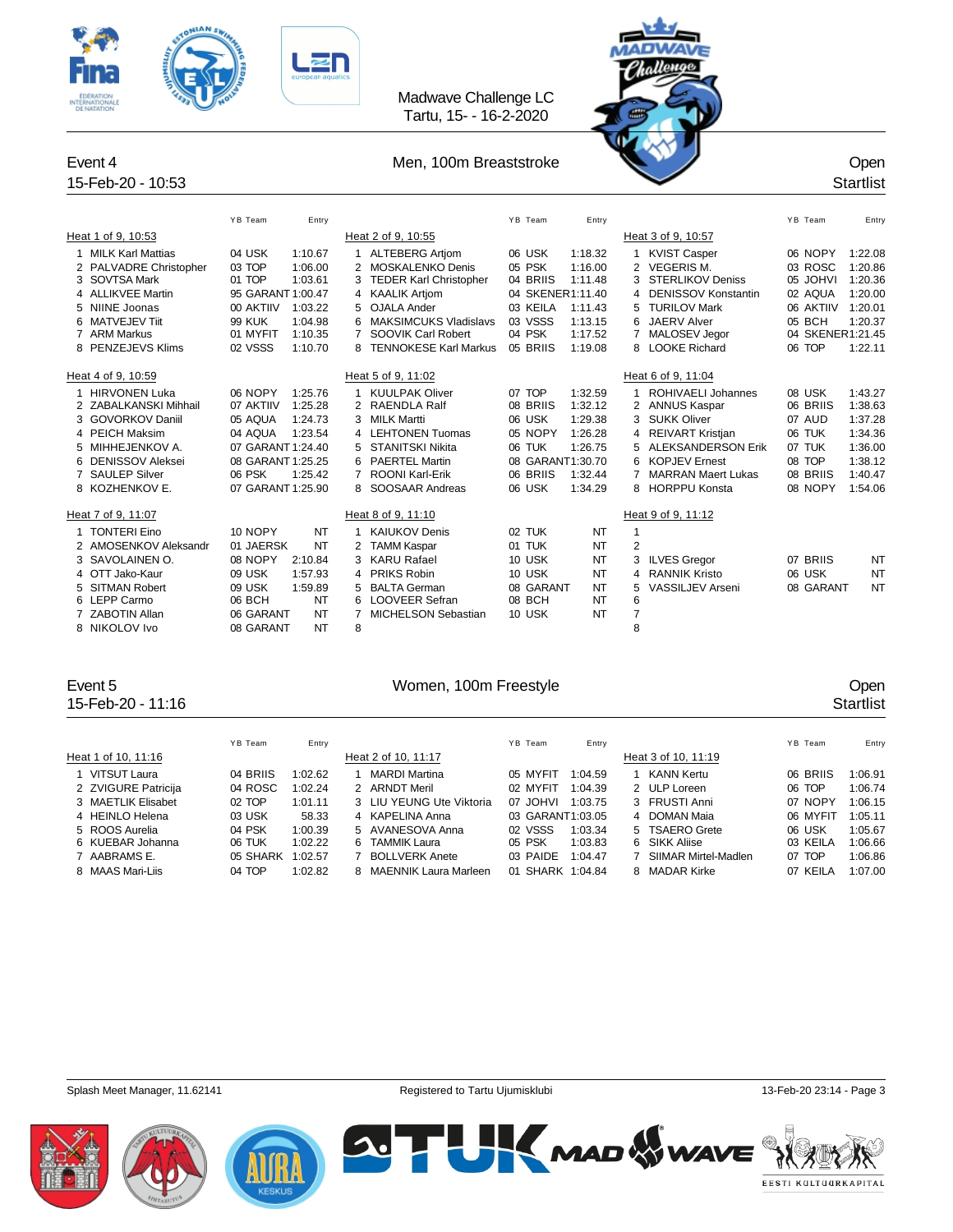



### Event 4 Channel Communication of Men, 100m Breaststroke Channel Channel Channel Channel Channel Channel Channel Channel Channel Channel Channel Channel Channel Channel Channel Channel Channel Channel Channel Channel Channe

### 15-Feb-20 - 10:53 Startlist YB Team Entry Entry Entry The YB Team Entry States of the States of the States of the States of the YB Team Entry Heat 1 of 9, 10:53 Heat 2 of 9, 10:55 Heat 2 of 9, 10:55 1 MILK Karl Mattias 04 USK 1:10.67 1 ALTEBERG Artjom 06 USK 1:18.32 1 KVIST Casper 06 NOPY 1:22.08 2 PALVADRE Christopher 03 TOP 1:06.00 2 MOSKALENKO Denis 05 PSK 1:16.00 2 VEGERIS M. 03 ROSC 1:20.86<br>3 SOVTSA Mark 01 TOP 1:03.61 3 TEDER Karl Christopher 04 BRIIS 1:11.48 3 STERLIKOV Deniss 05 JOHVI 1:20.36 TEDER Karl Christopher 4 ALLIKVEE Martin 95 GARANT 1:00.47 4 KAALIK Artjom 04 SKENER1:11.40 4 DENISSOV Konstantin 02 AQUA 1:20.00 5 NIINE Joonas 00 AKTIIV 1:03.22 5 OJALA Ander 03 KEILA 1:11.43 5 TURILOV Mark 06 AKTIIV 1:20.01 6 MATVEJEV Tiit 99 KUK 1:04.98 6 MAKSIMCUKS Vladislavs 03 VSSS 1:13.15 6 JAERV Alver 05 BCH 1:20.37 7 ARM Markus 01 MYFIT 1:10.35 7 SOOVIK Carl Robert 04 PSK 1:17.52 7 MALOSEV Jegor 04 SKENER1:21.45 8 PENZEJEVS Klims 02 VSSS 1:10.70 8 TENNOKESE Karl Markus 05 BRIIS 1:19.08 8 LOOKE Richard 06 TOP 1:22.11 Heat 4 of 9, 10:59 Heat 5 of 9, 11:02 Heat 5 of 9, 11:04 Heat 6 of 9, 11:04 1 HIRVONEN Luka 06 NOPY 1:25.76 1 KUULPAK Oliver 07 TOP 1:32.59 1 ROHIVAELI Johannes 08 USK 1:43.27 2 ZABALKANSKI Mihhail 07 AKTIIV 1:25.28 2 RAENDLA Ralf 08 BRIIS 1:32.12 2 3 GOVORKOV Daniil 05 AQUA 1:24.73 3 MILK Martti 06 USK 1:29.38 3 SUKK Oliver 07 AUD 1:37.28 4 PEICH Maksim 04 AQUA 1:23.54 4 LEHTONEN Tuomas 05 NOPY 1:26.28 4 REIVART Kristjan 06 TUK 1:34.36 5 MIHHEJENKOV A. 07 GARANT 1:24.40 5 STANITSKI Nikita 06 TUK 1:26.75 5 ALEKSANDERSON Erik 07 TUK 1:36.00 6 DENISSOV Aleksei 08 GARANT 1:25.25 6 PAERTEL Martin 08 GARANT1:30.70 6 KOPJEV Ernest 08 TOP 1:38.12 7 SAULEP Silver 06 PSK 1:25.42 7 ROONI Karl-Erik 06 BRIIS 1:32.44 7 MARRAN Maert Lukas 08 BRIIS 1:40.47 8 KOZHENKOV E. 07 GARANT 1:25.90 8 SOOSAAR Andreas 06 USK 1:34.29 8 HORPPU Konsta 08 NOPY 1:54.06 Heat 7 of 9, 11:07 Heat 8 of 9, 11:10 Heat 8 of 9, 11:10 1 TONTERI Eino 10 NOPY NT 1 KAIUKOV Denis 02 TUK NT 1 2 AMOSENKOV Aleksandr 01 JAERSK NT 2 TAMM Kaspar 01 TUK NT 2 3 SAVOLAINEN O. 08 NOPY 2:10.84 3 KARU Rafael 10 USK NT 3 ILVES Gregor 07 BRIIS NT 4 OTT Jako-Kaur 09 USK 1:57.93 4 PRIKS Robin 10 USK NT 4 RANNIK Kristo 06 USK NT 5 SITMAN Robert 09 USK 1:59.89 5 BALTA German 08 GARANT NT 5 VASSILJEV Arseni 08 GARANT NT 06 BCH NT 6 LOOVEER Sefran 08 BCH NT 6 7 ZABOTIN Allan 06 GARANT NT 7 MICHELSON Sebastian 10 USK NT 7

## 15-Feb-20 - 11:16 Startlist

### Event 5 Women, 100m Freestyle Open

8 NIKOLOV Ivo 08 GARANT NT 8 8

|                     | YB Team  | Entry   |   |                          | YB Team          | Entry   |                      | YB Team  | Entry   |
|---------------------|----------|---------|---|--------------------------|------------------|---------|----------------------|----------|---------|
| Heat 1 of 10, 11:16 |          |         |   | Heat 2 of 10, 11:17      |                  |         | Heat 3 of 10, 11:19  |          |         |
| 1 VITSUT Laura      | 04 BRIIS | 1:02.62 |   | <b>MARDI Martina</b>     | 05 MYFIT         | 1:04.59 | KANN Kertu           | 06 BRIIS | 1:06.91 |
| 2 ZVIGURE Patricija | 04 ROSC  | 1:02.24 |   | 2 ARNDT Meril            | 02 MYFIT         | 1:04.39 | 2 ULP Loreen         | 06 TOP   | 1:06.74 |
| 3 MAETLIK Elisabet  | 02 TOP   | 1:01.11 |   | 3 LIU YEUNG Ute Viktoria | 07 JOHVI         | 1:03.75 | 3 FRUSTI Anni        | 07 NOPY  | 1:06.15 |
| 4 HEINLO Helena     | 03 USK   | 58.33   |   | 4 KAPELINA Anna          | 03 GARANT1:03.05 |         | 4 DOMAN Maia         | 06 MYFIT | 1:05.11 |
| 5 ROOS Aurelia      | 04 PSK   | 1:00.39 |   | 5 AVANESOVA Anna         | 02 VSSS          | 1:03.34 | 5 TSAERO Grete       | 06 USK   | 1:05.67 |
| 6 KUEBAR Johanna    | 06 TUK   | 1:02.22 | 6 | <b>TAMMIK Laura</b>      | 05 PSK           | 1:03.83 | 6 SIKK Aliise        | 03 KEILA | 1:06.66 |
| 7 AABRAMS E.        | 05 SHARK | 1:02.57 |   | <b>BOLLVERK Anete</b>    | 03 PAIDE         | 1:04.47 | SIIMAR Mirtel-Madlen | 07 TOP   | 1:06.86 |
| 8 MAAS Mari-Liis    | 04 TOP   | 1:02.82 | 8 | MAENNIK Laura Marleen    | 01 SHARK         | 1:04.84 | 8 MADAR Kirke        | 07 KEILA | 1:07.00 |

Splash Meet Manager, 11.62141 **Registered to Tartu Ujumisklubi 13-Feb-20 23:14 - Page 3** Content of Registered to Tartu Ujumisklubi 13-Feb-20 23:14 - Page 3







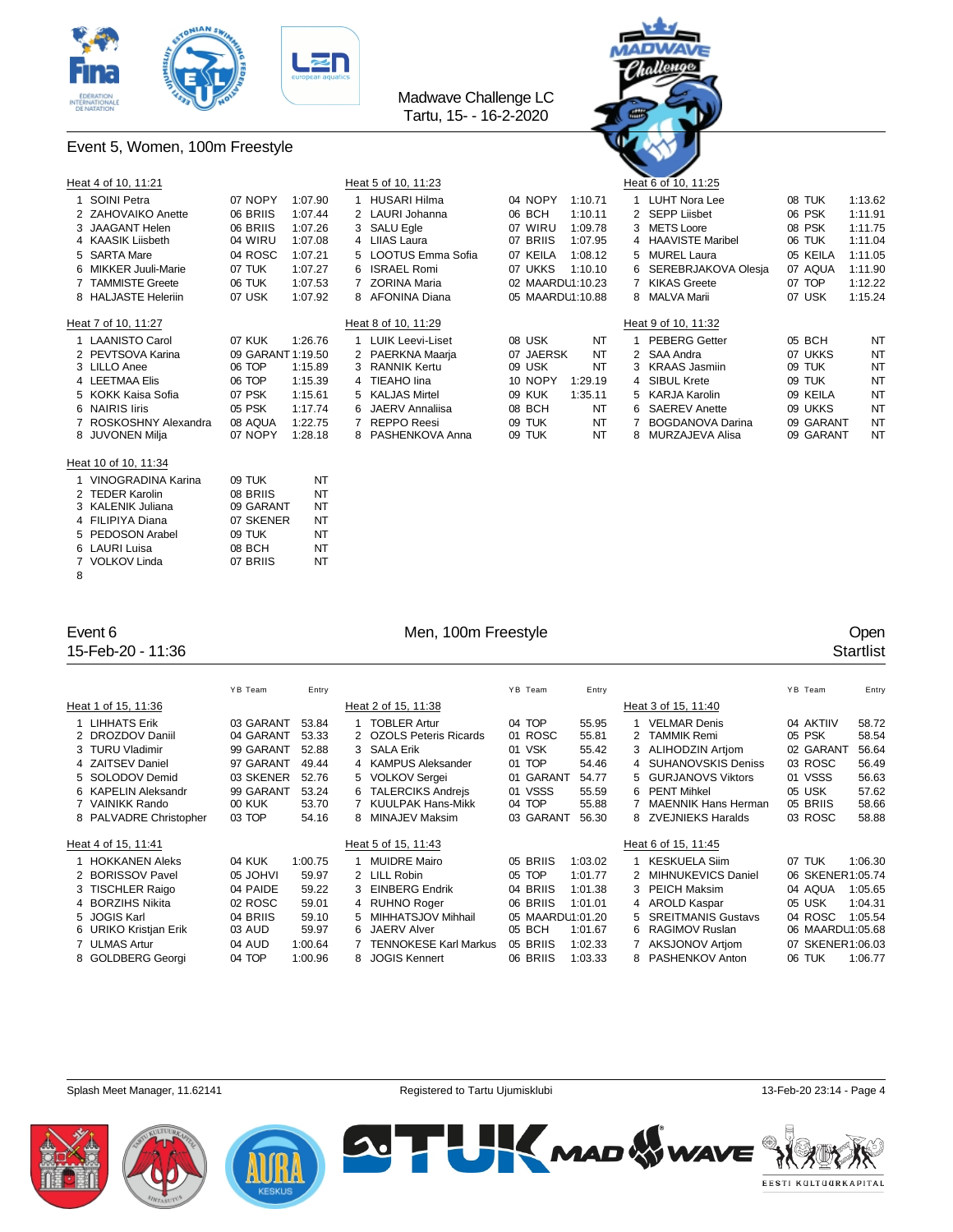



### Event 5, Women, 100m Freestyle

| Heat 4 of 10, 11:21   |                   |         |   | Heat 5 of 10, 11:23     |           |                  |   | ~ ~<br>Heat 6 of 10, 11:25 |           |           |
|-----------------------|-------------------|---------|---|-------------------------|-----------|------------------|---|----------------------------|-----------|-----------|
| SOINI Petra           | 07 NOPY           | 1:07.90 |   | <b>HUSARI Hilma</b>     | 04 NOPY   | 1:10.71          |   | 1 LUHT Nora Lee            | 08 TUK    | 1:13.62   |
| 2 ZAHOVAIKO Anette    | 06 BRIIS          | 1:07.44 |   | 2 LAURI Johanna         | 06 BCH    | 1:10.11          |   | 2 SEPP Liisbet             | 06 PSK    | 1:11.91   |
| 3 JAAGANT Helen       | 06 BRIIS          | 1:07.26 |   | 3 SALU Egle             | 07 WIRU   | 1:09.78          |   | 3 METS Loore               | 08 PSK    | 1:11.75   |
| 4 KAASIK Liisbeth     | 04 WIRU           | 1:07.08 |   | 4 LIIAS Laura           | 07 BRIIS  | 1:07.95          |   | 4 HAAVISTE Maribel         | 06 TUK    | 1:11.04   |
| 5 SARTA Mare          | 04 ROSC           | 1:07.21 |   | 5 LOOTUS Emma Sofia     | 07 KEILA  | 1:08.12          |   | 5 MUREL Laura              | 05 KEILA  | 1:11.05   |
| 6 MIKKER Juuli-Marie  | 07 TUK            | 1:07.27 |   | 6 ISRAEL Romi           | 07 UKKS   | 1:10.10          |   | 6 SEREBRJAKOVA Olesia      | 07 AQUA   | 1:11.90   |
| 7 TAMMISTE Greete     | 06 TUK            | 1:07.53 |   | <b>ZORINA Maria</b>     |           | 02 MAARDU1:10.23 |   | 7 KIKAS Greete             | 07 TOP    | 1:12.22   |
| 8 HALJASTE Heleriin   | 07 USK            | 1:07.92 |   | 8 AFONINA Diana         |           | 05 MAARDU1:10.88 |   | 8 MALVA Marii              | 07 USK    | 1:15.24   |
| Heat 7 of 10, 11:27   |                   |         |   | Heat 8 of 10, 11:29     |           |                  |   | Heat 9 of 10, 11:32        |           |           |
| <b>LAANISTO Carol</b> | 07 KUK            | 1:26.76 |   | <b>LUIK Leevi-Liset</b> | 08 USK    | NT               |   | 1 PEBERG Getter            | 05 BCH    | <b>NT</b> |
| 2 PEVTSOVA Karina     | 09 GARANT 1:19.50 |         |   | 2 PAERKNA Maarja        | 07 JAERSK | NT               |   | 2 SAA Andra                | 07 UKKS   | <b>NT</b> |
| 3 LILLO Anee          | 06 TOP            | 1:15.89 |   | 3 RANNIK Kertu          | 09 USK    | NT               |   | 3 KRAAS Jasmiin            | 09 TUK    | <b>NT</b> |
| 4 LEETMAA Elis        | 06 TOP            | 1:15.39 |   | 4 TIEAHO lina           | 10 NOPY   | 1:29.19          |   | 4 SIBUL Krete              | 09 TUK    | NT        |
| 5 KOKK Kaisa Sofia    | 07 PSK            | 1:15.61 |   | 5 KALJAS Mirtel         | 09 KUK    | 1:35.11          |   | 5 KARJA Karolin            | 09 KEILA  | <b>NT</b> |
| 6 NAIRIS liris        | 05 PSK            | 1:17.74 |   | 6 JAERV Annaliisa       | 08 BCH    | NT               |   | 6 SAEREV Anette            | 09 UKKS   | <b>NT</b> |
| 7 ROSKOSHNY Alexandra | 08 AQUA           | 1:22.75 | 7 | <b>REPPO Reesi</b>      | 09 TUK    | NT               | 7 | <b>BOGDANOVA Darina</b>    | 09 GARANT | <b>NT</b> |
| 8 JUVONEN Milja       | 07 NOPY           | 1:28.18 |   | 8 PASHENKOVA Anna       | 09 TUK    | NT               |   | 8 MURZAJEVA Alisa          | 09 GARANT | <b>NT</b> |
| Heat 10 of 10, 11:34  |                   |         |   |                         |           |                  |   |                            |           |           |
| 1 VINOGRADINA Karina  | 09 TUK            | NT      |   |                         |           |                  |   |                            |           |           |
| 2 TEDER Karolin       | 08 BRIIS          | NT      |   |                         |           |                  |   |                            |           |           |
| 3 KALENIK Juliana     | 09 GARANT         | NT      |   |                         |           |                  |   |                            |           |           |
| 4 FILIPIYA Diana      | 07 SKENER         | NT      |   |                         |           |                  |   |                            |           |           |
| 5 PEDOSON Arabel      | 09 TUK            | NT      |   |                         |           |                  |   |                            |           |           |
| 6 LAURI Luisa         | 08 BCH            | NT      |   |                         |           |                  |   |                            |           |           |
| 7 VOLKOV Linda        | 07 BRIIS          | NT      |   |                         |           |                  |   |                            |           |           |

15-Feb-20 - 11:36 Startlist

### Event 6 Company of Men, 100m Freestyle Company of Company of Company of Company of Company of Company of Company of Company of Company of Company of Company of Company of Company of Company of Company of Company of Company

|                        | YB Team       | Entry   |   |                              | YB Team            | Entry   |    |                           |    | YB Team          | Entry   |
|------------------------|---------------|---------|---|------------------------------|--------------------|---------|----|---------------------------|----|------------------|---------|
| Heat 1 of 15, 11:36    |               |         |   | Heat 2 of 15, 11:38          |                    |         |    | Heat 3 of 15, 11:40       |    |                  |         |
| 1 LIHHATS Erik         | 03 GARANT     | 53.84   |   | <b>TOBLER Artur</b>          | 04 TOP             | 55.95   |    | <b>VELMAR Denis</b>       |    | 04 AKTIIV        | 58.72   |
| 2 DROZDOV Daniil       | 04 GARANT     | 53.33   |   | 2 OZOLS Peteris Ricards      | 01 ROSC            | 55.81   |    | 2 TAMMIK Remi             |    | 05 PSK           | 58.54   |
| 3 TURU Vladimir        | 99 GARANT     | 52.88   |   | 3 SALA Erik                  | 01 VSK             | 55.42   |    | 3 ALIHODZIN Artiom        |    | 02 GARANT        | 56.64   |
| 4 ZAITSEV Daniel       | 97 GARANT     | 49.44   |   | 4 KAMPUS Aleksander          | 01 TOP             | 54.46   |    | 4 SUHANOVSKIS Deniss      |    | 03 ROSC          | 56.49   |
| 5 SOLODOV Demid        | 03 SKENER     | 52.76   |   | 5 VOLKOV Sergei              | 01 GARANT          | 54.77   |    | 5 GURJANOVS Viktors       |    | 01 VSSS          | 56.63   |
| 6 KAPELIN Aleksandr    | 99 GARANT     | 53.24   | 6 | <b>TALERCIKS Andreis</b>     | 01 VSSS            | 55.59   |    | 6 PENT Mihkel             |    | 05 USK           | 57.62   |
| 7 VAINIKK Rando        | <b>00 KUK</b> | 53.70   |   | <b>KUULPAK Hans-Mikk</b>     | 04 TOP             | 55.88   |    | MAENNIK Hans Herman       |    | 05 BRIIS         | 58.66   |
| 8 PALVADRE Christopher | 03 TOP        | 54.16   |   | MINAJEV Maksim               | 03 GARANT          | 56.30   |    | 8 ZVEJNIEKS Haralds       |    | 03 ROSC          | 58.88   |
| Heat 4 of 15, 11:41    |               |         |   | Heat 5 of 15, 11:43          |                    |         |    | Heat 6 of 15, 11:45       |    |                  |         |
| 1 HOKKANEN Aleks       | 04 KUK        | 1:00.75 |   | <b>MUIDRE Mairo</b>          | 05 BRIIS           | 1:03.02 |    | <b>KESKUELA Siim</b>      |    | 07 TUK           | 1:06.30 |
| 2 BORISSOV Pavel       | 05 JOHVI      | 59.97   |   | 2 LILL Robin                 | 05 TOP             | 1:01.77 |    | 2 MIHNUKEVICS Daniel      |    | 06 SKENER1:05.74 |         |
| 3 TISCHLER Raigo       | 04 PAIDE      | 59.22   | 3 | <b>EINBERG Endrik</b>        | <b>BRIIS</b><br>04 | 1:01.38 |    | 3 PEICH Maksim            |    | 04 AQUA          | 1:05.65 |
| 4 BORZIHS Nikita       | 02 ROSC       | 59.01   |   | 4 RUHNO Roger                | 06 BRIIS           | 1:01.01 |    | 4 AROLD Kaspar            |    | 05 USK           | 1:04.31 |
| 5 JOGIS Karl           | 04 BRIIS      | 59.10   | 5 | MIHHATSJOV Mihhail           | 05 MAARDU1:01.20   |         |    | <b>SREITMANIS Gustavs</b> |    | 04 ROSC          | 1:05.54 |
| 6 URIKO Kristjan Erik  | 03 AUD        | 59.97   | 6 | <b>JAERV Alver</b>           | 05 BCH             | 1:01.67 | 6. | RAGIMOV Ruslan            |    | 06 MAARDL1:05.68 |         |
| 7 ULMAS Artur          | 04 AUD        | 1:00.64 |   | <b>TENNOKESE Karl Markus</b> | 05 BRIIS           | 1:02.33 |    | 7 AKSJONOV Artiom         | 07 | SKENER1:06.03    |         |
| 8 GOLDBERG Georgi      | 04 TOP        | 1:00.96 |   | 8 JOGIS Kennert              | 06 BRIIS           | 1:03.33 |    | 8 PASHENKOV Anton         |    | 06 TUK           | 1:06.77 |





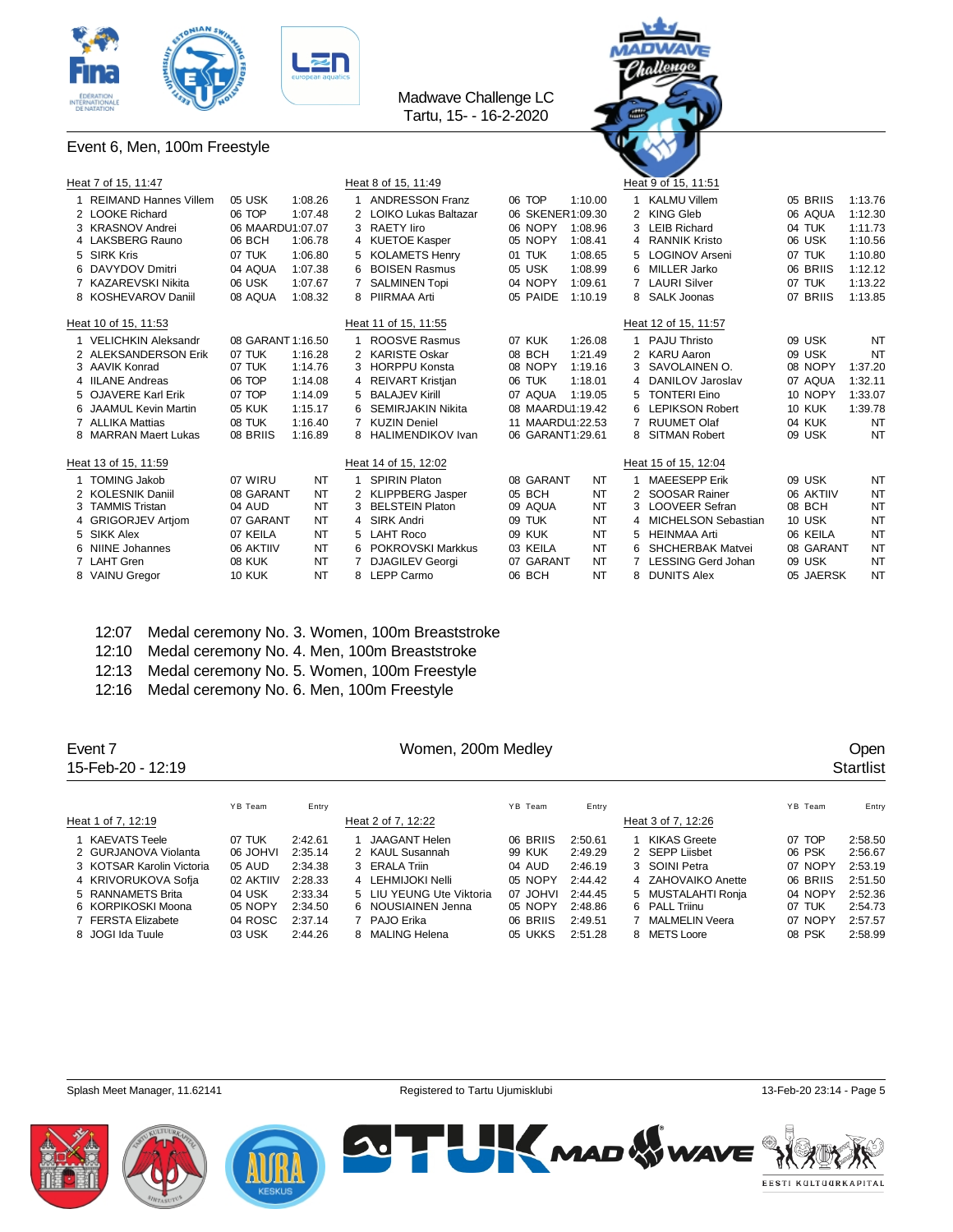



### Event 6, Men, 100m Freestyle

| Heat 7 of 15, 11:47     |                   |         |   | Heat 8 of 15, 11:49         |                  |           |   | Heat 9 of 15, 11:51       |               |           |
|-------------------------|-------------------|---------|---|-----------------------------|------------------|-----------|---|---------------------------|---------------|-----------|
| 1 REIMAND Hannes Villem | 05 USK            | 1:08.26 |   | <b>ANDRESSON Franz</b>      | 06 TOP           | 1:10.00   |   | <b>KALMU Villem</b>       | 05 BRIIS      | 1:13.76   |
| 2 LOOKE Richard         | 06 TOP            | 1:07.48 |   | <b>LOIKO Lukas Baltazar</b> | 06 SKENER1:09.30 |           |   | 2 KING Gleb               | 06 AQUA       | 1:12.30   |
| 3 KRASNOV Andrei        | 06 MAARDU1:07.07  |         | 3 | <b>RAETY liro</b>           | 06 NOPY          | 1:08.96   |   | <b>LEIB Richard</b>       | 04 TUK        | 1:11.73   |
| 4 LAKSBERG Rauno        | 06 BCH            | 1:06.78 |   | 4 KUETOE Kasper             | 05 NOPY          | 1:08.41   | 4 | <b>RANNIK Kristo</b>      | 06 USK        | 1:10.56   |
| 5 SIRK Kris             | 07 TUK            | 1:06.80 | 5 | <b>KOLAMETS Henry</b>       | 01 TUK           | 1:08.65   | 5 | <b>LOGINOV Arseni</b>     | 07 TUK        | 1:10.80   |
| 6 DAVYDOV Dmitri        | 04 AQUA           | 1:07.38 | 6 | <b>BOISEN Rasmus</b>        | 05 USK           | 1:08.99   | 6 | MILLER Jarko              | 06 BRIIS      | 1:12.12   |
| 7 KAZAREVSKI Nikita     | 06 USK            | 1:07.67 | 7 | <b>SALMINEN Topi</b>        | 04 NOPY          | 1:09.61   |   | <b>LAURI Silver</b>       | 07 TUK        | 1:13.22   |
| 8 KOSHEVAROV Daniil     | 08 AQUA           | 1:08.32 |   | 8 PIIRMAA Arti              | 05 PAIDE         | 1:10.19   |   | 8 SALK Joonas             | 07 BRIIS      | 1:13.85   |
| Heat 10 of 15, 11:53    |                   |         |   | Heat 11 of 15, 11:55        |                  |           |   | Heat 12 of 15, 11:57      |               |           |
| 1 VELICHKIN Aleksandr   | 08 GARANT 1:16.50 |         |   | ROOSVE Rasmus               | 07 KUK           | 1:26.08   |   | <b>PAJU Thristo</b>       | 09 USK        | <b>NT</b> |
| 2 ALEKSANDERSON Erik    | 07 TUK            | 1:16.28 | 2 | <b>KARISTE Oskar</b>        | 08 BCH           | 1:21.49   |   | 2 KARU Aaron              | 09 USK        | <b>NT</b> |
| 3 AAVIK Konrad          | 07 TUK            | 1:14.76 | 3 | <b>HORPPU Konsta</b>        | 08 NOPY          | 1:19.16   |   | SAVOLAINEN O.             | 08 NOPY       | 1:37.20   |
| 4 IILANE Andreas        | 06 TOP            | 1:14.08 |   | 4 REIVART Kristjan          | 06 TUK           | 1:18.01   |   | 4 DANILOV Jaroslav        | 07 AQUA       | 1:32.11   |
| 5 OJAVERE Karl Erik     | 07 TOP            | 1:14.09 |   | 5 BALAJEV Kirill            | 07 AQUA          | 1:19.05   |   | <b>TONTERI Eino</b>       | 10 NOPY       | 1:33.07   |
| 6 JAAMUL Kevin Martin   | 05 KUK            | 1:15.17 | 6 | <b>SEMIRJAKIN Nikita</b>    | 08 MAARDU1:19.42 |           | 6 | <b>LEPIKSON Robert</b>    | <b>10 KUK</b> | 1:39.78   |
| 7 ALLIKA Mattias        | 08 TUK            | 1:16.40 |   | <b>KUZIN Deniel</b>         | 11 MAARDU1:22.53 |           |   | <b>RUUMET Olaf</b>        | 04 KUK        | <b>NT</b> |
| 8 MARRAN Maert Lukas    | 08 BRIIS          | 1:16.89 |   | 8 HALIMENDIKOV Ivan         | 06 GARANT1:29.61 |           |   | <b>SITMAN Robert</b>      | 09 USK        | NT        |
| Heat 13 of 15, 11:59    |                   |         |   | Heat 14 of 15, 12:02        |                  |           |   | Heat 15 of 15, 12:04      |               |           |
| 1 TOMING Jakob          | 07 WIRU           | NT      |   | <b>SPIRIN Platon</b>        | 08 GARANT        | NT        |   | <b>MAEESEPP Erik</b>      | 09 USK        | NT        |
| 2 KOLESNIK Daniil       | 08 GARANT         | NT      |   | 2 KLIPPBERG Jasper          | 05 BCH           | <b>NT</b> |   | SOOSAR Rainer             | 06 AKTIIV     | NT        |
| 3 TAMMIS Tristan        | 04 AUD            | NT      | 3 | <b>BELSTEIN Platon</b>      | 09 AQUA          | <b>NT</b> | 3 | <b>LOOVEER Sefran</b>     | 08 BCH        | <b>NT</b> |
| 4 GRIGORJEV Artiom      | 07 GARANT         | NT      | 4 | SIRK Andri                  | 09 TUK           | <b>NT</b> | 4 | MICHELSON Sebastian       | 10 USK        | <b>NT</b> |
| 5 SIKK Alex             | 07 KEILA          | NT      |   | 5 LAHT Roco                 | 09 KUK           | <b>NT</b> | 5 | <b>HEINMAA Arti</b>       | 06 KEILA      | <b>NT</b> |
| 6 NIINE Johannes        | 06 AKTIIV         | NT      | 6 | POKROVSKI Markkus           | 03 KEILA         | <b>NT</b> |   | SHCHERBAK Matvei          | 08 GARANT     | <b>NT</b> |
| 7 LAHT Gren             | <b>08 KUK</b>     | NT      |   | <b>DJAGILEV Georgi</b>      | 07 GARANT        | <b>NT</b> |   | <b>LESSING Gerd Johan</b> | 09 USK        | NT        |
| 8 VAINU Greaor          | <b>10 KUK</b>     | NT      | 8 | LEPP Carmo                  | 06 BCH           | <b>NT</b> |   | <b>DUNITS Alex</b>        | 05 JAERSK     | <b>NT</b> |

- 12:07 Medal ceremony No. 3. Women, 100m Breaststroke
- 12:10 Medal ceremony No. 4. Men, 100m Breaststroke
- 12:13 Medal ceremony No. 5. Women, 100m Freestyle
- 12:16 Medal ceremony No. 6. Men, 100m Freestyle

| Event 7<br>15-Feb-20 - 12:19 |           |         | Women, 200m Medley       |          |         |                    |          | <b>Open</b><br><b>Startlist</b> |
|------------------------------|-----------|---------|--------------------------|----------|---------|--------------------|----------|---------------------------------|
|                              | YB Team   | Entry   |                          | YB Team  | Entry   |                    | YB Team  | Entry                           |
| Heat 1 of 7, 12:19           |           |         | Heat 2 of 7, 12:22       |          |         | Heat 3 of 7, 12:26 |          |                                 |
| KAEVATS Teele                | 07 TUK    | 2:42.61 | <b>JAAGANT Helen</b>     | 06 BRIIS | 2:50.61 | KIKAS Greete       | 07 TOP   | 2:58.50                         |
| 2 GURJANOVA Violanta         | IVHOL 80  | 2:35.14 | 2 KAUL Susannah          | 99 KUK   | 2:49.29 | 2 SEPP Liisbet     | 06 PSK   | 2:56.67                         |
| 3 KOTSAR Karolin Victoria    | 05 AUD    | 2:34.38 | 3 ERALA Triin            | 04 AUD   | 2:46.19 | 3 SOINI Petra      | 07 NOPY  | 2:53.19                         |
| 4 KRIVORUKOVA Sofja          | 02 AKTIIV | 2:28.33 | 4 LEHMIJOKI Nelli        | 05 NOPY  | 2:44.42 | 4 ZAHOVAIKO Anette | 06 BRIIS | 2:51.50                         |
| 5 RANNAMETS Brita            | 04 USK    | 2:33.34 | 5 LIU YEUNG Ute Viktoria | 07 JOHVI | 2:44.45 | 5 MUSTALAHTI Ronia | 04 NOPY  | 2:52.36                         |
| 6 KORPIKOSKI Moona           | 05 NOPY   | 2:34.50 | 6 NOUSIAINEN Jenna       | 05 NOPY  | 2:48.86 | 6 PALL Triinu      | 07 TUK   | 2:54.73                         |
| 7 FERSTA Elizabete           | 04 ROSC   | 2:37.14 | PAJO Erika               | 06 BRIIS | 2:49.51 | 7 MALMELIN Veera   | 07 NOPY  | 2:57.57                         |
| 8 JOGI Ida Tuule             | 03 USK    | 2:44.26 | 8 MALING Helena          | 05 UKKS  | 2:51.28 | 8 METS Loore       | 08 PSK   | 2:58.99                         |





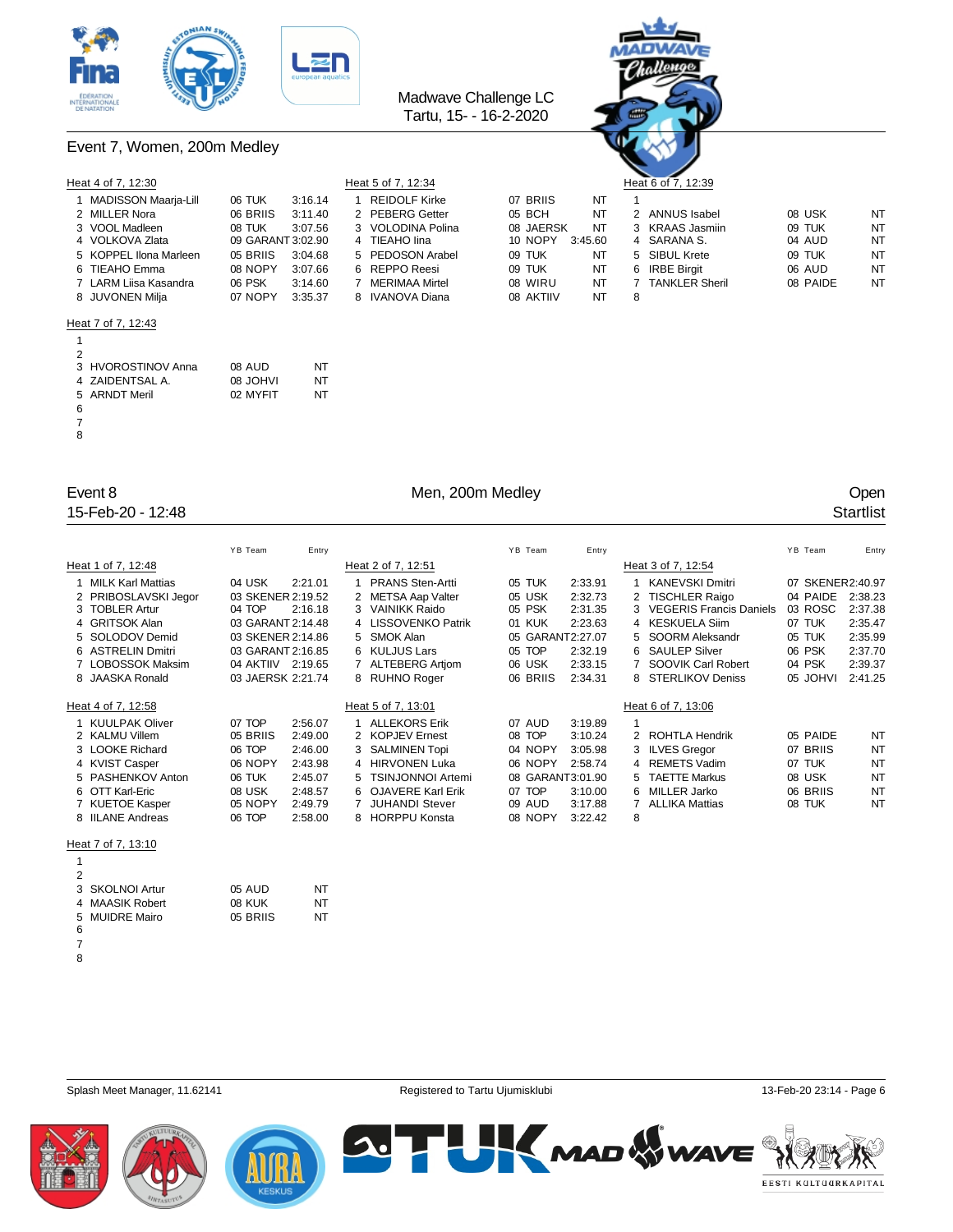



Event 7, Women, 200m Medley

| Heat 4 of 7, 12:30     |                   |         | Heat 5 of 7, 12:34   |                    | Heat 6 of 7, 12:39 |          |           |
|------------------------|-------------------|---------|----------------------|--------------------|--------------------|----------|-----------|
| 1 MADISSON Maarja-Lill | 06 TUK            | 3:16.14 | <b>REIDOLF Kirke</b> | 07 BRIIS<br>NT     |                    |          |           |
| 2 MILLER Nora          | 06 BRIIS          | 3:11.40 | 2 PEBERG Getter      | 05 BCH<br>NT       | 2 ANNUS Isabel     | 08 USK   | NT        |
| 3 VOOL Madleen         | 08 TUK            | 3:07.56 | 3 VOLODINA Polina    | 08 JAERSK<br>NT    | 3 KRAAS Jasmiin    | 09 TUK   | NT        |
| 4 VOLKOVA Zlata        | 09 GARANT 3:02.90 |         | 4 TIEAHO lina        | 10 NOPY<br>3:45.60 | 4 SARANA S.        | 04 AUD   | NT        |
| 5 KOPPEL IIona Marleen | 05 BRIIS          | 3:04.68 | 5 PEDOSON Arabel     | NT<br>09 TUK       | 5 SIBUL Krete      | 09 TUK   | NT        |
| 6 TIEAHO Emma          | 08 NOPY           | 3:07.66 | 6 REPPO Reesi        | NT<br>09 TUK       | 6 IRBE Birait      | 06 AUD   | NT        |
| 7 LARM Liisa Kasandra  | 06 PSK            | 3:14.60 | MERIMAA Mirtel       | 08 WIRU<br>NT      | 7 TANKLER Sheril   | 08 PAIDE | <b>NT</b> |
| 8 JUVONEN Milia        | 07 NOPY           | 3:35.37 | 8 IVANOVA Diana      | NT<br>08 AKTIIV    | 8                  |          |           |
| $11 - 17 - 17 - 10.10$ |                   |         |                      |                    |                    |          |           |

|                 |    | Hea |
|-----------------|----|-----|
| 07 BRIIS        | NT | 1   |
| 05 BCH          | NT | 2   |
| 08 JAERSK       | NT | 3   |
| 10 NOPY 3:45.60 |    | 4   |
| 09 TUK          | NT | 5   |
| 09 TUK          | NT | 6   |
| 08 WIRU         | NT | 7   |
| OR AKTIIV       | ΝП | Ω   |

# VOOL Madleen 08 TUK 3:07.56 3 VOLODINA Polina 08 JAERSK NT 3 KRAAS Jasmiin 09 TUK NT TANKLER Sheril 308 PAIDE NT

### Heat 7 of 7, 12:43

| $\mathcal{P}$ |                    |                 |    |
|---------------|--------------------|-----------------|----|
|               | 3 HVOROSTINOV Anna | 08 AUD          | NT |
|               | 4 ZAIDENTSAL A.    | <b>08 JOHVI</b> | NT |
|               | 5 ARNDT Meril      | 02 MYFIT        | NT |
| 6             |                    |                 |    |
| 7             |                    |                 |    |
| 8             |                    |                 |    |

15-Feb-20 - 12:48 Startlist

### Event 8 Communication of the Men, 200m Medley Communication of the Communication of the Open

|   |                      | YB Team           | Entry   |    |                          | YB Team          | Entry   |    |                                | YB Team          | Entry     |
|---|----------------------|-------------------|---------|----|--------------------------|------------------|---------|----|--------------------------------|------------------|-----------|
|   | Heat 1 of 7, 12:48   |                   |         |    | Heat 2 of 7, 12:51       |                  |         |    | Heat 3 of 7, 12:54             |                  |           |
|   | 1 MILK Karl Mattias  | 04 USK            | 2:21.01 |    | <b>PRANS Sten-Artti</b>  | 05 TUK           | 2:33.91 |    | <b>KANEVSKI Dmitri</b>         | 07 SKENER2:40.97 |           |
|   | 2 PRIBOSLAVSKI Jegor | 03 SKENER 2:19.52 |         |    | <b>METSA Aap Valter</b>  | 05 USK           | 2:32.73 |    | <b>TISCHLER Raigo</b>          | 04 PAIDE         | 2:38.23   |
|   | 3 TOBLER Artur       | 04 TOP            | 2:16.18 |    | 3 VAINIKK Raido          | 05 PSK           | 2:31.35 |    | <b>VEGERIS Francis Daniels</b> | 03 ROSC          | 2:37.38   |
|   | 4 GRITSOK Alan       | 03 GARANT 2:14.48 |         |    | 4 LISSOVENKO Patrik      | 01 KUK           | 2:23.63 |    | 4 KESKUELA Siim                | 07 TUK           | 2:35.47   |
|   | 5 SOLODOV Demid      | 03 SKENER 2:14.86 |         | 5. | SMOK Alan                | 05 GARANT2:27.07 |         |    | SOORM Aleksandr                | 05 TUK           | 2:35.99   |
|   | 6 ASTRELIN Dmitri    | 03 GARANT 2:16.85 |         |    | 6 KULJUS Lars            | 05 TOP           | 2:32.19 |    | <b>SAULEP Silver</b>           | 06 PSK           | 2:37.70   |
|   | 7 LOBOSSOK Maksim    | 04 AKTIIV 2:19.65 |         |    | <b>ALTEBERG Artjom</b>   | 06 USK           | 2:33.15 |    | SOOVIK Carl Robert             | 04 PSK           | 2:39.37   |
|   | 8 JAASKA Ronald      | 03 JAERSK 2:21.74 |         |    | 8 RUHNO Roger            | 06 BRIIS         | 2:34.31 |    | 8 STERLIKOV Deniss             | 05 JOHVI         | 2:41.25   |
|   |                      |                   |         |    |                          |                  |         |    |                                |                  |           |
|   | Heat 4 of 7, 12:58   |                   |         |    | Heat 5 of 7, 13:01       |                  |         |    | Heat 6 of 7, 13:06             |                  |           |
|   | 1 KUULPAK Oliver     | 07 TOP            | 2:56.07 |    | <b>ALLEKORS Erik</b>     | 07 AUD           | 3:19.89 |    |                                |                  |           |
|   | 2 KALMU Villem       | 05 BRIIS          | 2:49.00 | 2  | <b>KOPJEV Ernest</b>     | 08 TOP           | 3:10.24 | 2  | ROHTLA Hendrik                 | 05 PAIDE         | NT        |
|   | 3 LOOKE Richard      | 06 TOP            | 2:46.00 |    | 3 SALMINEN Topi          | 04 NOPY          | 3:05.98 |    | <b>ILVES Gregor</b>            | 07 BRIIS         | <b>NT</b> |
|   | 4 KVIST Casper       | 06 NOPY           | 2:43.98 | 4  | <b>HIRVONEN Luka</b>     | 06 NOPY          | 2:58.74 |    | 4 REMETS Vadim                 | 07 TUK           | <b>NT</b> |
|   | 5 PASHENKOV Anton    | 06 TUK            | 2:45.07 | 5. | <b>TSINJONNOI Artemi</b> | 08 GARANT3:01.90 |         | 5. | <b>TAETTE Markus</b>           | 08 USK           | <b>NT</b> |
|   | 6 OTT Karl-Eric      | 08 USK            | 2:48.57 |    | 6 OJAVERE Karl Erik      | 07 TOP           | 3:10.00 | 6  | <b>MILLER Jarko</b>            | 06 BRIIS         | <b>NT</b> |
|   | 7 KUETOE Kasper      | 05 NOPY           | 2:49.79 |    | <b>JUHANDI Stever</b>    | 09 AUD           | 3:17.88 |    | <b>ALLIKA Mattias</b>          | 08 TUK           | <b>NT</b> |
|   | 8 IILANE Andreas     | 06 TOP            | 2:58.00 |    | 8 HORPPU Konsta          | 08 NOPY          | 3:22.42 | 8  |                                |                  |           |
|   |                      |                   |         |    |                          |                  |         |    |                                |                  |           |
|   | Heat 7 of 7, 13:10   |                   |         |    |                          |                  |         |    |                                |                  |           |
|   |                      |                   |         |    |                          |                  |         |    |                                |                  |           |
| 2 |                      |                   |         |    |                          |                  |         |    |                                |                  |           |
|   | 3 SKOLNOI Artur      | 05 AUD            | NT      |    |                          |                  |         |    |                                |                  |           |
|   | 4 MAASIK Robert      | 08 KUK            | NT      |    |                          |                  |         |    |                                |                  |           |

 

MUIDRE Mairo 05 BRIIS NT





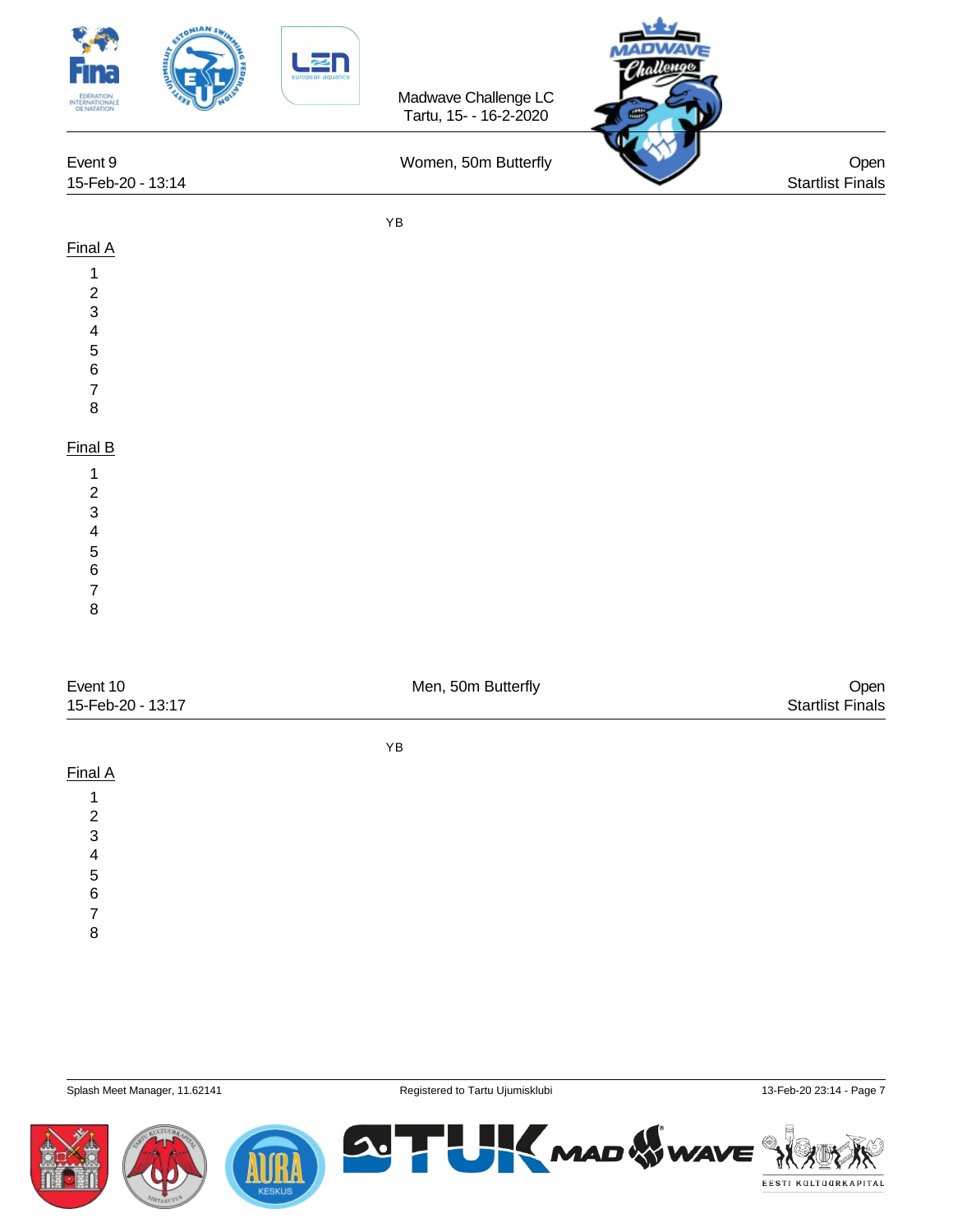| STONIAN SW<br><b>EDERATION</b><br>INTERNATIONALE<br>DE NATATION<br>Event 9<br>15-Feb-20 - 13:14                                           |            | Madwave Challenge LC<br>Tartu, 15- - 16-2-2020<br>Women, 50m Butterfly | llenge<br>Open<br><b>Startlist Finals</b> |
|-------------------------------------------------------------------------------------------------------------------------------------------|------------|------------------------------------------------------------------------|-------------------------------------------|
|                                                                                                                                           | YB         |                                                                        |                                           |
| Final A<br>1<br>$\begin{array}{c} 2 \\ 3 \\ 4 \end{array}$<br>5<br>$\overline{6}$<br>$\boldsymbol{7}$<br>$\bf 8$                          |            |                                                                        |                                           |
| Final B<br>1<br>$\overline{c}$<br>$\mathbf{3}$<br>4<br>5<br>$\,6\,$<br>$\overline{7}$<br>$\bf 8$                                          |            |                                                                        |                                           |
| Event 10<br>15-Feb-20 - 13:17                                                                                                             |            | Men, 50m Butterfly                                                     | Open<br><b>Startlist Finals</b>           |
|                                                                                                                                           | ${\sf YB}$ |                                                                        |                                           |
| Final A<br>$\mathbf{1}$<br>$\begin{array}{c} 2 \\ 3 \\ 4 \end{array}$<br>$\begin{array}{c} 5 \\ 6 \end{array}$<br>$\overline{\mathbf{7}}$ |            |                                                                        |                                           |

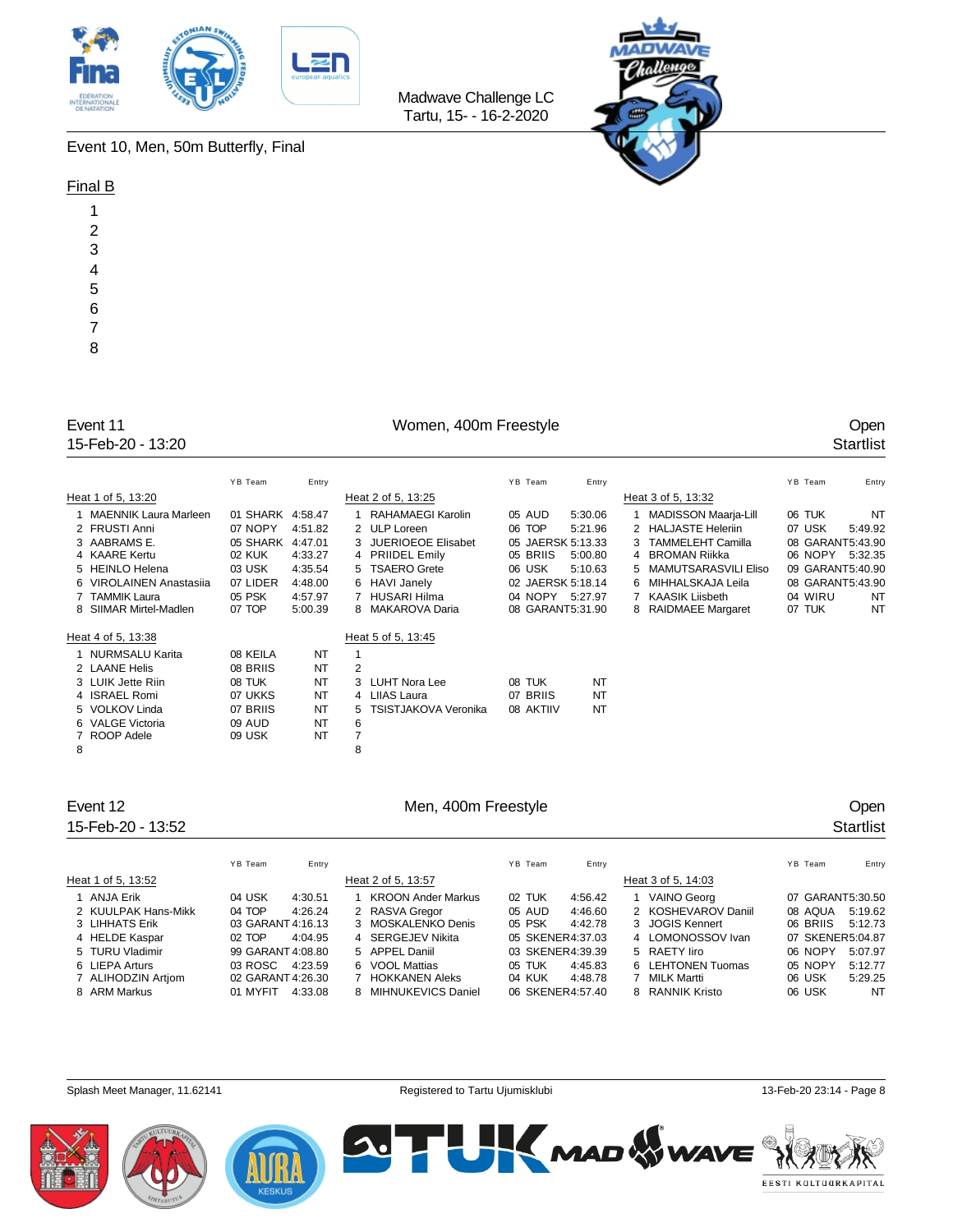



Event 10, Men, 50m Butterfly, Final

### Final B

| 1              |
|----------------|
| $\overline{c}$ |
| 3              |
| 4              |
| 5              |
| 6              |
| 7              |
| 8              |

## Women, 400m Freestyle **Open**<br>Startlist

Madwave Challenge LC Tartu, 15- - 16-2-2020

| Event 11          | Women, 400m Freestyle | Open      |
|-------------------|-----------------------|-----------|
| 15-Feb-20 - 13:20 |                       | Startlist |

|   |                                    | YB Team           | Entry    |   |                                  | YB Team            | Entry     |                             | YB Team          | Entry     |
|---|------------------------------------|-------------------|----------|---|----------------------------------|--------------------|-----------|-----------------------------|------------------|-----------|
|   | Heat 1 of 5, 13:20                 |                   |          |   | Heat 2 of 5, 13:25               |                    |           | Heat 3 of 5, 13:32          |                  |           |
|   | 1 MAENNIK Laura Marleen            | 01 SHARK 4:58.47  |          |   | 1 RAHAMAEGI Karolin              | 05 AUD             | 5:30.06   | <b>MADISSON Maarja-Lill</b> | 06 TUK           | <b>NT</b> |
|   | 2 FRUSTI Anni                      | 07 NOPY           | 4:51.82  |   | 2 ULP Loreen                     | 06 TOP             | 5:21.96   | 2 HALJASTE Heleriin         | 07 USK           | 5:49.92   |
|   | 3 AABRAMS E.                       | 05 SHARK          | 4:47.01  |   | 3 JUERIOEOE Elisabet             | 05 JAERSK 5:13.33  |           | 3 TAMMELEHT Camilla         | 08 GARANT5:43.90 |           |
|   | 4 KAARE Kertu                      | 02 KUK            | 4:33.27  |   | 4 PRIIDEL Emily                  | 05 BRIIS           | 5:00.80   | 4 BROMAN Riikka             | 06 NOPY          | 5:32.35   |
|   | 5 HEINLO Helena                    | 03 USK            | 4:35.54  |   | 5 TSAERO Grete                   | 06 USK             | 5:10.63   | 5 MAMUTSARASVILI Eliso      | 09 GARANT5:40.90 |           |
|   | 6 VIROLAINEN Anastasija            | 07 LIDER          | 4:48.00  |   | 6 HAVI Janely                    | 02 JAERSK 5:18.14  |           | 6 MIHHALSKAJA Leila         | 08 GARANT5:43.90 |           |
|   | 7 TAMMIK Laura                     | 05 PSK            | 4:57.97  |   | HUSARI Hilma                     | 04 NOPY 5:27.97    |           | 7 KAASIK Liisbeth           | 04 WIRU          | <b>NT</b> |
|   | 8 SIIMAR Mirtel-Madlen             | 07 TOP            | 5:00.39  |   | 8 MAKAROVA Daria                 | 08 GARANT5:31.90   |           | 8 RAIDMAEE Margaret         | 07 TUK           | <b>NT</b> |
|   | Heat 4 of 5, 13:38                 |                   |          |   | Heat 5 of 5, 13:45               |                    |           |                             |                  |           |
|   | 1 NURMSALU Karita                  | 08 KEILA          | NT       |   |                                  |                    |           |                             |                  |           |
|   | 2 LAANE Helis                      | 08 BRIIS          | NT       | 2 |                                  |                    |           |                             |                  |           |
|   |                                    |                   |          |   |                                  |                    |           |                             |                  |           |
|   | 3 LUIK Jette Riin<br>4 ISRAEL Romi | 08 TUK<br>07 UKKS | NT<br>NT |   | 3 LUHT Nora Lee<br>4 LIIAS Laura | 08 TUK<br>07 BRIIS | NT<br>NT  |                             |                  |           |
|   |                                    |                   |          |   |                                  |                    |           |                             |                  |           |
|   | 5 VOLKOV Linda                     | 07 BRIIS          | NT       |   | TSISTJAKOVA Veronika             | 08 AKTIIV          | <b>NT</b> |                             |                  |           |
|   | 6 VALGE Victoria                   | 09 AUD            | NT       | 6 |                                  |                    |           |                             |                  |           |
|   | 7 ROOP Adele                       | 09 USK            | NT       | 7 |                                  |                    |           |                             |                  |           |
| 8 |                                    |                   |          | 8 |                                  |                    |           |                             |                  |           |

| Event 12<br>Men, 400m Freestyle |           |             |                    |          |               | Open               |                  |           |
|---------------------------------|-----------|-------------|--------------------|----------|---------------|--------------------|------------------|-----------|
| 15-Feb-20 - 13:52               |           |             |                    |          |               |                    |                  | Startlist |
|                                 | YB Team   | Entry       |                    | YB Team  | Entry         |                    | YB Team          | Entry     |
| Heat 1 of 5, 13:52              |           |             | Heat 2 of 5, 13:57 |          |               | Heat 3 of 5, 14:03 |                  |           |
| 1 AN IA Frik                    | $M$ I ISK | $A - 30.51$ | KROON Ander Markue | 02 TI IK | $A - 56$ $A2$ | VAINO Georg        | 07 GARANT5-30 50 |           |

| . . <del>.</del> |                     |                   |         | . . <del>.</del>          |                  |         |                     |                  |         |
|------------------|---------------------|-------------------|---------|---------------------------|------------------|---------|---------------------|------------------|---------|
| 1 ANJA Erik      |                     | 04 USK            | 4:30.51 | <b>KROON Ander Markus</b> | 02 TUK           | 4:56.42 | 1 VAINO Georg       | 07 GARANT5:30.50 |         |
|                  | 2 KUULPAK Hans-Mikk | 04 TOP            | 4:26.24 | 2 RASVA Gregor            | 05 AUD           | 4:46.60 | 2 KOSHEVAROV Daniil | 08 AQUA          | 5:19.62 |
| 3 LIHHATS Erik   |                     | 03 GARANT 4:16.13 |         | 3 MOSKALENKO Denis        | 05 PSK           | 4:42.78 | 3 JOGIS Kennert     | 06 BRIIS         | 5:12.73 |
|                  | 4 HELDE Kaspar      | $02$ TOP          | 4:04.95 | 4 SERGEJEV Nikita         | 05 SKENER4:37.03 |         | 4 LOMONOSSOV Ivan   | 07 SKENER5:04.87 |         |
| 5 TURU Vladimir  |                     | 99 GARANT 4:08.80 |         | 5 APPEL Daniil            | 03 SKENER4:39.39 |         | 5 RAETY liro        | 06 NOPY          | 5:07.97 |
| 6 LIEPA Arturs   |                     | 03 ROSC 4:23.59   |         | 6 VOOL Mattias            | 05 TUK           | 4:45.83 | 6 LEHTONEN Tuomas   | 05 NOPY          | 5:12.77 |
|                  | 7 ALIHODZIN Artiom  | 02 GARANT 4:26.30 |         | HOKKANEN Aleks            | 04 KUK           | 4:48.78 | 7 MILK Martti       | 06 USK           | 5:29.25 |
| 8 ARM Markus     |                     | 01 MYFIT 4:33.08  |         | 8 MIHNUKEVICS Daniel      | 06 SKENER4:57.40 |         | 8 RANNIK Kristo     | 06 USK           | NT      |
|                  |                     |                   |         |                           |                  |         |                     |                  |         |

ſR

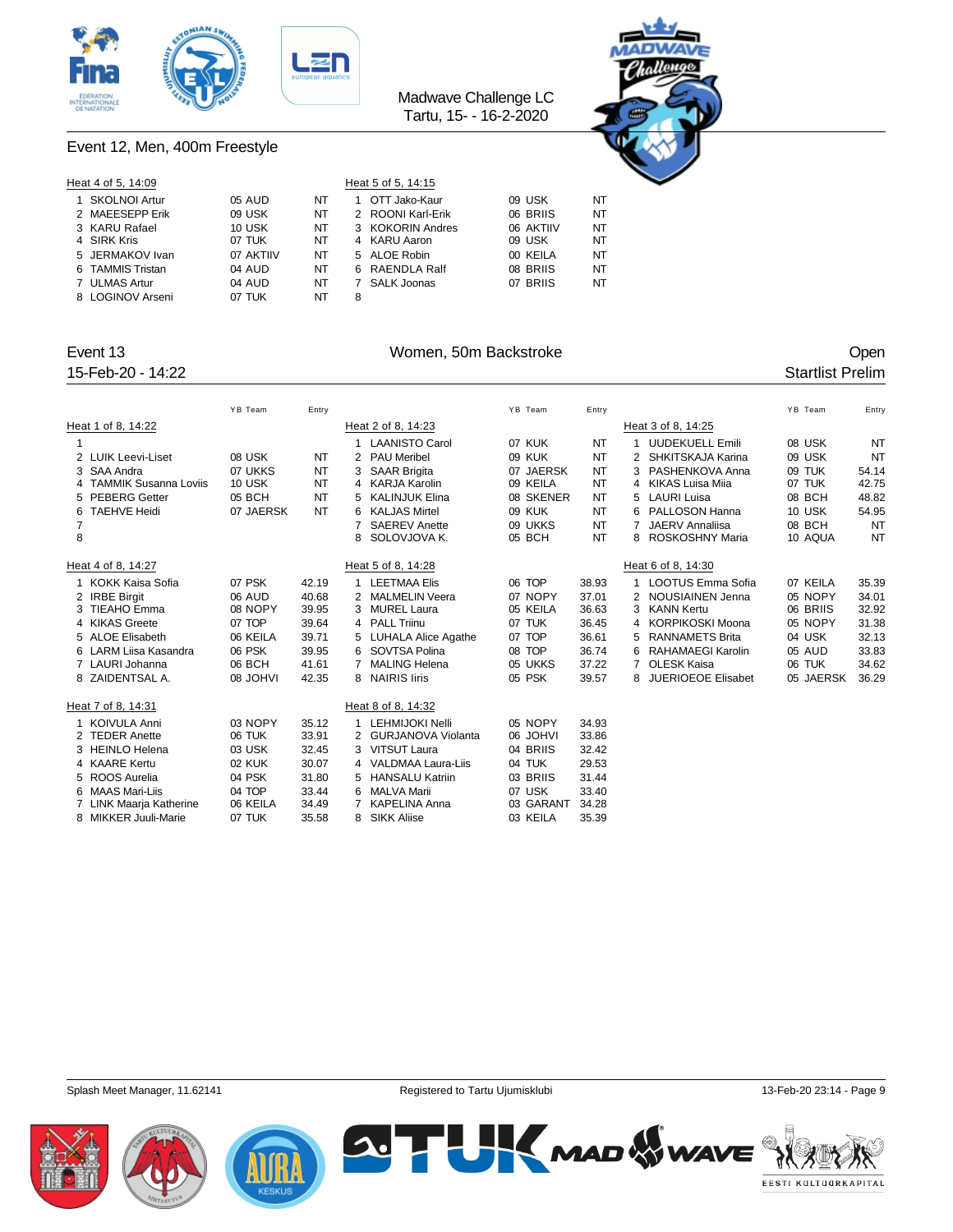



### Event 12, Men, 400m Freestyle

| Heat 4 of 5, 14:09 |           |    |   | Heat 5 of 5, 14:15 |           |    |  |
|--------------------|-----------|----|---|--------------------|-----------|----|--|
| 1 SKOLNOI Artur    | 05 AUD    | NT |   | OTT Jako-Kaur      | 09 USK    | NT |  |
| 2 MAEESEPP Erik    | 09 USK    | NT |   | 2 ROONI Karl-Erik  | 06 BRIIS  | NT |  |
| 3 KARU Rafael      | 10 USK    | NT |   | 3 KOKORIN Andres   | 06 AKTIIV | NT |  |
| 4 SIRK Kris        | 07 TUK    | NT |   | 4 KARU Aaron       | 09 USK    | NT |  |
| 5 JERMAKOV Ivan    | 07 AKTIIV | NT |   | 5 ALOE Robin       | 00 KEILA  | NT |  |
| 6 TAMMIS Tristan   | 04 AUD    | NT |   | 6 RAENDLA Ralf     | 08 BRIIS  | NT |  |
| 7 ULMAS Artur      | 04 AUD    | NT |   | SALK Joonas        | 07 BRIIS  | NT |  |
| 8 LOGINOV Arseni   | 07 TUK    | NT | 8 |                    |           |    |  |

### Event 13 Communication of the UV Women, 50m Backstroke Communication of the Open

|             | 15-Feb-20 - 14:22       |                 |           |                |                        |           |           |   |                        |           | <b>Startlist Prelim</b> |           |
|-------------|-------------------------|-----------------|-----------|----------------|------------------------|-----------|-----------|---|------------------------|-----------|-------------------------|-----------|
|             |                         | YB Team         | Entry     |                |                        | YB Team   | Entry     |   |                        | YB Team   |                         | Entry     |
|             | Heat 1 of 8, 14:22      |                 |           |                | Heat 2 of 8, 14:23     |           |           |   | Heat 3 of 8, 14:25     |           |                         |           |
| $\mathbf 1$ |                         |                 |           | 1              | <b>LAANISTO Carol</b>  | 07 KUK    | NT        |   | <b>UUDEKUELL Emili</b> | 08 USK    |                         | <b>NT</b> |
|             | 2 LUIK Leevi-Liset      | 08 USK          | NT        |                | 2 PAU Meribel          | 09 KUK    | <b>NT</b> |   | SHKITSKAJA Karina      | 09 USK    |                         | NT        |
|             | 3 SAA Andra             | 07 UKKS         | NT        | 3              | <b>SAAR Brigita</b>    | 07 JAERSK | <b>NT</b> |   | 3 PASHENKOVA Anna      | 09 TUK    |                         | 54.14     |
|             | 4 TAMMIK Susanna Loviis | 10 USK          | NT        | 4              | KARJA Karolin          | 09 KEILA  | NT        |   | 4 KIKAS Luisa Miia     | 07 TUK    |                         | 42.75     |
|             | 5 PEBERG Getter         | 05 BCH          | <b>NT</b> | 5              | <b>KALINJUK Elina</b>  | 08 SKENER | <b>NT</b> |   | 5 LAURI Luisa          | 08 BCH    |                         | 48.82     |
| 6           | <b>TAEHVE Heidi</b>     | 07 JAERSK       | <b>NT</b> | 6              | <b>KALJAS Mirtel</b>   | 09 KUK    | <b>NT</b> |   | 6 PALLOSON Hanna       | 10 USK    |                         | 54.95     |
| 7           |                         |                 |           | 7              | <b>SAEREV Anette</b>   | 09 UKKS   | <b>NT</b> |   | 7 JAERV Annaliisa      | 08 BCH    |                         | NT        |
| 8           |                         |                 |           | 8              | SOLOVJOVA K.           | 05 BCH    | <b>NT</b> |   | 8 ROSKOSHNY Maria      | 10 AQUA   |                         | NT        |
|             | Heat 4 of 8, 14:27      |                 |           |                | Heat 5 of 8, 14:28     |           |           |   | Heat 6 of 8, 14:30     |           |                         |           |
|             | 1 KOKK Kaisa Sofia      | 07 PSK          | 42.19     | $\mathbf{1}$   | <b>LEETMAA Elis</b>    | 06 TOP    | 38.93     |   | 1 LOOTUS Emma Sofia    | 07 KEILA  |                         | 35.39     |
|             | 2 IRBE Birgit           | 06 AUD          | 40.68     | 2              | <b>MALMELIN Veera</b>  | 07 NOPY   | 37.01     |   | 2 NOUSIAINEN Jenna     | 05 NOPY   |                         | 34.01     |
|             | 3 TIEAHO Emma           | 08 NOPY         | 39.95     | 3              | <b>MUREL Laura</b>     | 05 KEILA  | 36.63     | 3 | <b>KANN Kertu</b>      | 06 BRIIS  |                         | 32.92     |
|             | 4 KIKAS Greete          | 07 TOP          | 39.64     |                | 4 PALL Triinu          | 07 TUK    | 36.45     |   | 4 KORPIKOSKI Moona     | 05 NOPY   |                         | 31.38     |
|             | 5 ALOE Elisabeth        | 06 KEILA        | 39.71     |                | 5 LUHALA Alice Agathe  | 07 TOP    | 36.61     |   | 5 RANNAMETS Brita      | 04 USK    |                         | 32.13     |
|             | 6 LARM Liisa Kasandra   | 06 PSK          | 39.95     | 6              | SOVTSA Polina          | 08 TOP    | 36.74     | 6 | RAHAMAEGI Karolin      | 05 AUD    |                         | 33.83     |
|             | 7 LAURI Johanna         | 06 BCH          | 41.61     | 7              | <b>MALING Helena</b>   | 05 UKKS   | 37.22     |   | 7 OLESK Kaisa          | 06 TUK    |                         | 34.62     |
|             | 8 ZAIDENTSAL A.         | <b>08 JOHVI</b> | 42.35     |                | 8 NAIRIS liris         | 05 PSK    | 39.57     |   | 8 JUERIOEOE Elisabet   | 05 JAERSK |                         | 36.29     |
|             | Heat 7 of 8, 14:31      |                 |           |                | Heat 8 of 8, 14:32     |           |           |   |                        |           |                         |           |
|             | 1 KOIVULA Anni          | 03 NOPY         | 35.12     | 1              | <b>LEHMIJOKI Nelli</b> | 05 NOPY   | 34.93     |   |                        |           |                         |           |
|             | 2 TEDER Anette          | 06 TUK          | 33.91     |                | 2 GURJANOVA Violanta   | 06 JOHVI  | 33.86     |   |                        |           |                         |           |
|             | 3 HEINLO Helena         | 03 USK          | 32.45     |                | 3 VITSUT Laura         | 04 BRIIS  | 32.42     |   |                        |           |                         |           |
|             | 4 KAARE Kertu           | 02 KUK          | 30.07     |                | 4 VALDMAA Laura-Liis   | 04 TUK    | 29.53     |   |                        |           |                         |           |
|             | 5 ROOS Aurelia          | 04 PSK          | 31.80     | 5              | <b>HANSALU Katriin</b> | 03 BRIIS  | 31.44     |   |                        |           |                         |           |
|             | 6 MAAS Mari-Liis        | 04 TOP          | 33.44     | 6              | <b>MALVA Marii</b>     | 07 USK    | 33.40     |   |                        |           |                         |           |
|             | LINK Maarja Katherine   | 06 KEILA        | 34.49     | $\overline{7}$ | <b>KAPELINA Anna</b>   | 03 GARANT | 34.28     |   |                        |           |                         |           |
|             | 8 MIKKER Juuli-Marie    | 07 TUK          | 35.58     | 8              | <b>SIKK Aliise</b>     | 03 KEILA  | 35.39     |   |                        |           |                         |           |

Splash Meet Manager, 11.62141 **Registered to Tartu Ujumisklubi** 13-Feb-20 23:14 - Page 9





**SUTHERMAD WWAVE** EESTI KULTUURKAPITAL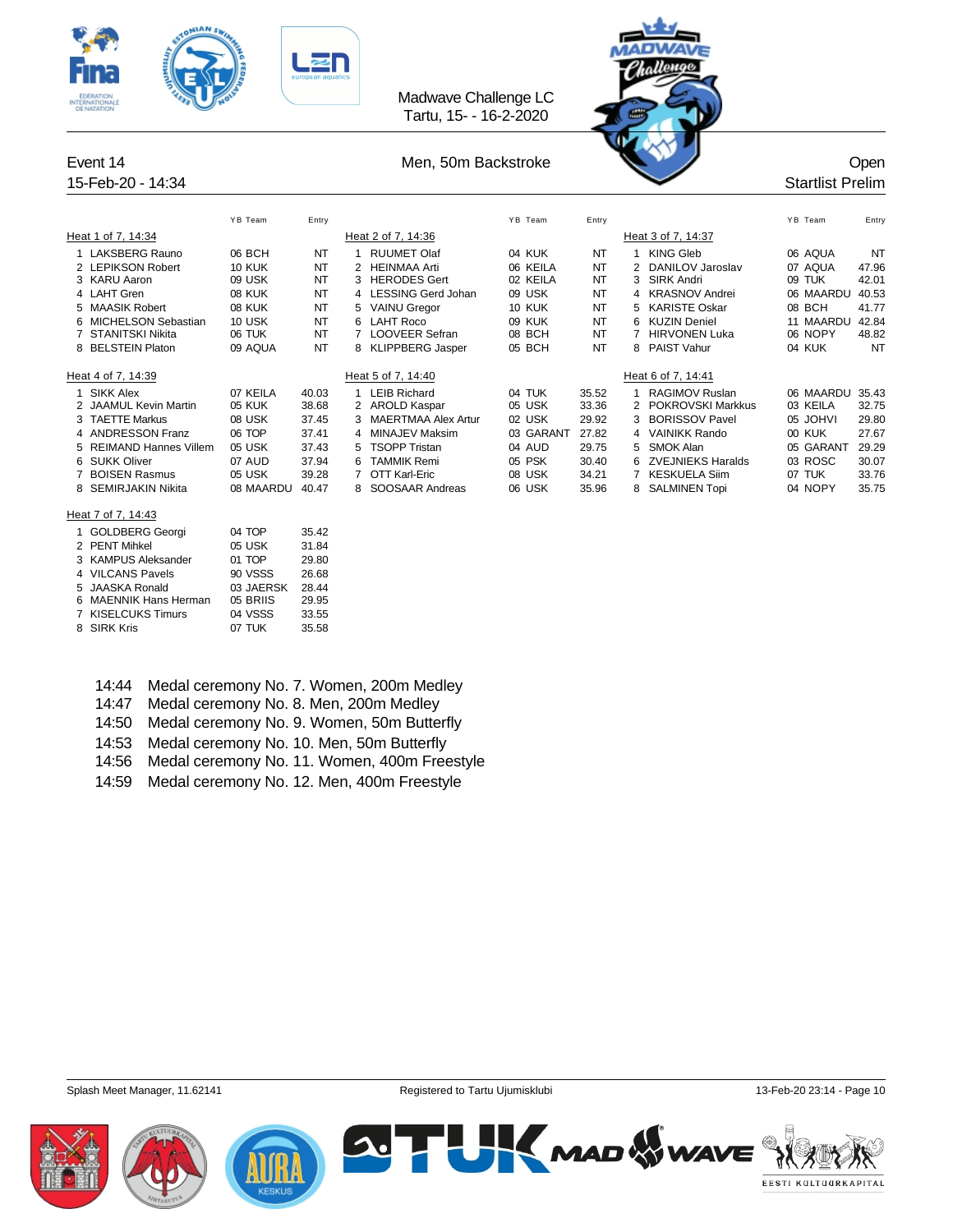



|                         | YB Team       | Entry     |    |                            | YB Team   | Entry     |   |                       | YB Team   | Entry     |
|-------------------------|---------------|-----------|----|----------------------------|-----------|-----------|---|-----------------------|-----------|-----------|
| Heat 1 of 7, 14:34      |               |           |    | Heat 2 of 7, 14:36         |           |           |   | Heat 3 of 7, 14:37    |           |           |
| 1 LAKSBERG Rauno        | 06 BCH        | NT        |    | <b>RUUMET Olaf</b>         | 04 KUK    | NT        |   | KING Gleb             | 06 AQUA   | NT        |
| 2 LEPIKSON Robert       | <b>10 KUK</b> | <b>NT</b> | 2  | HEINMAA Arti               | 06 KEILA  | NT        |   | 2 DANILOV Jaroslav    | 07 AQUA   | 47.96     |
| 3 KARU Aaron            | 09 USK        | NT        | 3  | <b>HERODES Gert</b>        | 02 KEILA  | <b>NT</b> | 3 | SIRK Andri            | 09 TUK    | 42.01     |
| 4 LAHT Gren             | <b>08 KUK</b> | NT        |    | 4 LESSING Gerd Johan       | 09 USK    | NT        |   | 4 KRASNOV Andrei      | 06 MAARDU | 40.53     |
| 5 MAASIK Robert         | <b>08 KUK</b> | NT        |    | 5 VAINU Gregor             | 10 KUK    | NT        |   | 5 KARISTE Oskar       | 08 BCH    | 41.77     |
| 6 MICHELSON Sebastian   | 10 USK        | NT        |    | 6 LAHT Roco                | 09 KUK    | NT        |   | 6 KUZIN Deniel        | 11 MAARDU | 42.84     |
| 7 STANITSKI Nikita      | 06 TUK        | NT        |    | <b>LOOVEER Sefran</b>      | 08 BCH    | NT        |   | <b>HIRVONEN Luka</b>  | 06 NOPY   | 48.82     |
| 8 BELSTEIN Platon       | 09 AQUA       | NT        |    | 8 KLIPPBERG Jasper         | 05 BCH    | <b>NT</b> |   | 8 PAIST Vahur         | 04 KUK    | <b>NT</b> |
| Heat 4 of 7, 14:39      |               |           |    | Heat 5 of 7, 14:40         |           |           |   | Heat 6 of 7, 14:41    |           |           |
| SIKK Alex               | 07 KEILA      | 40.03     |    | LEIB Richard               | 04 TUK    | 35.52     |   | <b>RAGIMOV Ruslan</b> | 06 MAARDU | 35.43     |
| 2 JAAMUL Kevin Martin   | 05 KUK        | 38.68     | 2  | <b>AROLD Kaspar</b>        | 05 USK    | 33.36     |   | 2 POKROVSKI Markkus   | 03 KEILA  | 32.75     |
| 3 TAETTE Markus         | 08 USK        | 37.45     | 3  | <b>MAERTMAA Alex Artur</b> | 02 USK    | 29.92     | 3 | <b>BORISSOV Pavel</b> | 05 JOHVI  | 29.80     |
| 4 ANDRESSON Franz       | 06 TOP        | 37.41     | 4  | MINAJEV Maksim             | 03 GARANT | 27.82     |   | 4 VAINIKK Rando       | 00 KUK    | 27.67     |
| 5 REIMAND Hannes Villem | 05 USK        | 37.43     |    | 5 TSOPP Tristan            | 04 AUD    | 29.75     |   | 5 SMOK Alan           | 05 GARANT | 29.29     |
| 6 SUKK Oliver           | 07 AUD        | 37.94     | 6. | TAMMIK Remi                | 05 PSK    | 30.40     |   | 6 ZVEJNIEKS Haralds   | 03 ROSC   | 30.07     |
| 7 BOISEN Rasmus         | 05 USK        | 39.28     |    | OTT Karl-Eric              | 08 USK    | 34.21     |   | KESKUELA Siim         | 07 TUK    | 33.76     |
| 8 SEMIRJAKIN Nikita     | 08 MAARDU     | 40.47     |    | SOOSAAR Andreas            | 06 USK    | 35.96     |   | 8 SALMINEN Topi       | 04 NOPY   | 35.75     |
|                         |               |           |    |                            |           |           |   |                       |           |           |

### Heat 7 of 7, 14:43

| 1 GOLDBERG Georgi     | 04 TOP    | 35.42 |
|-----------------------|-----------|-------|
| 2 PENT Mihkel         | 05 USK    | 31.84 |
| 3 KAMPUS Aleksander   | 01 TOP    | 29.80 |
| 4 VILCANS Pavels      | 90 VSSS   | 26.68 |
| 5 JAASKA Ronald       | 03 JAERSK | 28.44 |
| 6 MAENNIK Hans Herman | 05 BRIIS  | 29.95 |
| 7 KISELCUKS Timurs    | 04 VSSS   | 33.55 |
| 8 SIRK Kris           | 07 TUK    | 35.58 |

- 14:44 Medal ceremony No. 7. Women, 200m Medley
- 14:47 Medal ceremony No. 8. Men, 200m Medley
- 14:50 Medal ceremony No. 9. Women, 50m Butterfly
- 14:53 Medal ceremony No. 10. Men, 50m Butterfly
- 14:56 Medal ceremony No. 11. Women, 400m Freestyle
- 14:59 Medal ceremony No. 12. Men, 400m Freestyle

Splash Meet Manager, 11.62141 **Registered to Tartu Ujumisklubi 13-Feb-20 23:14 - Page 10** 13-Feb-20 23:14 - Page 10



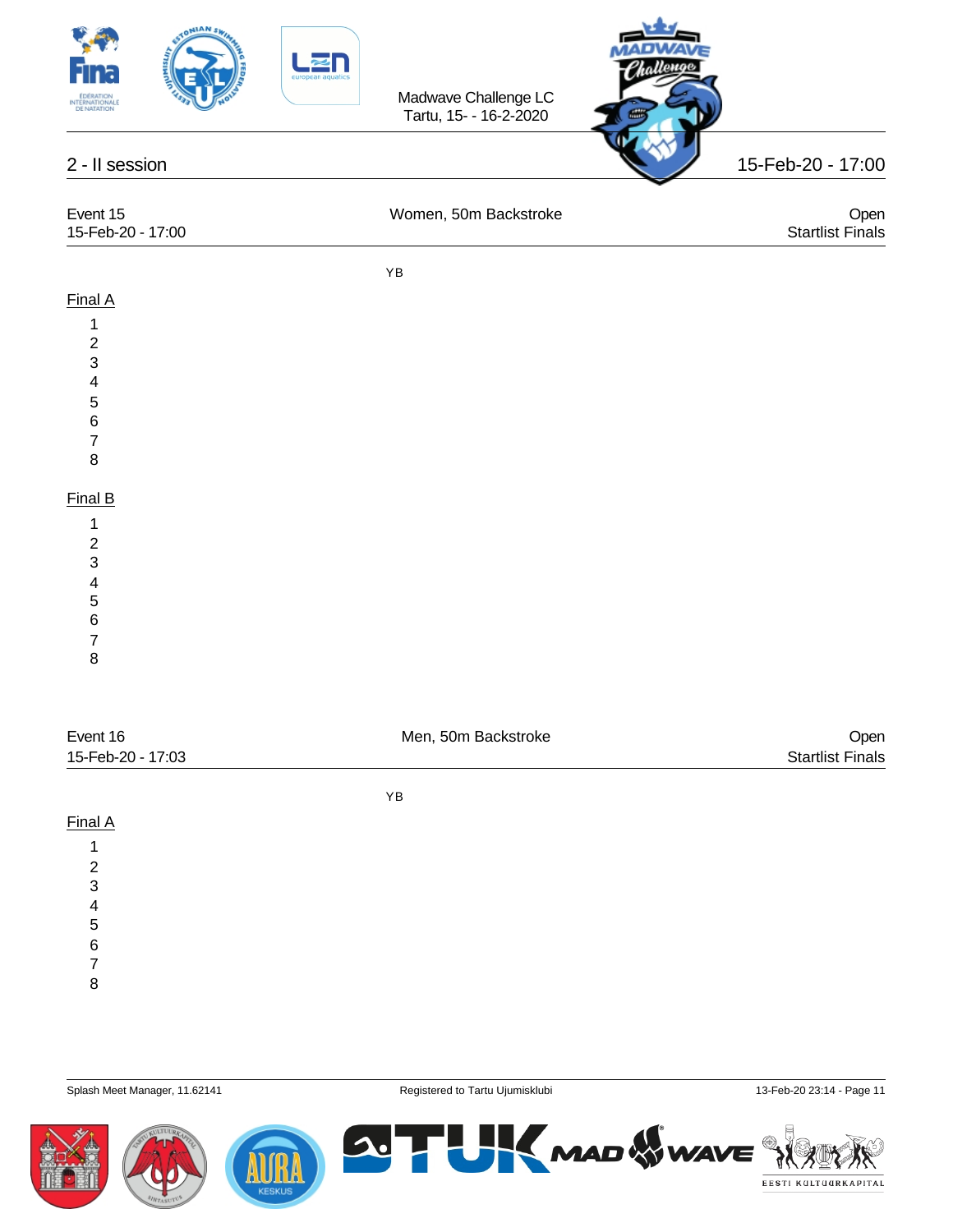



| Event 15<br>15-Feb-20 - 17:00 | Women, 50m Backstroke | Open<br><b>Startlist Finals</b> |
|-------------------------------|-----------------------|---------------------------------|
|                               | ΥB                    |                                 |
| Final A                       |                       |                                 |
| 4                             |                       |                                 |
| 2                             |                       |                                 |
| 3                             |                       |                                 |

 

Final B

 

 

| Event 16          | Men, 50m Backstroke | Open                    |  |  |  |
|-------------------|---------------------|-------------------------|--|--|--|
| 15-Feb-20 - 17:03 |                     | <b>Startlist Finals</b> |  |  |  |
|                   | YB                  |                         |  |  |  |
| Final A           |                     |                         |  |  |  |
|                   |                     |                         |  |  |  |
| 2                 |                     |                         |  |  |  |
| 3                 |                     |                         |  |  |  |

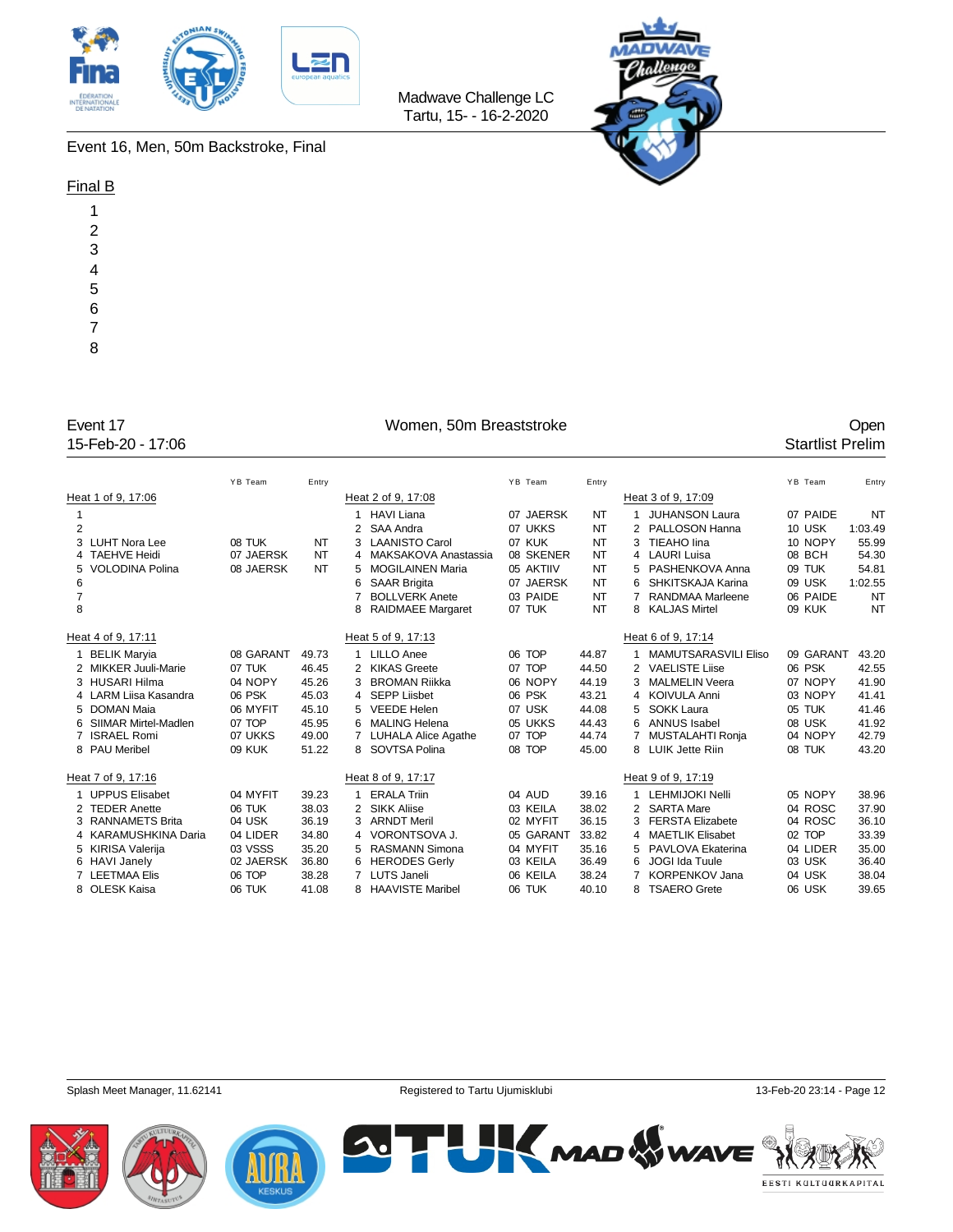



Event 16, Men, 50m Backstroke, Final

### Final B

| 1              |
|----------------|
|                |
|                |
| $\overline{c}$ |
|                |
|                |
| 3              |
|                |
|                |
| 4              |
|                |
| 5              |
|                |
|                |
| 6              |
|                |
|                |
| $\overline{7}$ |
|                |
|                |
| 8              |
|                |
|                |

15-Feb-20 - 17:06

## Event 17 Comen, 50m Breaststroke Coment 17 Comen 17 Comen, 50m Breaststroke Coment 17 Coment 17 Coment 15-Feb-20 - 17:06

|                |                        | YB Team       | Entry     |   |                          | YB Team   | Entry     |    |                         | YB Team   | Entry     |
|----------------|------------------------|---------------|-----------|---|--------------------------|-----------|-----------|----|-------------------------|-----------|-----------|
|                |                        |               |           |   |                          |           |           |    |                         |           |           |
|                | Heat 1 of 9, 17:06     |               |           |   | Heat 2 of 9, 17:08       |           |           |    | Heat 3 of 9, 17:09      |           |           |
| 1              |                        |               |           | 1 | <b>HAVI Liana</b>        | 07 JAERSK | NT        |    | <b>JUHANSON Laura</b>   | 07 PAIDE  | <b>NT</b> |
| $\overline{2}$ |                        |               |           |   | SAA Andra                | 07 UKKS   | <b>NT</b> |    | 2 PALLOSON Hanna        | 10 USK    | 1:03.49   |
|                | 3 LUHT Nora Lee        | 08 TUK        | NT        | 3 | <b>LAANISTO Carol</b>    | 07 KUK    | <b>NT</b> |    | TIEAHO lina             | 10 NOPY   | 55.99     |
|                | 4 TAEHVE Heidi         | 07 JAERSK     | <b>NT</b> | 4 | MAKSAKOVA Anastassia     | 08 SKENER | <b>NT</b> |    | 4 LAURI Luisa           | 08 BCH    | 54.30     |
|                | 5 VOLODINA Polina      | 08 JAERSK     | NT        | 5 | <b>MOGILAINEN Maria</b>  | 05 AKTIIV | <b>NT</b> | 5. | PASHENKOVA Anna         | 09 TUK    | 54.81     |
| 6              |                        |               |           | 6 | <b>SAAR Brigita</b>      | 07 JAERSK | <b>NT</b> |    | SHKITSKAJA Karina       | 09 USK    | 1:02.55   |
| $\overline{7}$ |                        |               |           | 7 | <b>BOLLVERK Anete</b>    | 03 PAIDE  | <b>NT</b> |    | <b>RANDMAA Marleene</b> | 06 PAIDE  | <b>NT</b> |
| 8              |                        |               |           | 8 | <b>RAIDMAEE Margaret</b> | 07 TUK    | <b>NT</b> | 8  | <b>KALJAS Mirtel</b>    | 09 KUK    | <b>NT</b> |
|                | Heat 4 of 9, 17:11     |               |           |   | Heat 5 of 9, 17:13       |           |           |    | Heat 6 of 9, 17:14      |           |           |
|                | 1 BELIK Maryia         | 08 GARANT     | 49.73     | 1 | <b>LILLO Anee</b>        | 06 TOP    | 44.87     | 1. | MAMUTSARASVILI Eliso    | 09 GARANT | 43.20     |
|                | 2 MIKKER Juuli-Marie   | 07 TUK        | 46.45     | 2 | <b>KIKAS Greete</b>      | 07 TOP    | 44.50     |    | 2 VAELISTE Liise        | 06 PSK    | 42.55     |
|                | 3 HUSARI Hilma         | 04 NOPY       | 45.26     | 3 | <b>BROMAN Riikka</b>     | 06 NOPY   | 44.19     |    | 3 MALMELIN Veera        | 07 NOPY   | 41.90     |
|                | 4 LARM Liisa Kasandra  | 06 PSK        | 45.03     | 4 | SEPP Liisbet             | 06 PSK    | 43.21     |    | 4 KOIVULA Anni          | 03 NOPY   | 41.41     |
|                | 5 DOMAN Maia           | 06 MYFIT      | 45.10     | 5 | <b>VEEDE Helen</b>       | 07 USK    | 44.08     | 5. | <b>SOKK Laura</b>       | 05 TUK    | 41.46     |
|                | 6 SIIMAR Mirtel-Madlen | 07 TOP        | 45.95     | 6 | <b>MALING Helena</b>     | 05 UKKS   | 44.43     |    | 6 ANNUS Isabel          | 08 USK    | 41.92     |
|                | 7 ISRAEL Romi          | 07 UKKS       | 49.00     | 7 | LUHALA Alice Agathe      | 07 TOP    | 44.74     |    | 7 MUSTALAHTI Ronja      | 04 NOPY   | 42.79     |
|                | 8 PAU Meribel          | <b>09 KUK</b> | 51.22     |   | 8 SOVTSA Polina          | 08 TOP    | 45.00     |    | 8 LUIK Jette Riin       | 08 TUK    | 43.20     |
|                | Heat 7 of 9, 17:16     |               |           |   | Heat 8 of 9, 17:17       |           |           |    | Heat 9 of 9, 17:19      |           |           |
|                | 1 UPPUS Elisabet       | 04 MYFIT      | 39.23     | 1 | <b>ERALA Triin</b>       | 04 AUD    | 39.16     |    | 1 LEHMIJOKI Nelli       | 05 NOPY   | 38.96     |
|                | 2 TEDER Anette         | 06 TUK        | 38.03     | 2 | <b>SIKK Aliise</b>       | 03 KEILA  | 38.02     |    | 2 SARTA Mare            | 04 ROSC   | 37.90     |
|                | 3 RANNAMETS Brita      | 04 USK        | 36.19     | 3 | <b>ARNDT Meril</b>       | 02 MYFIT  | 36.15     |    | 3 FERSTA Elizabete      | 04 ROSC   | 36.10     |
|                | 4 KARAMUSHKINA Daria   | 04 LIDER      | 34.80     |   | 4 VORONTSOVA J.          | 05 GARANT | 33.82     |    | 4 MAETLIK Elisabet      | 02 TOP    | 33.39     |
|                | 5 KIRISA Valerija      | 03 VSSS       | 35.20     | 5 | <b>RASMANN Simona</b>    | 04 MYFIT  | 35.16     | 5. | PAVLOVA Ekaterina       | 04 LIDER  | 35.00     |
|                | 6 HAVI Janely          | 02 JAERSK     | 36.80     | 6 | <b>HERODES Gerly</b>     | 03 KEILA  | 36.49     | 6  | JOGI Ida Tuule          | 03 USK    | 36.40     |
|                | 7 LEETMAA Elis         | 06 TOP        | 38.28     | 7 | <b>LUTS Janeli</b>       | 06 KEILA  | 38.24     |    | <b>KORPENKOV Jana</b>   | 04 USK    | 38.04     |
|                | 8 OLESK Kaisa          | 06 TUK        | 41.08     | 8 | <b>HAAVISTE Maribel</b>  | 06 TUK    | 40.10     |    | 8 TSAERO Grete          | 06 USK    | 39.65     |
|                |                        |               |           |   |                          |           |           |    |                         |           |           |





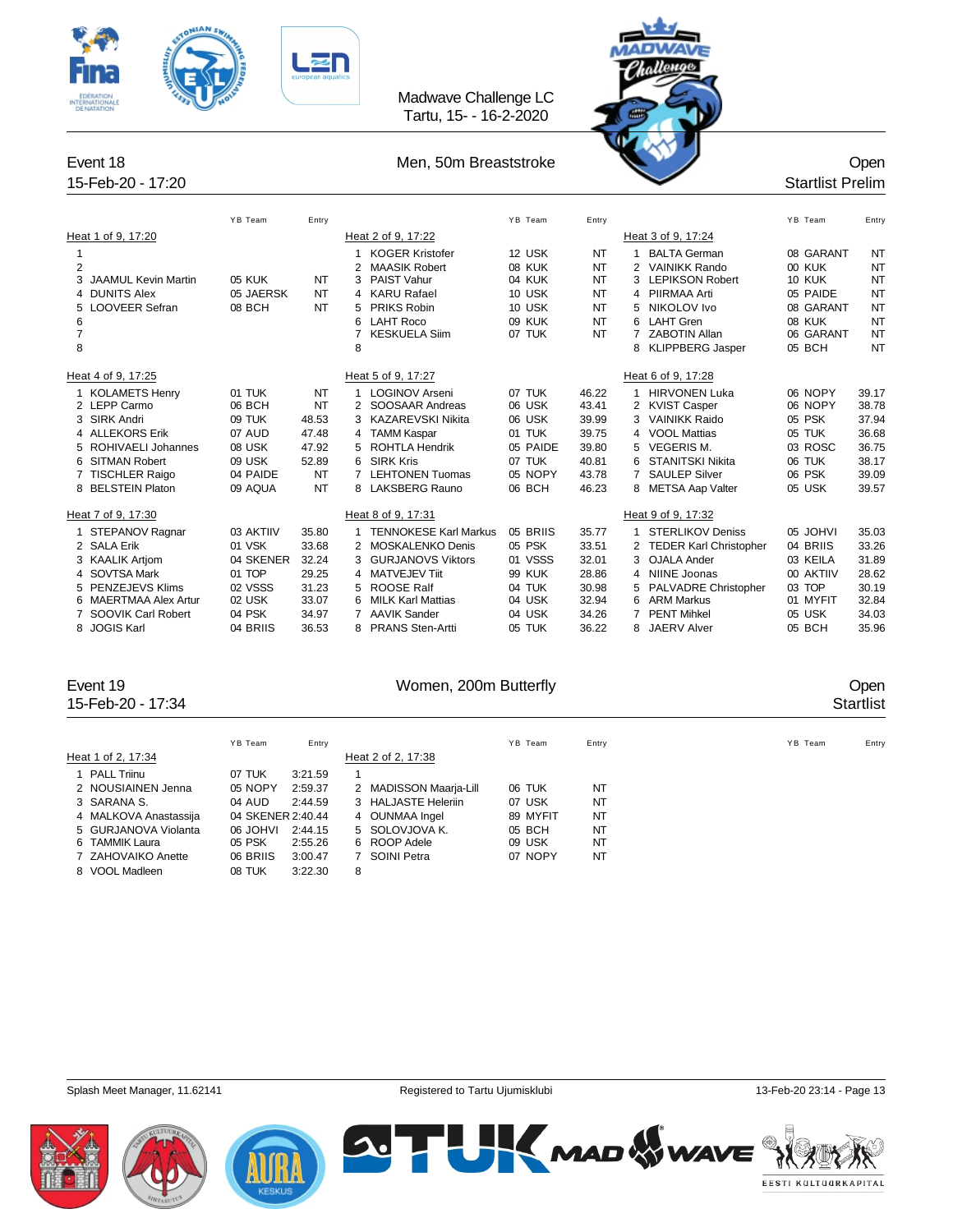

# Tartu, 15- - 16-2-2020

Madwave Challenge LC



|                |                            | YB Team       | Entry |                |                              | YB Team       | Entry     |                |                          | YB Team   | Entry     |
|----------------|----------------------------|---------------|-------|----------------|------------------------------|---------------|-----------|----------------|--------------------------|-----------|-----------|
|                | Heat 1 of 9, 17:20         |               |       |                | Heat 2 of 9, 17:22           |               |           |                | Heat 3 of 9, 17:24       |           |           |
|                |                            |               |       | 1              | <b>KOGER Kristofer</b>       | 12 USK        | <b>NT</b> |                | <b>BALTA German</b>      | 08 GARANT | NT        |
| $\overline{2}$ |                            |               |       | 2              | <b>MAASIK Robert</b>         | <b>08 KUK</b> | <b>NT</b> | 2              | <b>VAINIKK Rando</b>     | 00 KUK    | <b>NT</b> |
|                | <b>JAAMUL Kevin Martin</b> | <b>05 KUK</b> | NT    | 3              | PAIST Vahur                  | 04 KUK        | <b>NT</b> | 3              | <b>LEPIKSON Robert</b>   | 10 KUK    | <b>NT</b> |
| 4              | <b>DUNITS Alex</b>         | 05 JAERSK     | NT    |                | 4 KARU Rafael                | 10 USK        | <b>NT</b> |                | 4 PIIRMAA Arti           | 05 PAIDE  | <b>NT</b> |
| 5              | <b>LOOVEER Sefran</b>      | 08 BCH        | NT    | 5              | PRIKS Robin                  | 10 USK        | <b>NT</b> | 5.             | NIKOLOV Ivo              | 08 GARANT | <b>NT</b> |
| 6              |                            |               |       | 6              | <b>LAHT Roco</b>             | 09 KUK        | <b>NT</b> |                | 6 LAHT Gren              | 08 KUK    | <b>NT</b> |
| $\overline{7}$ |                            |               |       |                | <b>KESKUELA Siim</b>         | 07 TUK        | <b>NT</b> | 7              | <b>ZABOTIN Allan</b>     | 06 GARANT | <b>NT</b> |
| 8              |                            |               |       | 8              |                              |               |           | 8              | <b>KLIPPBERG Jasper</b>  | 05 BCH    | <b>NT</b> |
|                | Heat 4 of 9, 17:25         |               |       |                | Heat 5 of 9, 17:27           |               |           |                | Heat 6 of 9, 17:28       |           |           |
|                | 1 KOLAMETS Henry           | 01 TUK        | NT    |                | <b>LOGINOV Arseni</b>        | 07 TUK        | 46.22     |                | <b>HIRVONEN Luka</b>     | 06 NOPY   | 39.17     |
|                | 2 LEPP Carmo               | 06 BCH        | NT    |                | SOOSAAR Andreas              | 06 USK        | 43.41     |                | 2 KVIST Casper           | 06 NOPY   | 38.78     |
|                | 3 SIRK Andri               | 09 TUK        | 48.53 |                | 3 KAZAREVSKI Nikita          | 06 USK        | 39.99     | 3              | <b>VAINIKK Raido</b>     | 05 PSK    | 37.94     |
|                | 4 ALLEKORS Erik            | 07 AUD        | 47.48 | $\overline{4}$ | <b>TAMM Kaspar</b>           | 01 TUK        | 39.75     |                | 4 VOOL Mattias           | 05 TUK    | 36.68     |
|                | 5 ROHIVAELI Johannes       | 08 USK        | 47.92 | 5              | <b>ROHTLA Hendrik</b>        | 05 PAIDE      | 39.80     | 5.             | <b>VEGERIS M.</b>        | 03 ROSC   | 36.75     |
|                | 6 SITMAN Robert            | 09 USK        | 52.89 | 6              | <b>SIRK Kris</b>             | 07 TUK        | 40.81     | 6.             | STANITSKI Nikita         | 06 TUK    | 38.17     |
|                | 7 TISCHLER Raigo           | 04 PAIDE      | NT    |                | <b>LEHTONEN Tuomas</b>       | 05 NOPY       | 43.78     | $\overline{7}$ | <b>SAULEP Silver</b>     | 06 PSK    | 39.09     |
|                | 8 BELSTEIN Platon          | 09 AQUA       | NT    |                | 8 LAKSBERG Rauno             | 06 BCH        | 46.23     |                | 8 METSA Aap Valter       | 05 USK    | 39.57     |
|                | Heat 7 of 9, 17:30         |               |       |                | Heat 8 of 9, 17:31           |               |           |                | Heat 9 of 9, 17:32       |           |           |
|                | 1 STEPANOV Ragnar          | 03 AKTIIV     | 35.80 |                | <b>TENNOKESE Karl Markus</b> | 05 BRIIS      | 35.77     |                | <b>STERLIKOV Deniss</b>  | 05 JOHVI  | 35.03     |
|                | 2 SALA Erik                | 01 VSK        | 33.68 |                | 2 MOSKALENKO Denis           | 05 PSK        | 33.51     |                | 2 TEDER Karl Christopher | 04 BRIIS  | 33.26     |
|                | 3 KAALIK Artiom            | 04 SKENER     | 32.24 | 3              | <b>GURJANOVS Viktors</b>     | 01 VSSS       | 32.01     |                | 3 OJALA Ander            | 03 KEILA  | 31.89     |
|                | 4 SOVTSA Mark              | 01 TOP        | 29.25 | 4              | <b>MATVEJEV Tiit</b>         | <b>99 KUK</b> | 28.86     |                | 4 NIINE Joonas           | 00 AKTIIV | 28.62     |
|                | 5 PENZEJEVS Klims          | 02 VSSS       | 31.23 | 5              | <b>ROOSE Ralf</b>            | 04 TUK        | 30.98     |                | 5 PALVADRE Christopher   | 03 TOP    | 30.19     |
|                | 6 MAERTMAA Alex Artur      | 02 USK        | 33.07 | 6              | <b>MILK Karl Mattias</b>     | 04 USK        | 32.94     |                | 6 ARM Markus             | 01 MYFIT  | 32.84     |
|                | SOOVIK Carl Robert         | 04 PSK        | 34.97 |                | <b>AAVIK Sander</b>          | 04 USK        | 34.26     |                | <b>PENT Mihkel</b>       | 05 USK    | 34.03     |
| 8              | <b>JOGIS Karl</b>          | 04 BRIIS      | 36.53 | 8              | <b>PRANS Sten-Artti</b>      | 05 TUK        | 36.22     | 8              | <b>JAERV Alver</b>       | 05 BCH    | 35.96     |

## 15-Feb-20 - 17:34 Startlist

Event 19 Communication of the UV Women, 200m Butterfly Communication of the UV Open

|                       | YB Team           | Entry   |   |                        | YB Team  | Entry          | YB Team | Entry |
|-----------------------|-------------------|---------|---|------------------------|----------|----------------|---------|-------|
| Heat 1 of 2, 17:34    |                   |         |   | Heat 2 of 2, 17:38     |          |                |         |       |
| 1 PALL Triinu         | 07 TUK            | 3:21.59 |   |                        |          |                |         |       |
| 2 NOUSIAINEN Jenna    | 05 NOPY           | 2:59.37 |   | 2 MADISSON Maarja-Lill | 06 TUK   | N <sub>T</sub> |         |       |
| 3 SARANA S.           | 04 AUD            | 2:44.59 |   | 3 HALJASTE Heleriin    | 07 USK   | NT             |         |       |
| 4 MALKOVA Anastassija | 04 SKENER 2:40.44 |         |   | 4 OUNMAA Ingel         | 89 MYFIT | NT             |         |       |
| 5 GURJANOVA Violanta  | IVHOL 80          | 2:44.15 |   | 5 SOLOVJOVA K.         | 05 BCH   | NT             |         |       |
| 6 TAMMIK Laura        | 05 PSK            | 2:55.26 |   | 6 ROOP Adele           | 09 USK   | <b>NT</b>      |         |       |
| 7 ZAHOVAIKO Anette    | 06 BRIIS          | 3:00.47 |   | SOINI Petra            | 07 NOPY  | NT             |         |       |
| 8 VOOL Madleen        | 08 TUK            | 3:22.30 | 8 |                        |          |                |         |       |
|                       |                   |         |   |                        |          |                |         |       |







**SUTH KMAD WWAVE** EESTI KULTUURKAPITAL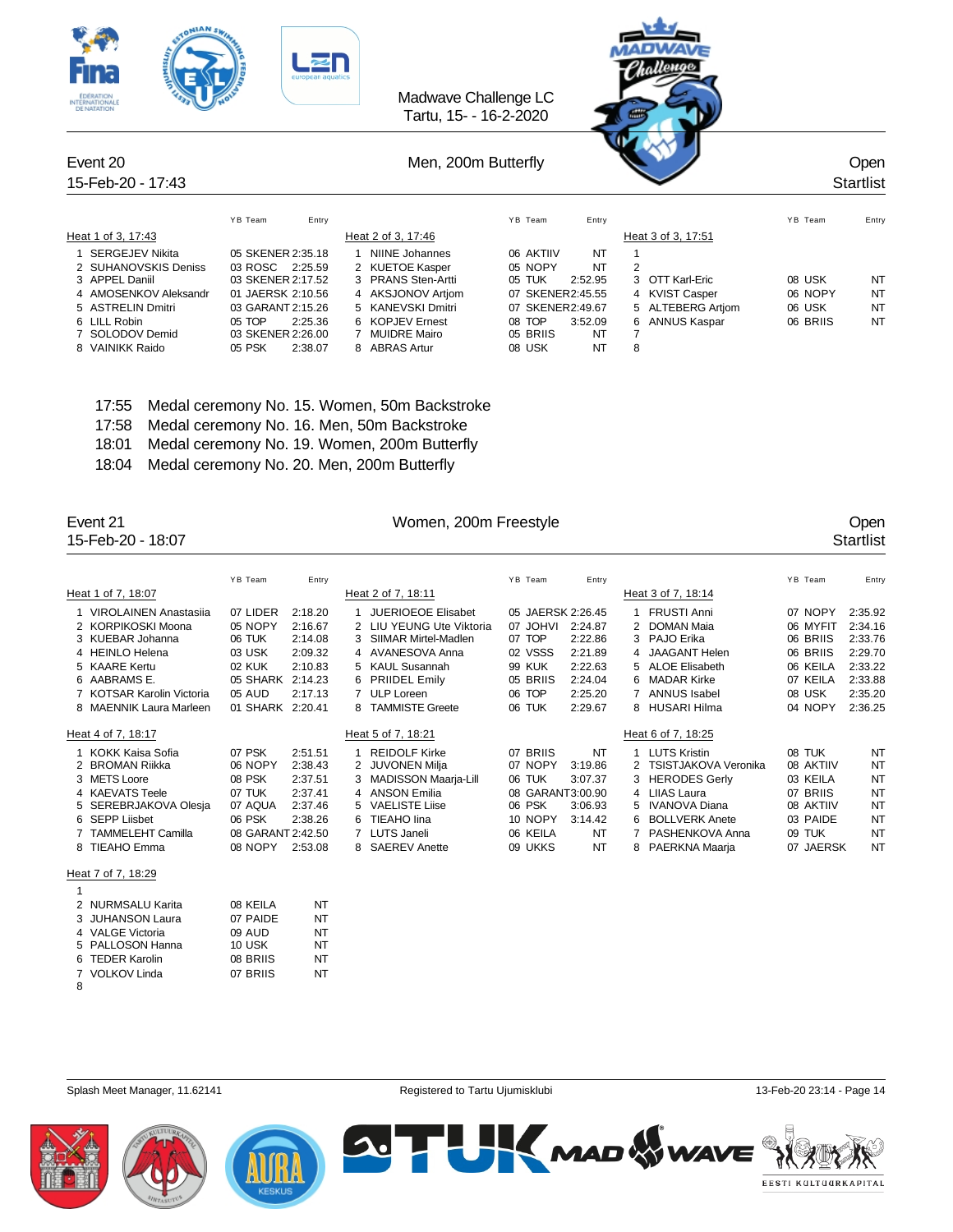| <b>Fina</b><br><b>EDERATION</b><br><b>INTERNATIONALE</b><br><b>DE NATATION</b>                                                                                       | suropean aquatics                                                                                                                                                  |                                                                                                                                                                                             | Madwave Challenge LC<br>Tartu, 15- - 16-2-2020                                                                                                              | <b>GOLDEN</b>                                                                                |                                         |                                           |
|----------------------------------------------------------------------------------------------------------------------------------------------------------------------|--------------------------------------------------------------------------------------------------------------------------------------------------------------------|---------------------------------------------------------------------------------------------------------------------------------------------------------------------------------------------|-------------------------------------------------------------------------------------------------------------------------------------------------------------|----------------------------------------------------------------------------------------------|-----------------------------------------|-------------------------------------------|
| Event 20<br>15-Feb-20 - 17:43                                                                                                                                        |                                                                                                                                                                    |                                                                                                                                                                                             | Men, 200m Butterfly                                                                                                                                         |                                                                                              |                                         | Open<br><b>Startlist</b>                  |
| Heat 1 of 3, 17:43                                                                                                                                                   | YB Team<br>Entry                                                                                                                                                   | Heat 2 of 3, 17:46                                                                                                                                                                          | YB Team<br>Entry                                                                                                                                            | Heat 3 of 3, 17:51                                                                           | YB Team                                 | Entry                                     |
| <b>SERGEJEV Nikita</b><br>2 SUHANOVSKIS Deniss<br>3 APPEL Daniil<br>4 AMOSENKOV Aleksandr<br>5 ASTRELIN Dmitri<br>6 LILL Robin<br>7 SOLODOV Demid<br>8 VAINIKK Raido | 05 SKENER 2:35.18<br>03 ROSC 2:25.59<br>03 SKENER 2:17.52<br>01 JAERSK 2:10.56<br>03 GARANT 2:15.26<br>05 TOP<br>2:25.36<br>03 SKENER 2:26.00<br>05 PSK<br>2:38.07 | <b>NIINE Johannes</b><br><b>KUETOE Kasper</b><br><b>PRANS Sten-Artti</b><br>4 AKSJONOV Artiom<br>KANEVSKI Dmitri<br><b>KOPJEV Ernest</b><br>6.<br><b>MUIDRE Mairo</b><br><b>ABRAS Artur</b> | 06 AKTIIV<br>NT<br>05 NOPY<br>NT<br>05 TUK<br>2:52.95<br>07 SKENER2:45.55<br>07 SKENER2:49.67<br>08 TOP<br>3:52.09<br>05 BRIIS<br>NT<br><b>NT</b><br>08 USK | 2<br>3 OTT Karl-Eric<br>4 KVIST Casper<br>5 ALTEBERG Artiom<br><b>ANNUS Kaspar</b><br>6<br>8 | 08 USK<br>06 NOPY<br>06 USK<br>06 BRIIS | NT<br><b>NT</b><br><b>NT</b><br><b>NT</b> |

 $x + y = 1$ 

- 17:55 Medal ceremony No. 15. Women, 50m Backstroke
- 17:58 Medal ceremony No. 16. Men, 50m Backstroke

ONIAN Sky

 $\mathbf{R}$ 

- 18:01 Medal ceremony No. 19. Women, 200m Butterfly
- 18:04 Medal ceremony No. 20. Men, 200m Butterfly

Event 21 Communication of the UV Communication of the UV Communication of the UV Communication of the UV Communication of the Open 15-Feb-20 - 18:07 Communication of the UV Communication of the UV Communication of the UV C 15-Feb-20 - 18:07

|                           | YB Team           | Entry   |    |                           | YB Team           | Entry     |   |                        | YB Team   | Entry     |
|---------------------------|-------------------|---------|----|---------------------------|-------------------|-----------|---|------------------------|-----------|-----------|
| Heat 1 of 7, 18:07        |                   |         |    | Heat 2 of 7, 18:11        |                   |           |   | Heat 3 of 7, 18:14     |           |           |
| 1 VIROLAINEN Anastasija   | 07 LIDER          | 2:18.20 |    | <b>JUERIOEOE Elisabet</b> | 05 JAERSK 2:26.45 |           |   | <b>FRUSTI Anni</b>     | 07 NOPY   | 2:35.92   |
| 2 KORPIKOSKI Moona        | 05 NOPY           | 2:16.67 | 2  | LIU YEUNG Ute Viktoria    | 07 JOHVI          | 2:24.87   |   | <b>DOMAN Maia</b>      | 06 MYFIT  | 2:34.16   |
| 3 KUEBAR Johanna          | 06 TUK            | 2:14.08 |    | SIIMAR Mirtel-Madlen      | 07 TOP            | 2:22.86   |   | 3 PAJO Erika           | 06 BRIIS  | 2:33.76   |
| 4 HEINLO Helena           | 03 USK            | 2:09.32 |    | 4 AVANESOVA Anna          | 02 VSSS           | 2:21.89   |   | 4 JAAGANT Helen        | 06 BRIIS  | 2:29.70   |
| 5 KAARE Kertu             | 02 KUK            | 2:10.83 |    | 5 KAUL Susannah           | <b>99 KUK</b>     | 2:22.63   |   | 5 ALOE Elisabeth       | 06 KEILA  | 2:33.22   |
| 6 AABRAMS E.              | 05 SHARK          | 2:14.23 | 6. | <b>PRIIDEL Emily</b>      | 05 BRIIS          | 2:24.04   |   | 6 MADAR Kirke          | 07 KEILA  | 2:33.88   |
| 7 KOTSAR Karolin Victoria | 05 AUD            | 2:17.13 |    | 7 ULP Loreen              | 06 TOP            | 2:25.20   |   | 7 ANNUS Isabel         | 08 USK    | 2:35.20   |
| 8 MAENNIK Laura Marleen   | 01 SHARK          | 2:20.41 |    | <b>TAMMISTE Greete</b>    | 06 TUK            | 2:29.67   |   | 8 HUSARI Hilma         | 04 NOPY   | 2:36.25   |
|                           |                   |         |    |                           |                   |           |   |                        |           |           |
|                           |                   |         |    |                           |                   |           |   |                        |           |           |
| Heat 4 of 7, 18:17        |                   |         |    | Heat 5 of 7, 18:21        |                   |           |   | Heat 6 of 7, 18:25     |           |           |
| 1 KOKK Kaisa Sofia        | 07 PSK            | 2:51.51 |    | <b>REIDOLF Kirke</b>      | 07 BRIIS          | <b>NT</b> |   | <b>LUTS Kristin</b>    | 08 TUK    | <b>NT</b> |
| 2 BROMAN Riikka           | 06 NOPY           | 2:38.43 | 2  | <b>JUVONEN Milja</b>      | 07 NOPY           | 3:19.86   |   | 2 TSISTJAKOVA Veronika | 08 AKTIIV | <b>NT</b> |
| 3 METS Loore              | 08 PSK            | 2:37.51 |    | MADISSON Maarja-Lill      | 06 TUK            | 3:07.37   |   | 3 HERODES Gerly        | 03 KEILA  | <b>NT</b> |
| 4 KAEVATS Teele           | 07 TUK            | 2:37.41 |    | 4 ANSON Emilia            | 08 GARANT3:00.90  |           |   | 4 LIIAS Laura          | 07 BRIIS  | <b>NT</b> |
| 5 SEREBRJAKOVA Olesja     | 07 AQUA           | 2:37.46 | 5. | <b>VAELISTE Liise</b>     | 06 PSK            | 3:06.93   |   | 5 IVANOVA Diana        | 08 AKTIIV | <b>NT</b> |
| 6 SEPP Liisbet            | 06 PSK            | 2:38.26 |    | <b>TIEAHO lina</b>        | 10 NOPY           | 3:14.42   | 6 | <b>BOLLVERK Anete</b>  | 03 PAIDE  | <b>NT</b> |
| 7 TAMMELEHT Camilla       | 08 GARANT 2:42.50 |         |    | <b>LUTS Janeli</b>        | 06 KEILA          | <b>NT</b> |   | PASHENKOVA Anna        | 09 TUK    | <b>NT</b> |
| 8 TIEAHO Emma             | 08 NOPY           | 2:53.08 |    | <b>SAEREV Anette</b>      | <b>UKKS</b><br>09 | <b>NT</b> |   | 8 PAERKNA Maarja       | 07 JAERSK | <b>NT</b> |
|                           |                   |         |    |                           |                   |           |   |                        |           |           |
| Heat 7 of 7, 18:29        |                   |         |    |                           |                   |           |   |                        |           |           |

|   | 2 NURMSALU Karita | 08 KEILA | NT |
|---|-------------------|----------|----|
|   | 3 JUHANSON Laura  | 07 PAIDE | NT |
|   | 4 VALGE Victoria  | 09 AUD   | NT |
|   | 5 PALLOSON Hanna  | 10 USK   | NT |
|   | 6 TEDER Karolin   | 08 BRIIS | NT |
|   | 7 VOLKOV Linda    | 07 BRIIS | NT |
| 8 |                   |          |    |







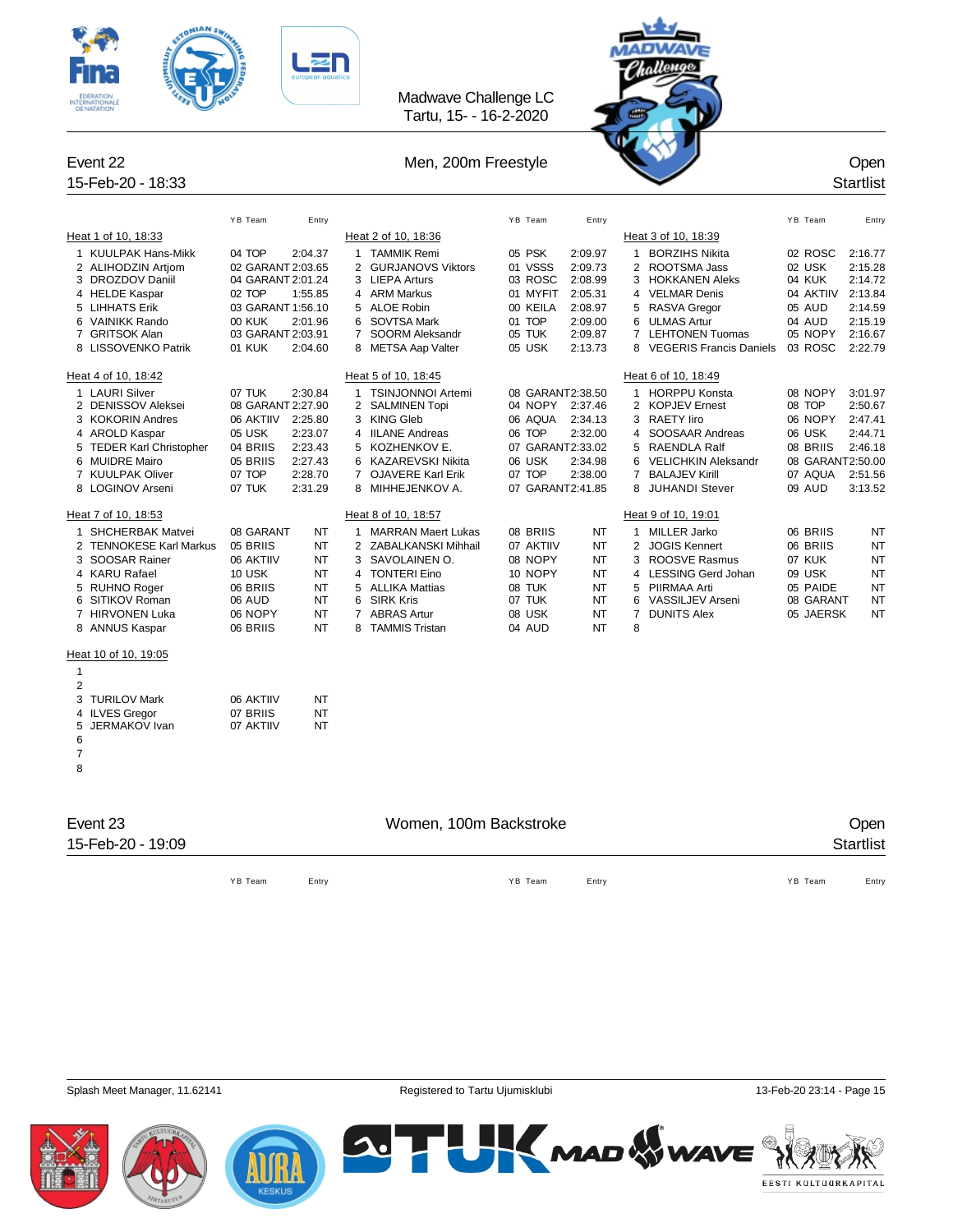



| Heat 1 of 10, 18:33<br>Heat 2 of 10, 18:36<br>Heat 3 of 10, 18:39<br>1 KUULPAK Hans-Mikk<br>04 TOP<br>2:04.37<br>1 TAMMIK Remi<br>05 PSK<br>2:09.97<br>1 BORZIHS Nikita<br>02 ROSC<br>2:16.77<br>01 VSSS<br>02 USK<br>2 ALIHODZIN Artiom<br>02 GARANT 2:03.65<br>2 GURJANOVS Viktors<br>2:09.73<br>2 ROOTSMA Jass<br>2:15.28<br>DROZDOV Daniil<br>04 GARANT 2:01.24<br>03 ROSC<br>2:08.99<br>04 KUK<br>2:14.72<br>3<br>3 LIEPA Arturs<br>3<br>HOKKANEN Aleks<br>4 HELDE Kaspar<br>02 TOP<br>1:55.85<br>4 ARM Markus<br>01 MYFIT<br>2:05.31<br>4 VELMAR Denis<br>04 AKTIIV<br>2:13.84<br><b>LIHHATS Erik</b><br>03 GARANT 1:56.10<br><b>ALOE Robin</b><br>00 KEILA<br>2:08.97<br>RASVA Gregor<br>05 AUD<br>2:14.59<br>5<br>5<br>5<br>04 AUD<br>6 VAINIKK Rando<br>00 KUK<br>2:01.96<br>6 SOVTSA Mark<br>01 TOP<br>2:09.00<br>6 ULMAS Artur<br>2:15.19<br><b>GRITSOK Alan</b><br>03 GARANT 2:03.91<br>$\overline{7}$<br>SOORM Aleksandr<br>05 TUK<br>2:09.87<br>$\overline{7}$<br><b>LEHTONEN Tuomas</b><br>05 NOPY<br>2:16.67<br>7<br>8 LISSOVENKO Patrik<br>05 USK<br>8 VEGERIS Francis Daniels<br>03 ROSC<br>2:22.79<br>01 KUK<br>2:04.60<br>8 METSA Aap Valter<br>2:13.73<br>Heat 4 of 10, 18:42<br>Heat 5 of 10, 18:45<br>Heat 6 of 10, 18:49<br>1 LAURI Silver<br>07 TUK<br>2:30.84<br>1 TSINJONNOI Artemi<br>08 GARANT2:38.50<br>1 HORPPU Konsta<br>08 NOPY<br>3:01.97<br>04 NOPY<br>08 TOP<br>2 DENISSOV Aleksei<br>08 GARANT 2:27.90<br>2 SALMINEN Topi<br>2:37.46<br>2 KOPJEV Ernest<br>2:50.67<br>3 KOKORIN Andres<br>2:25.80<br>3 KING Gleb<br>06 AQUA<br>2:34.13<br>3 RAETY liro<br>06 NOPY<br>2:47.41<br>06 AKTIIV<br>2:23.07<br>06 TOP<br>2:32.00<br>SOOSAAR Andreas<br>06 USK<br>4 AROLD Kaspar<br>05 USK<br><b>IILANE Andreas</b><br>2:44.71<br>4<br>4<br><b>TEDER Karl Christopher</b><br>04 BRIIS<br>2:23.43<br>5 KOZHENKOV E.<br>07 GARANT2:33.02<br>RAENDLA Ralf<br>08 BRIIS<br>2:46.18<br>5<br>5<br>2:27.43<br>06 USK<br>6 MUIDRE Mairo<br>05 BRIIS<br>6 KAZAREVSKI Nikita<br>2:34.98<br><b>VELICHKIN Aleksandr</b><br>08 GARANT2:50.00<br>6<br>7 KUULPAK Oliver<br>07 TOP<br>2:28.70<br>7 OJAVERE Karl Erik<br>07 TOP<br>2:38.00<br>$\overline{7}$<br><b>BALAJEV Kirill</b><br>07 AQUA<br>2:51.56<br>2:31.29<br>07 GARANT2:41.85<br>09 AUD<br>8 LOGINOV Arseni<br>07 TUK<br>8 MIHHEJENKOV A.<br>8<br>JUHANDI Stever<br>3:13.52<br>Heat 7 of 10, 18:53<br>Heat 8 of 10, 18:57<br>Heat 9 of 10, 19:01<br><b>SHCHERBAK Matvei</b><br>NT<br>08 BRIIS<br><b>NT</b><br>1 MILLER Jarko<br>06 BRIIS<br>NT<br>08 GARANT<br>1 MARRAN Maert Lukas<br>1<br><b>TENNOKESE Karl Markus</b><br>05 BRIIS<br>NT<br>2 JOGIS Kennert<br>06 BRIIS<br><b>NT</b><br>2 ZABALKANSKI Mihhail<br>07 AKTIIV<br>NT<br>2<br>3<br>SOOSAR Rainer<br>06 AKTIIV<br>NT<br>3<br>SAVOLAINEN O.<br>08 NOPY<br>NT<br>ROOSVE Rasmus<br>07 KUK<br>NT<br>3<br>4 KARU Rafael<br><b>TONTERI Eino</b><br>4 LESSING Gerd Johan<br><b>10 USK</b><br>NT<br>10 NOPY<br>NT<br>09 USK<br><b>NT</b><br>4<br>NT<br><b>ALLIKA Mattias</b><br>08 TUK<br><b>NT</b><br>PIIRMAA Arti<br>05 PAIDE<br>NT<br>5<br><b>RUHNO Roger</b><br>06 BRIIS<br>5<br>5<br>NT<br>6 SIRK Kris<br>07 TUK<br>VASSILJEV Arseni<br>SITIKOV Roman<br>06 AUD<br>NT<br>6<br>08 GARANT<br>NT<br>6<br>7 HIRVONEN Luka<br>NT<br>7 ABRAS Artur<br>08 USK<br><b>NT</b><br>$\overline{7}$<br><b>DUNITS Alex</b><br>05 JAERSK<br>NT<br>06 NOPY<br>NT<br>8 TAMMIS Tristan<br>NT<br>8<br>8 ANNUS Kaspar<br>06 BRIIS<br>04 AUD<br>Heat 10 of 10, 19:05<br>1<br>$\overline{2}$<br>3<br><b>TURILOV Mark</b><br>06 AKTIIV<br>NT<br><b>ILVES Gregor</b><br>07 BRIIS<br>NT<br>4<br>5<br><b>JERMAKOV</b> Ivan<br>07 AKTIIV<br>NΤ<br>6<br>7<br>8<br>Event 23<br>Women, 100m Backstroke<br>Open<br>15-Feb-20 - 19:09<br><b>Startlist</b><br>YB Team<br>Entry<br>YB Team<br>Entry<br>YB Team<br>Entry | YB Team | Entry |  | YB Team | Entry |  | YB Team | Entry |
|-----------------------------------------------------------------------------------------------------------------------------------------------------------------------------------------------------------------------------------------------------------------------------------------------------------------------------------------------------------------------------------------------------------------------------------------------------------------------------------------------------------------------------------------------------------------------------------------------------------------------------------------------------------------------------------------------------------------------------------------------------------------------------------------------------------------------------------------------------------------------------------------------------------------------------------------------------------------------------------------------------------------------------------------------------------------------------------------------------------------------------------------------------------------------------------------------------------------------------------------------------------------------------------------------------------------------------------------------------------------------------------------------------------------------------------------------------------------------------------------------------------------------------------------------------------------------------------------------------------------------------------------------------------------------------------------------------------------------------------------------------------------------------------------------------------------------------------------------------------------------------------------------------------------------------------------------------------------------------------------------------------------------------------------------------------------------------------------------------------------------------------------------------------------------------------------------------------------------------------------------------------------------------------------------------------------------------------------------------------------------------------------------------------------------------------------------------------------------------------------------------------------------------------------------------------------------------------------------------------------------------------------------------------------------------------------------------------------------------------------------------------------------------------------------------------------------------------------------------------------------------------------------------------------------------------------------------------------------------------------------------------------------------------------------------------------------------------------------------------------------------------------------------------------------------------------------------------------------------------------------------------------------------------------------------------------------------------------------------------------------------------------------------------------------------------------------------------------------------------------------------------------------------------------------------------------------------------------------------------------------------------------------------------------------------------------------------------------------------------------------------------------------------------------------------------------------|---------|-------|--|---------|-------|--|---------|-------|
|                                                                                                                                                                                                                                                                                                                                                                                                                                                                                                                                                                                                                                                                                                                                                                                                                                                                                                                                                                                                                                                                                                                                                                                                                                                                                                                                                                                                                                                                                                                                                                                                                                                                                                                                                                                                                                                                                                                                                                                                                                                                                                                                                                                                                                                                                                                                                                                                                                                                                                                                                                                                                                                                                                                                                                                                                                                                                                                                                                                                                                                                                                                                                                                                                                                                                                                                                                                                                                                                                                                                                                                                                                                                                                                                                                                                                       |         |       |  |         |       |  |         |       |
|                                                                                                                                                                                                                                                                                                                                                                                                                                                                                                                                                                                                                                                                                                                                                                                                                                                                                                                                                                                                                                                                                                                                                                                                                                                                                                                                                                                                                                                                                                                                                                                                                                                                                                                                                                                                                                                                                                                                                                                                                                                                                                                                                                                                                                                                                                                                                                                                                                                                                                                                                                                                                                                                                                                                                                                                                                                                                                                                                                                                                                                                                                                                                                                                                                                                                                                                                                                                                                                                                                                                                                                                                                                                                                                                                                                                                       |         |       |  |         |       |  |         |       |
|                                                                                                                                                                                                                                                                                                                                                                                                                                                                                                                                                                                                                                                                                                                                                                                                                                                                                                                                                                                                                                                                                                                                                                                                                                                                                                                                                                                                                                                                                                                                                                                                                                                                                                                                                                                                                                                                                                                                                                                                                                                                                                                                                                                                                                                                                                                                                                                                                                                                                                                                                                                                                                                                                                                                                                                                                                                                                                                                                                                                                                                                                                                                                                                                                                                                                                                                                                                                                                                                                                                                                                                                                                                                                                                                                                                                                       |         |       |  |         |       |  |         |       |
|                                                                                                                                                                                                                                                                                                                                                                                                                                                                                                                                                                                                                                                                                                                                                                                                                                                                                                                                                                                                                                                                                                                                                                                                                                                                                                                                                                                                                                                                                                                                                                                                                                                                                                                                                                                                                                                                                                                                                                                                                                                                                                                                                                                                                                                                                                                                                                                                                                                                                                                                                                                                                                                                                                                                                                                                                                                                                                                                                                                                                                                                                                                                                                                                                                                                                                                                                                                                                                                                                                                                                                                                                                                                                                                                                                                                                       |         |       |  |         |       |  |         |       |
|                                                                                                                                                                                                                                                                                                                                                                                                                                                                                                                                                                                                                                                                                                                                                                                                                                                                                                                                                                                                                                                                                                                                                                                                                                                                                                                                                                                                                                                                                                                                                                                                                                                                                                                                                                                                                                                                                                                                                                                                                                                                                                                                                                                                                                                                                                                                                                                                                                                                                                                                                                                                                                                                                                                                                                                                                                                                                                                                                                                                                                                                                                                                                                                                                                                                                                                                                                                                                                                                                                                                                                                                                                                                                                                                                                                                                       |         |       |  |         |       |  |         |       |
|                                                                                                                                                                                                                                                                                                                                                                                                                                                                                                                                                                                                                                                                                                                                                                                                                                                                                                                                                                                                                                                                                                                                                                                                                                                                                                                                                                                                                                                                                                                                                                                                                                                                                                                                                                                                                                                                                                                                                                                                                                                                                                                                                                                                                                                                                                                                                                                                                                                                                                                                                                                                                                                                                                                                                                                                                                                                                                                                                                                                                                                                                                                                                                                                                                                                                                                                                                                                                                                                                                                                                                                                                                                                                                                                                                                                                       |         |       |  |         |       |  |         |       |
|                                                                                                                                                                                                                                                                                                                                                                                                                                                                                                                                                                                                                                                                                                                                                                                                                                                                                                                                                                                                                                                                                                                                                                                                                                                                                                                                                                                                                                                                                                                                                                                                                                                                                                                                                                                                                                                                                                                                                                                                                                                                                                                                                                                                                                                                                                                                                                                                                                                                                                                                                                                                                                                                                                                                                                                                                                                                                                                                                                                                                                                                                                                                                                                                                                                                                                                                                                                                                                                                                                                                                                                                                                                                                                                                                                                                                       |         |       |  |         |       |  |         |       |
|                                                                                                                                                                                                                                                                                                                                                                                                                                                                                                                                                                                                                                                                                                                                                                                                                                                                                                                                                                                                                                                                                                                                                                                                                                                                                                                                                                                                                                                                                                                                                                                                                                                                                                                                                                                                                                                                                                                                                                                                                                                                                                                                                                                                                                                                                                                                                                                                                                                                                                                                                                                                                                                                                                                                                                                                                                                                                                                                                                                                                                                                                                                                                                                                                                                                                                                                                                                                                                                                                                                                                                                                                                                                                                                                                                                                                       |         |       |  |         |       |  |         |       |
|                                                                                                                                                                                                                                                                                                                                                                                                                                                                                                                                                                                                                                                                                                                                                                                                                                                                                                                                                                                                                                                                                                                                                                                                                                                                                                                                                                                                                                                                                                                                                                                                                                                                                                                                                                                                                                                                                                                                                                                                                                                                                                                                                                                                                                                                                                                                                                                                                                                                                                                                                                                                                                                                                                                                                                                                                                                                                                                                                                                                                                                                                                                                                                                                                                                                                                                                                                                                                                                                                                                                                                                                                                                                                                                                                                                                                       |         |       |  |         |       |  |         |       |
|                                                                                                                                                                                                                                                                                                                                                                                                                                                                                                                                                                                                                                                                                                                                                                                                                                                                                                                                                                                                                                                                                                                                                                                                                                                                                                                                                                                                                                                                                                                                                                                                                                                                                                                                                                                                                                                                                                                                                                                                                                                                                                                                                                                                                                                                                                                                                                                                                                                                                                                                                                                                                                                                                                                                                                                                                                                                                                                                                                                                                                                                                                                                                                                                                                                                                                                                                                                                                                                                                                                                                                                                                                                                                                                                                                                                                       |         |       |  |         |       |  |         |       |
|                                                                                                                                                                                                                                                                                                                                                                                                                                                                                                                                                                                                                                                                                                                                                                                                                                                                                                                                                                                                                                                                                                                                                                                                                                                                                                                                                                                                                                                                                                                                                                                                                                                                                                                                                                                                                                                                                                                                                                                                                                                                                                                                                                                                                                                                                                                                                                                                                                                                                                                                                                                                                                                                                                                                                                                                                                                                                                                                                                                                                                                                                                                                                                                                                                                                                                                                                                                                                                                                                                                                                                                                                                                                                                                                                                                                                       |         |       |  |         |       |  |         |       |
|                                                                                                                                                                                                                                                                                                                                                                                                                                                                                                                                                                                                                                                                                                                                                                                                                                                                                                                                                                                                                                                                                                                                                                                                                                                                                                                                                                                                                                                                                                                                                                                                                                                                                                                                                                                                                                                                                                                                                                                                                                                                                                                                                                                                                                                                                                                                                                                                                                                                                                                                                                                                                                                                                                                                                                                                                                                                                                                                                                                                                                                                                                                                                                                                                                                                                                                                                                                                                                                                                                                                                                                                                                                                                                                                                                                                                       |         |       |  |         |       |  |         |       |
|                                                                                                                                                                                                                                                                                                                                                                                                                                                                                                                                                                                                                                                                                                                                                                                                                                                                                                                                                                                                                                                                                                                                                                                                                                                                                                                                                                                                                                                                                                                                                                                                                                                                                                                                                                                                                                                                                                                                                                                                                                                                                                                                                                                                                                                                                                                                                                                                                                                                                                                                                                                                                                                                                                                                                                                                                                                                                                                                                                                                                                                                                                                                                                                                                                                                                                                                                                                                                                                                                                                                                                                                                                                                                                                                                                                                                       |         |       |  |         |       |  |         |       |
|                                                                                                                                                                                                                                                                                                                                                                                                                                                                                                                                                                                                                                                                                                                                                                                                                                                                                                                                                                                                                                                                                                                                                                                                                                                                                                                                                                                                                                                                                                                                                                                                                                                                                                                                                                                                                                                                                                                                                                                                                                                                                                                                                                                                                                                                                                                                                                                                                                                                                                                                                                                                                                                                                                                                                                                                                                                                                                                                                                                                                                                                                                                                                                                                                                                                                                                                                                                                                                                                                                                                                                                                                                                                                                                                                                                                                       |         |       |  |         |       |  |         |       |
|                                                                                                                                                                                                                                                                                                                                                                                                                                                                                                                                                                                                                                                                                                                                                                                                                                                                                                                                                                                                                                                                                                                                                                                                                                                                                                                                                                                                                                                                                                                                                                                                                                                                                                                                                                                                                                                                                                                                                                                                                                                                                                                                                                                                                                                                                                                                                                                                                                                                                                                                                                                                                                                                                                                                                                                                                                                                                                                                                                                                                                                                                                                                                                                                                                                                                                                                                                                                                                                                                                                                                                                                                                                                                                                                                                                                                       |         |       |  |         |       |  |         |       |
|                                                                                                                                                                                                                                                                                                                                                                                                                                                                                                                                                                                                                                                                                                                                                                                                                                                                                                                                                                                                                                                                                                                                                                                                                                                                                                                                                                                                                                                                                                                                                                                                                                                                                                                                                                                                                                                                                                                                                                                                                                                                                                                                                                                                                                                                                                                                                                                                                                                                                                                                                                                                                                                                                                                                                                                                                                                                                                                                                                                                                                                                                                                                                                                                                                                                                                                                                                                                                                                                                                                                                                                                                                                                                                                                                                                                                       |         |       |  |         |       |  |         |       |
|                                                                                                                                                                                                                                                                                                                                                                                                                                                                                                                                                                                                                                                                                                                                                                                                                                                                                                                                                                                                                                                                                                                                                                                                                                                                                                                                                                                                                                                                                                                                                                                                                                                                                                                                                                                                                                                                                                                                                                                                                                                                                                                                                                                                                                                                                                                                                                                                                                                                                                                                                                                                                                                                                                                                                                                                                                                                                                                                                                                                                                                                                                                                                                                                                                                                                                                                                                                                                                                                                                                                                                                                                                                                                                                                                                                                                       |         |       |  |         |       |  |         |       |
|                                                                                                                                                                                                                                                                                                                                                                                                                                                                                                                                                                                                                                                                                                                                                                                                                                                                                                                                                                                                                                                                                                                                                                                                                                                                                                                                                                                                                                                                                                                                                                                                                                                                                                                                                                                                                                                                                                                                                                                                                                                                                                                                                                                                                                                                                                                                                                                                                                                                                                                                                                                                                                                                                                                                                                                                                                                                                                                                                                                                                                                                                                                                                                                                                                                                                                                                                                                                                                                                                                                                                                                                                                                                                                                                                                                                                       |         |       |  |         |       |  |         |       |
|                                                                                                                                                                                                                                                                                                                                                                                                                                                                                                                                                                                                                                                                                                                                                                                                                                                                                                                                                                                                                                                                                                                                                                                                                                                                                                                                                                                                                                                                                                                                                                                                                                                                                                                                                                                                                                                                                                                                                                                                                                                                                                                                                                                                                                                                                                                                                                                                                                                                                                                                                                                                                                                                                                                                                                                                                                                                                                                                                                                                                                                                                                                                                                                                                                                                                                                                                                                                                                                                                                                                                                                                                                                                                                                                                                                                                       |         |       |  |         |       |  |         |       |
|                                                                                                                                                                                                                                                                                                                                                                                                                                                                                                                                                                                                                                                                                                                                                                                                                                                                                                                                                                                                                                                                                                                                                                                                                                                                                                                                                                                                                                                                                                                                                                                                                                                                                                                                                                                                                                                                                                                                                                                                                                                                                                                                                                                                                                                                                                                                                                                                                                                                                                                                                                                                                                                                                                                                                                                                                                                                                                                                                                                                                                                                                                                                                                                                                                                                                                                                                                                                                                                                                                                                                                                                                                                                                                                                                                                                                       |         |       |  |         |       |  |         |       |
|                                                                                                                                                                                                                                                                                                                                                                                                                                                                                                                                                                                                                                                                                                                                                                                                                                                                                                                                                                                                                                                                                                                                                                                                                                                                                                                                                                                                                                                                                                                                                                                                                                                                                                                                                                                                                                                                                                                                                                                                                                                                                                                                                                                                                                                                                                                                                                                                                                                                                                                                                                                                                                                                                                                                                                                                                                                                                                                                                                                                                                                                                                                                                                                                                                                                                                                                                                                                                                                                                                                                                                                                                                                                                                                                                                                                                       |         |       |  |         |       |  |         |       |
|                                                                                                                                                                                                                                                                                                                                                                                                                                                                                                                                                                                                                                                                                                                                                                                                                                                                                                                                                                                                                                                                                                                                                                                                                                                                                                                                                                                                                                                                                                                                                                                                                                                                                                                                                                                                                                                                                                                                                                                                                                                                                                                                                                                                                                                                                                                                                                                                                                                                                                                                                                                                                                                                                                                                                                                                                                                                                                                                                                                                                                                                                                                                                                                                                                                                                                                                                                                                                                                                                                                                                                                                                                                                                                                                                                                                                       |         |       |  |         |       |  |         |       |
|                                                                                                                                                                                                                                                                                                                                                                                                                                                                                                                                                                                                                                                                                                                                                                                                                                                                                                                                                                                                                                                                                                                                                                                                                                                                                                                                                                                                                                                                                                                                                                                                                                                                                                                                                                                                                                                                                                                                                                                                                                                                                                                                                                                                                                                                                                                                                                                                                                                                                                                                                                                                                                                                                                                                                                                                                                                                                                                                                                                                                                                                                                                                                                                                                                                                                                                                                                                                                                                                                                                                                                                                                                                                                                                                                                                                                       |         |       |  |         |       |  |         |       |
|                                                                                                                                                                                                                                                                                                                                                                                                                                                                                                                                                                                                                                                                                                                                                                                                                                                                                                                                                                                                                                                                                                                                                                                                                                                                                                                                                                                                                                                                                                                                                                                                                                                                                                                                                                                                                                                                                                                                                                                                                                                                                                                                                                                                                                                                                                                                                                                                                                                                                                                                                                                                                                                                                                                                                                                                                                                                                                                                                                                                                                                                                                                                                                                                                                                                                                                                                                                                                                                                                                                                                                                                                                                                                                                                                                                                                       |         |       |  |         |       |  |         |       |
|                                                                                                                                                                                                                                                                                                                                                                                                                                                                                                                                                                                                                                                                                                                                                                                                                                                                                                                                                                                                                                                                                                                                                                                                                                                                                                                                                                                                                                                                                                                                                                                                                                                                                                                                                                                                                                                                                                                                                                                                                                                                                                                                                                                                                                                                                                                                                                                                                                                                                                                                                                                                                                                                                                                                                                                                                                                                                                                                                                                                                                                                                                                                                                                                                                                                                                                                                                                                                                                                                                                                                                                                                                                                                                                                                                                                                       |         |       |  |         |       |  |         |       |
|                                                                                                                                                                                                                                                                                                                                                                                                                                                                                                                                                                                                                                                                                                                                                                                                                                                                                                                                                                                                                                                                                                                                                                                                                                                                                                                                                                                                                                                                                                                                                                                                                                                                                                                                                                                                                                                                                                                                                                                                                                                                                                                                                                                                                                                                                                                                                                                                                                                                                                                                                                                                                                                                                                                                                                                                                                                                                                                                                                                                                                                                                                                                                                                                                                                                                                                                                                                                                                                                                                                                                                                                                                                                                                                                                                                                                       |         |       |  |         |       |  |         |       |
|                                                                                                                                                                                                                                                                                                                                                                                                                                                                                                                                                                                                                                                                                                                                                                                                                                                                                                                                                                                                                                                                                                                                                                                                                                                                                                                                                                                                                                                                                                                                                                                                                                                                                                                                                                                                                                                                                                                                                                                                                                                                                                                                                                                                                                                                                                                                                                                                                                                                                                                                                                                                                                                                                                                                                                                                                                                                                                                                                                                                                                                                                                                                                                                                                                                                                                                                                                                                                                                                                                                                                                                                                                                                                                                                                                                                                       |         |       |  |         |       |  |         |       |
|                                                                                                                                                                                                                                                                                                                                                                                                                                                                                                                                                                                                                                                                                                                                                                                                                                                                                                                                                                                                                                                                                                                                                                                                                                                                                                                                                                                                                                                                                                                                                                                                                                                                                                                                                                                                                                                                                                                                                                                                                                                                                                                                                                                                                                                                                                                                                                                                                                                                                                                                                                                                                                                                                                                                                                                                                                                                                                                                                                                                                                                                                                                                                                                                                                                                                                                                                                                                                                                                                                                                                                                                                                                                                                                                                                                                                       |         |       |  |         |       |  |         |       |
|                                                                                                                                                                                                                                                                                                                                                                                                                                                                                                                                                                                                                                                                                                                                                                                                                                                                                                                                                                                                                                                                                                                                                                                                                                                                                                                                                                                                                                                                                                                                                                                                                                                                                                                                                                                                                                                                                                                                                                                                                                                                                                                                                                                                                                                                                                                                                                                                                                                                                                                                                                                                                                                                                                                                                                                                                                                                                                                                                                                                                                                                                                                                                                                                                                                                                                                                                                                                                                                                                                                                                                                                                                                                                                                                                                                                                       |         |       |  |         |       |  |         |       |
|                                                                                                                                                                                                                                                                                                                                                                                                                                                                                                                                                                                                                                                                                                                                                                                                                                                                                                                                                                                                                                                                                                                                                                                                                                                                                                                                                                                                                                                                                                                                                                                                                                                                                                                                                                                                                                                                                                                                                                                                                                                                                                                                                                                                                                                                                                                                                                                                                                                                                                                                                                                                                                                                                                                                                                                                                                                                                                                                                                                                                                                                                                                                                                                                                                                                                                                                                                                                                                                                                                                                                                                                                                                                                                                                                                                                                       |         |       |  |         |       |  |         |       |
|                                                                                                                                                                                                                                                                                                                                                                                                                                                                                                                                                                                                                                                                                                                                                                                                                                                                                                                                                                                                                                                                                                                                                                                                                                                                                                                                                                                                                                                                                                                                                                                                                                                                                                                                                                                                                                                                                                                                                                                                                                                                                                                                                                                                                                                                                                                                                                                                                                                                                                                                                                                                                                                                                                                                                                                                                                                                                                                                                                                                                                                                                                                                                                                                                                                                                                                                                                                                                                                                                                                                                                                                                                                                                                                                                                                                                       |         |       |  |         |       |  |         |       |
|                                                                                                                                                                                                                                                                                                                                                                                                                                                                                                                                                                                                                                                                                                                                                                                                                                                                                                                                                                                                                                                                                                                                                                                                                                                                                                                                                                                                                                                                                                                                                                                                                                                                                                                                                                                                                                                                                                                                                                                                                                                                                                                                                                                                                                                                                                                                                                                                                                                                                                                                                                                                                                                                                                                                                                                                                                                                                                                                                                                                                                                                                                                                                                                                                                                                                                                                                                                                                                                                                                                                                                                                                                                                                                                                                                                                                       |         |       |  |         |       |  |         |       |
|                                                                                                                                                                                                                                                                                                                                                                                                                                                                                                                                                                                                                                                                                                                                                                                                                                                                                                                                                                                                                                                                                                                                                                                                                                                                                                                                                                                                                                                                                                                                                                                                                                                                                                                                                                                                                                                                                                                                                                                                                                                                                                                                                                                                                                                                                                                                                                                                                                                                                                                                                                                                                                                                                                                                                                                                                                                                                                                                                                                                                                                                                                                                                                                                                                                                                                                                                                                                                                                                                                                                                                                                                                                                                                                                                                                                                       |         |       |  |         |       |  |         |       |
|                                                                                                                                                                                                                                                                                                                                                                                                                                                                                                                                                                                                                                                                                                                                                                                                                                                                                                                                                                                                                                                                                                                                                                                                                                                                                                                                                                                                                                                                                                                                                                                                                                                                                                                                                                                                                                                                                                                                                                                                                                                                                                                                                                                                                                                                                                                                                                                                                                                                                                                                                                                                                                                                                                                                                                                                                                                                                                                                                                                                                                                                                                                                                                                                                                                                                                                                                                                                                                                                                                                                                                                                                                                                                                                                                                                                                       |         |       |  |         |       |  |         |       |
|                                                                                                                                                                                                                                                                                                                                                                                                                                                                                                                                                                                                                                                                                                                                                                                                                                                                                                                                                                                                                                                                                                                                                                                                                                                                                                                                                                                                                                                                                                                                                                                                                                                                                                                                                                                                                                                                                                                                                                                                                                                                                                                                                                                                                                                                                                                                                                                                                                                                                                                                                                                                                                                                                                                                                                                                                                                                                                                                                                                                                                                                                                                                                                                                                                                                                                                                                                                                                                                                                                                                                                                                                                                                                                                                                                                                                       |         |       |  |         |       |  |         |       |
|                                                                                                                                                                                                                                                                                                                                                                                                                                                                                                                                                                                                                                                                                                                                                                                                                                                                                                                                                                                                                                                                                                                                                                                                                                                                                                                                                                                                                                                                                                                                                                                                                                                                                                                                                                                                                                                                                                                                                                                                                                                                                                                                                                                                                                                                                                                                                                                                                                                                                                                                                                                                                                                                                                                                                                                                                                                                                                                                                                                                                                                                                                                                                                                                                                                                                                                                                                                                                                                                                                                                                                                                                                                                                                                                                                                                                       |         |       |  |         |       |  |         |       |
|                                                                                                                                                                                                                                                                                                                                                                                                                                                                                                                                                                                                                                                                                                                                                                                                                                                                                                                                                                                                                                                                                                                                                                                                                                                                                                                                                                                                                                                                                                                                                                                                                                                                                                                                                                                                                                                                                                                                                                                                                                                                                                                                                                                                                                                                                                                                                                                                                                                                                                                                                                                                                                                                                                                                                                                                                                                                                                                                                                                                                                                                                                                                                                                                                                                                                                                                                                                                                                                                                                                                                                                                                                                                                                                                                                                                                       |         |       |  |         |       |  |         |       |
|                                                                                                                                                                                                                                                                                                                                                                                                                                                                                                                                                                                                                                                                                                                                                                                                                                                                                                                                                                                                                                                                                                                                                                                                                                                                                                                                                                                                                                                                                                                                                                                                                                                                                                                                                                                                                                                                                                                                                                                                                                                                                                                                                                                                                                                                                                                                                                                                                                                                                                                                                                                                                                                                                                                                                                                                                                                                                                                                                                                                                                                                                                                                                                                                                                                                                                                                                                                                                                                                                                                                                                                                                                                                                                                                                                                                                       |         |       |  |         |       |  |         |       |
|                                                                                                                                                                                                                                                                                                                                                                                                                                                                                                                                                                                                                                                                                                                                                                                                                                                                                                                                                                                                                                                                                                                                                                                                                                                                                                                                                                                                                                                                                                                                                                                                                                                                                                                                                                                                                                                                                                                                                                                                                                                                                                                                                                                                                                                                                                                                                                                                                                                                                                                                                                                                                                                                                                                                                                                                                                                                                                                                                                                                                                                                                                                                                                                                                                                                                                                                                                                                                                                                                                                                                                                                                                                                                                                                                                                                                       |         |       |  |         |       |  |         |       |
|                                                                                                                                                                                                                                                                                                                                                                                                                                                                                                                                                                                                                                                                                                                                                                                                                                                                                                                                                                                                                                                                                                                                                                                                                                                                                                                                                                                                                                                                                                                                                                                                                                                                                                                                                                                                                                                                                                                                                                                                                                                                                                                                                                                                                                                                                                                                                                                                                                                                                                                                                                                                                                                                                                                                                                                                                                                                                                                                                                                                                                                                                                                                                                                                                                                                                                                                                                                                                                                                                                                                                                                                                                                                                                                                                                                                                       |         |       |  |         |       |  |         |       |
|                                                                                                                                                                                                                                                                                                                                                                                                                                                                                                                                                                                                                                                                                                                                                                                                                                                                                                                                                                                                                                                                                                                                                                                                                                                                                                                                                                                                                                                                                                                                                                                                                                                                                                                                                                                                                                                                                                                                                                                                                                                                                                                                                                                                                                                                                                                                                                                                                                                                                                                                                                                                                                                                                                                                                                                                                                                                                                                                                                                                                                                                                                                                                                                                                                                                                                                                                                                                                                                                                                                                                                                                                                                                                                                                                                                                                       |         |       |  |         |       |  |         |       |



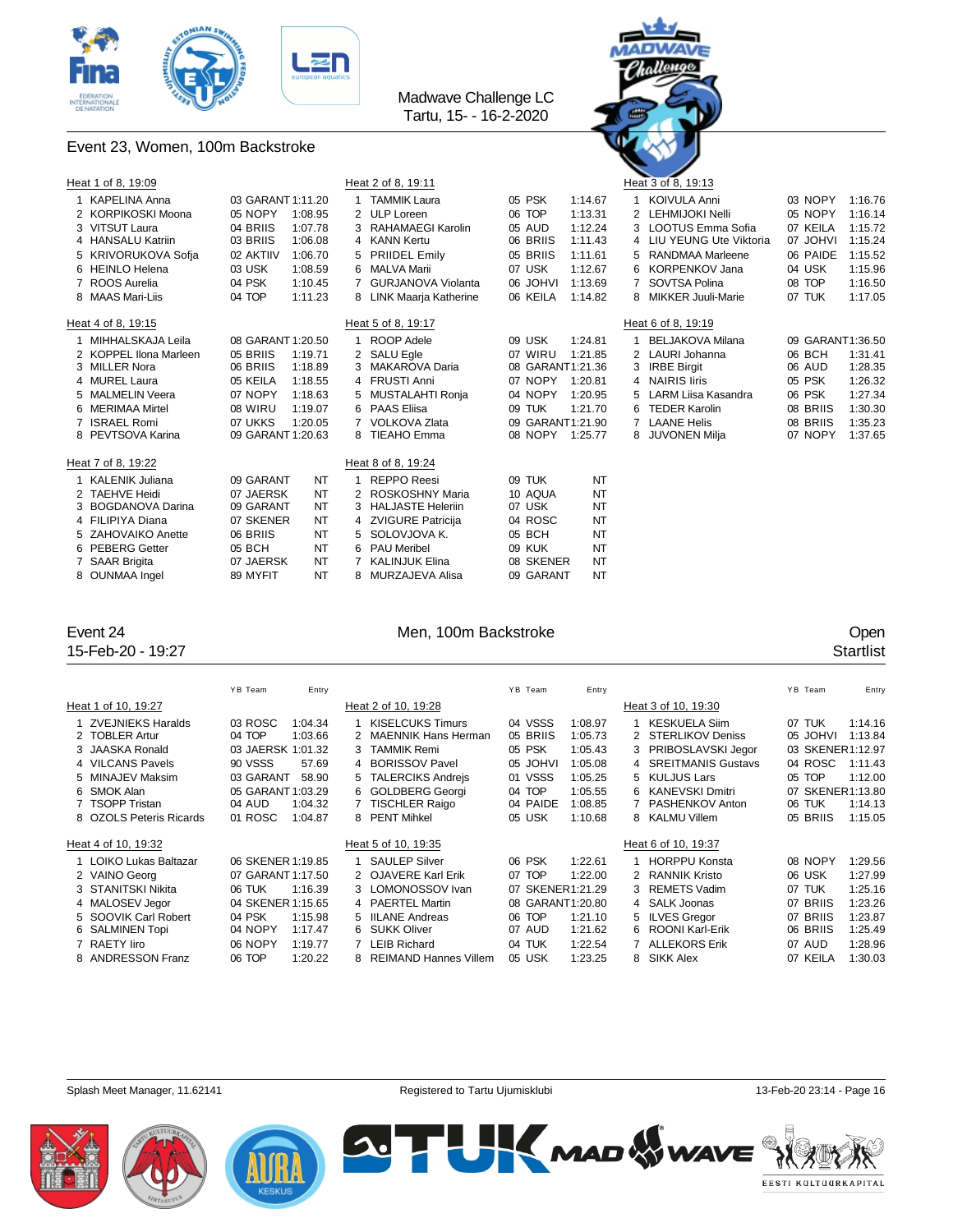

### Event 23, Women, 100m Backstroke



| Heat 1 of 8, 19:09     |                   |         |   | Heat 2 of 8, 19:11       |                  |           |    | Heat 3 of 8, 19:13        |                  |         |
|------------------------|-------------------|---------|---|--------------------------|------------------|-----------|----|---------------------------|------------------|---------|
| <b>KAPELINA Anna</b>   | 03 GARANT 1:11.20 |         |   | <b>TAMMIK Laura</b>      | 05 PSK           | 1:14.67   |    | <b>KOIVULA Anni</b>       | 03 NOPY          | 1:16.76 |
| 2 KORPIKOSKI Moona     | 05 NOPY           | 1:08.95 |   | 2 ULP Loreen             | 06 TOP           | 1:13.31   |    | 2 LEHMIJOKI Nelli         | 05 NOPY          | 1:16.14 |
| 3 VITSUT Laura         | 04 BRIIS          | 1:07.78 | 3 | RAHAMAEGI Karolin        | 05 AUD           | 1:12.24   |    | 3 LOOTUS Emma Sofia       | 07 KEILA         | 1:15.72 |
| 4 HANSALU Katriin      | 03 BRIIS          | 1:06.08 |   | 4 KANN Kertu             | 06 BRIIS         | 1:11.43   |    | 4 LIU YEUNG Ute Viktoria  | 07 JOHVI         | 1:15.24 |
| 5 KRIVORUKOVA Sofja    | 02 AKTIIV         | 1:06.70 | 5 | <b>PRIIDEL Emily</b>     | 05 BRIIS         | 1:11.61   | 5  | RANDMAA Marleene          | 06 PAIDE         | 1:15.52 |
| 6 HEINLO Helena        | 03 USK            | 1:08.59 |   | 6 MALVA Marii            | 07 USK           | 1:12.67   |    | KORPENKOV Jana            | 04 USK           | 1:15.96 |
| 7 ROOS Aurelia         | 04 PSK            | 1:10.45 |   | GURJANOVA Violanta       | 06 JOHVI         | 1:13.69   |    | SOVTSA Polina             | 08 TOP           | 1:16.50 |
| 8 MAAS Mari-Liis       | 04 TOP            | 1:11.23 |   | 8 LINK Maarja Katherine  | 06 KEILA         | 1:14.82   | 8  | <b>MIKKER Juuli-Marie</b> | 07 TUK           | 1:17.05 |
| Heat 4 of 8, 19:15     |                   |         |   | Heat 5 of 8, 19:17       |                  |           |    | Heat 6 of 8, 19:19        |                  |         |
| MIHHALSKAJA Leila      | 08 GARANT 1:20.50 |         |   | ROOP Adele               | 09 USK           | 1:24.81   |    | <b>BELJAKOVA Milana</b>   | 09 GARANT1:36.50 |         |
| 2 KOPPEL IIona Marleen | 05 BRIIS          | 1:19.71 |   | 2 SALU Egle              | 07 WIRU          | 1:21.85   |    | 2 LAURI Johanna           | 06 BCH           | 1:31.41 |
| 3 MILLER Nora          | 06 BRIIS          | 1:18.89 |   | 3 MAKAROVA Daria         | 08 GARANT1:21.36 |           |    | 3 IRBE Birgit             | 06 AUD           | 1:28.35 |
| 4 MUREL Laura          | 05 KEILA          | 1:18.55 |   | 4 FRUSTI Anni            | 07 NOPY          | 1:20.81   |    | 4 NAIRIS liris            | 05 PSK           | 1:26.32 |
| 5 MALMELIN Veera       | 07 NOPY           | 1:18.63 |   | 5 MUSTALAHTI Ronia       | 04 NOPY          | 1:20.95   | 5. | LARM Liisa Kasandra       | 06 PSK           | 1:27.34 |
| 6 MERIMAA Mirtel       | 08 WIRU           | 1:19.07 |   | 6 PAAS Eliisa            | 09 TUK           | 1:21.70   |    | <b>TEDER Karolin</b>      | 08 BRIIS         | 1:30.30 |
| 7 ISRAEL Romi          | 07 UKKS           | 1:20.05 |   | VOLKOVA Zlata            | 09 GARANT1:21.90 |           |    | <b>LAANE Helis</b>        | 08 BRIIS         | 1:35.23 |
| 8 PEVTSOVA Karina      | 09 GARANT 1:20.63 |         |   | 8 TIEAHO Emma            | 08 NOPY 1:25.77  |           |    | <b>JUVONEN Milja</b>      | 07 NOPY          | 1:37.65 |
| Heat 7 of 8, 19:22     |                   |         |   | Heat 8 of 8, 19:24       |                  |           |    |                           |                  |         |
| KALENIK Juliana        | 09 GARANT         | NT      |   | <b>REPPO Reesi</b>       | 09 TUK           | NT        |    |                           |                  |         |
| 2 TAEHVE Heidi         | 07 JAERSK         | NT      |   | 2 ROSKOSHNY Maria        | 10 AQUA          | <b>NT</b> |    |                           |                  |         |
| 3 BOGDANOVA Darina     | 09 GARANT         | NT      | 3 | <b>HALJASTE Heleriin</b> | 07 USK           | <b>NT</b> |    |                           |                  |         |
| 4 FILIPIYA Diana       | 07 SKENER         | NT      |   | 4 ZVIGURE Patricija      | 04 ROSC          | <b>NT</b> |    |                           |                  |         |
| 5 ZAHOVAIKO Anette     | 06 BRIIS          | NT      |   | 5 SOLOVJOVA K.           | 05 BCH           | <b>NT</b> |    |                           |                  |         |
| 6 PEBERG Getter        | 05 BCH            | NT      |   | 6 PAU Meribel            | 09 KUK           | NT        |    |                           |                  |         |
| 7 SAAR Brigita         | 07 JAERSK         | NT      |   | <b>KALINJUK Elina</b>    | 08 SKENER        | <b>NT</b> |    |                           |                  |         |
| 8 OUNMAA Ingel         | 89 MYFIT          | NT      | 8 | MURZAJEVA Alisa          | 09 GARANT        | <b>NT</b> |    |                           |                  |         |

15-Feb-20 - 19:27

## Event 24 Corresponding to the Men, 100m Backstroke Corresponding to the Corresponding to the Men, 100m Backstroke Corresponding to the Startlist<br>
15-Feb-20 - 19:27 Startlist

|                         | YB Team           | Entry   |                         | YB Team          | Entry   |                      | YB Team          | Entry            |
|-------------------------|-------------------|---------|-------------------------|------------------|---------|----------------------|------------------|------------------|
| Heat 1 of 10, 19:27     |                   |         | Heat 2 of 10, 19:28     |                  |         | Heat 3 of 10, 19:30  |                  |                  |
| 1 ZVEJNIEKS Haralds     | 03 ROSC           | 1:04.34 | <b>KISELCUKS Timurs</b> | 04 VSSS          | 1:08.97 | <b>KESKUELA Siim</b> | 07 TUK           | 1:14.16          |
| 2 TOBLER Artur          | 04 TOP            | 1:03.66 | 2 MAENNIK Hans Herman   | 05 BRIIS         | 1:05.73 | 2 STERLIKOV Deniss   | 05 JOHVI         | 1:13.84          |
| 3 JAASKA Ronald         | 03 JAERSK 1:01.32 |         | 3 TAMMIK Remi           | 05 PSK           | 1:05.43 | 3 PRIBOSLAVSKI Jegor | 03 SKENER1:12.97 |                  |
| 4 VILCANS Pavels        | 90 VSSS           | 57.69   | 4 BORISSOV Pavel        | 05 JOHVI         | 1:05.08 | 4 SREITMANIS Gustavs | 04 ROSC          | 1:11.43          |
| 5 MINAJEV Maksim        | 03 GARANT         | 58.90   | 5 TALERCIKS Andreis     | 01 VSSS          | 1:05.25 | 5 KULJUS Lars        | 05 TOP           | 1:12.00          |
| 6 SMOK Alan             | 05 GARANT 1:03.29 |         | <b>GOLDBERG Georgi</b>  | 04 TOP           | 1:05.55 | 6 KANEVSKI Dmitri    |                  | 07 SKENER1:13.80 |
| 7 TSOPP Tristan         | 04 AUD            | 1:04.32 | <b>TISCHLER Raigo</b>   | 04 PAIDE         | 1:08.85 | PASHENKOV Anton      | 06 TUK           | 1:14.13          |
| 8 OZOLS Peteris Ricards | 01 ROSC           | 1:04.87 | 8 PENT Mihkel           | 05 USK           | 1:10.68 | 8 KALMU Villem       | 05 BRIIS         | 1:15.05          |
| Heat 4 of 10, 19:32     |                   |         | Heat 5 of 10, 19:35     |                  |         | Heat 6 of 10, 19:37  |                  |                  |
| 1 LOIKO Lukas Baltazar  | 06 SKENER 1:19.85 |         | <b>SAULEP Silver</b>    | 06 PSK           | 1:22.61 | <b>HORPPU Konsta</b> | 08 NOPY          | 1:29.56          |
| 2 VAINO Georg           | 07 GARANT 1:17.50 |         | 2 OJAVERE Karl Erik     | 07 TOP           | 1:22.00 | 2 RANNIK Kristo      | 06 USK           | 1:27.99          |
| 3 STANITSKI Nikita      | 06 TUK            | 1:16.39 | 3 LOMONOSSOV Ivan       | 07 SKENER1:21.29 |         | 3 REMETS Vadim       | 07 TUK           | 1:25.16          |
| 4 MALOSEV Jegor         | 04 SKENER 1:15.65 |         | 4 PAERTEL Martin        | 08 GARANT1:20.80 |         | 4 SALK Joonas        | 07 BRIIS         | 1:23.26          |
| 5 SOOVIK Carl Robert    | 04 PSK            | 1:15.98 | 5 IILANE Andreas        | 06 TOP           | 1:21.10 | 5 ILVES Gregor       | 07 BRIIS         | 1:23.87          |
| 6 SALMINEN Topi         | 04 NOPY           | 1:17.47 | 6 SUKK Oliver           | 07 AUD           | 1:21.62 | 6 ROONI Karl-Erik    | 06 BRIIS         | 1:25.49          |
| 7 RAETY liro            | 06 NOPY           | 1:19.77 | <b>LEIB Richard</b>     | 04 TUK           | 1:22.54 | 7 ALLEKORS Erik      | 07 AUD           | 1:28.96          |
| 8 ANDRESSON Franz       | 06 TOP            | 1:20.22 | 8 REIMAND Hannes Villem | 05 USK           | 1:23.25 | 8 SIKK Alex          | 07 KEILA         | 1:30.03          |





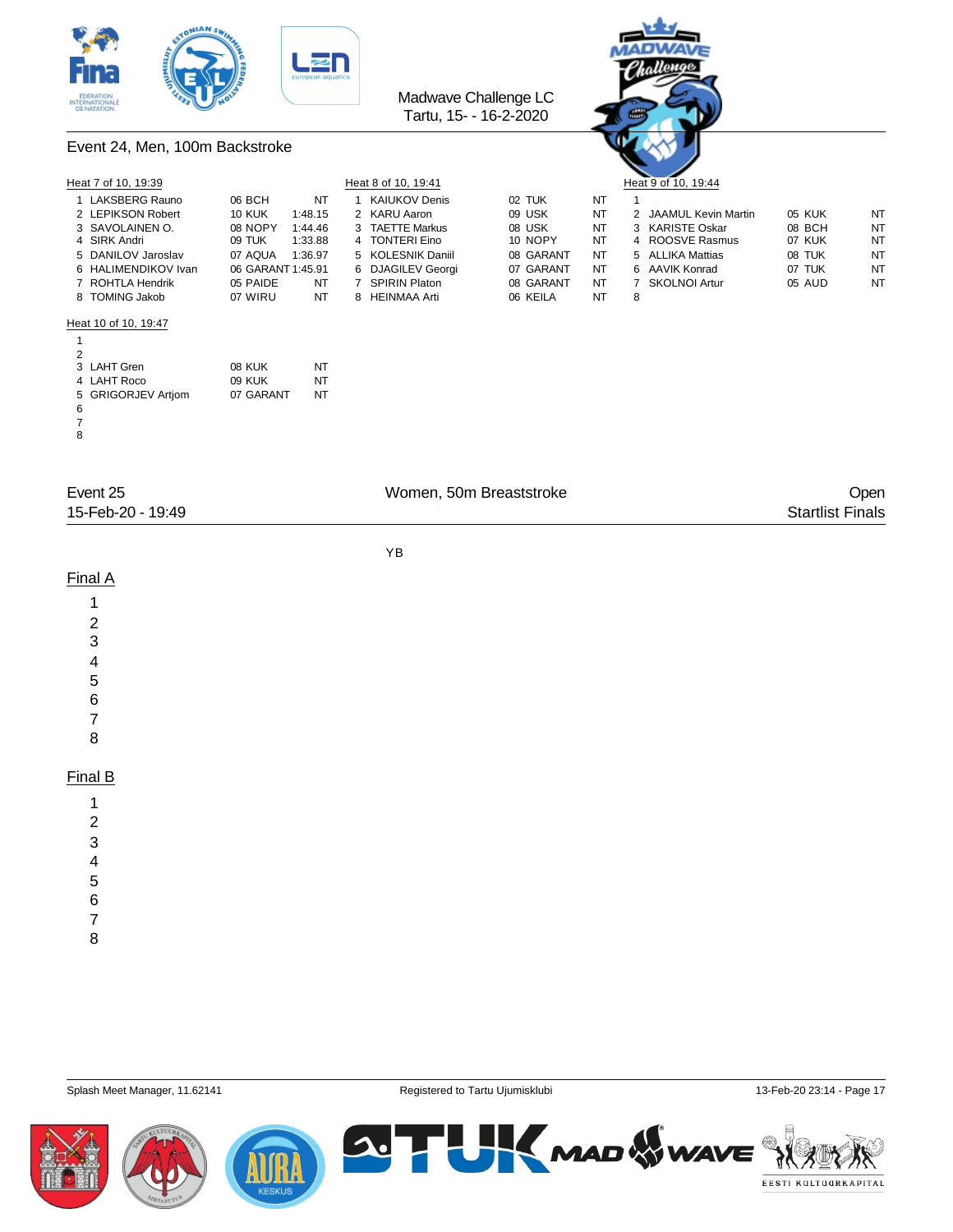



### Event 24, Men, 100m Backstroke

|   | Heat 7 of 10, 19:39  |                   |         | Heat 8 of 10, 19:41 |           |           |   | $\sim$ $\sim$<br>Heat 9 of 10, 19:44 |        |           |
|---|----------------------|-------------------|---------|---------------------|-----------|-----------|---|--------------------------------------|--------|-----------|
|   | 1 LAKSBERG Rauno     | 06 BCH            | NT      | KAIUKOV Denis       | 02 TUK    | NT        |   |                                      |        |           |
|   | 2 LEPIKSON Robert    | <b>10 KUK</b>     | 1:48.15 | 2 KARU Aaron        | 09 USK    | <b>NT</b> |   | 2 JAAMUL Kevin Martin                | 05 KUK | NT        |
|   | 3 SAVOLAINEN O.      | 08 NOPY           | 1:44.46 | 3 TAETTE Markus     | 08 USK    | NT        |   | 3 KARISTE Oskar                      | 08 BCH | <b>NT</b> |
|   | 4 SIRK Andri         | 09 TUK            | 1:33.88 | 4 TONTERI Eino      | 10 NOPY   | NT        |   | 4 ROOSVE Rasmus                      | 07 KUK | NT        |
|   | 5 DANILOV Jaroslav   | 07 AQUA           | 1:36.97 | 5 KOLESNIK Daniil   | 08 GARANT | NT        |   | 5 ALLIKA Mattias                     | 08 TUK | <b>NT</b> |
|   | 6 HALIMENDIKOV Ivan  | 06 GARANT 1:45.91 |         | 6 DJAGILEV Georgi   | 07 GARANT | NT        |   | 6 AAVIK Konrad                       | 07 TUK | NT        |
|   | 7 ROHTLA Hendrik     | 05 PAIDE          | NT      | 7 SPIRIN Platon     | 08 GARANT | NT        |   | 7 SKOLNOI Artur                      | 05 AUD | NT        |
|   | 8 TOMING Jakob       | 07 WIRU           | NT      | 8 HEINMAA Arti      | 06 KEILA  | NT        | 8 |                                      |        |           |
|   | Heat 10 of 10, 19:47 |                   |         |                     |           |           |   |                                      |        |           |
|   |                      |                   |         |                     |           |           |   |                                      |        |           |
| 2 |                      |                   |         |                     |           |           |   |                                      |        |           |
|   | 3 LAHT Gren          | 08 KUK            | NT      |                     |           |           |   |                                      |        |           |
|   | 4 LAHT Roco          | 09 KUK            | NT      |                     |           |           |   |                                      |        |           |
|   | 5 GRIGORJEV Artiom   | 07 GARANT         | NT      |                     |           |           |   |                                      |        |           |
| 6 |                      |                   |         |                     |           |           |   |                                      |        |           |
|   |                      |                   |         |                     |           |           |   |                                      |        |           |
| 8 |                      |                   |         |                     |           |           |   |                                      |        |           |

| Event 25          | Women, 50m Breaststroke | <b>Open</b>             |
|-------------------|-------------------------|-------------------------|
| 15-Feb-20 - 19:49 |                         | <b>Startlist Finals</b> |

YB

### Final A

- 
- 
- 
- 
- 
- 
- 

### Final B

- 
- 
- 
- 
- 
- 
- 
- 

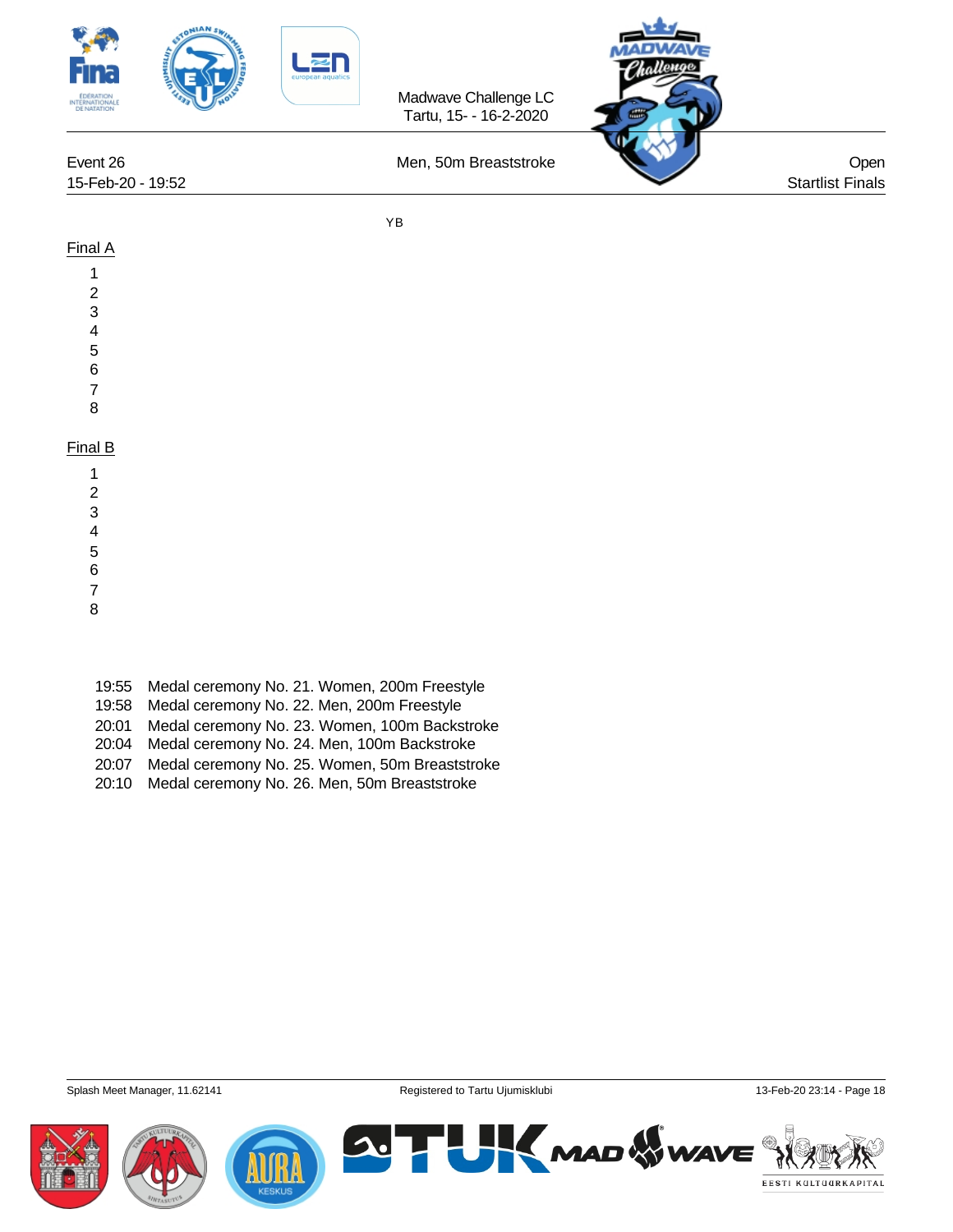

### Final A

- 1
- 2
- 3
- 4
- 5
- 6
- 7
- 8

### Final B

- 1
- 2
- 3 4
- 5
- 6
- 7
- 

8

- 19:55 Medal ceremony No. 21. Women, 200m Freestyle
- 19:58 Medal ceremony No. 22. Men, 200m Freestyle
- 20:01 Medal ceremony No. 23. Women, 100m Backstroke
- 20:04 Medal ceremony No. 24. Men, 100m Backstroke
- 20:07 Medal ceremony No. 25. Women, 50m Breaststroke
- 20:10 Medal ceremony No. 26. Men, 50m Breaststroke

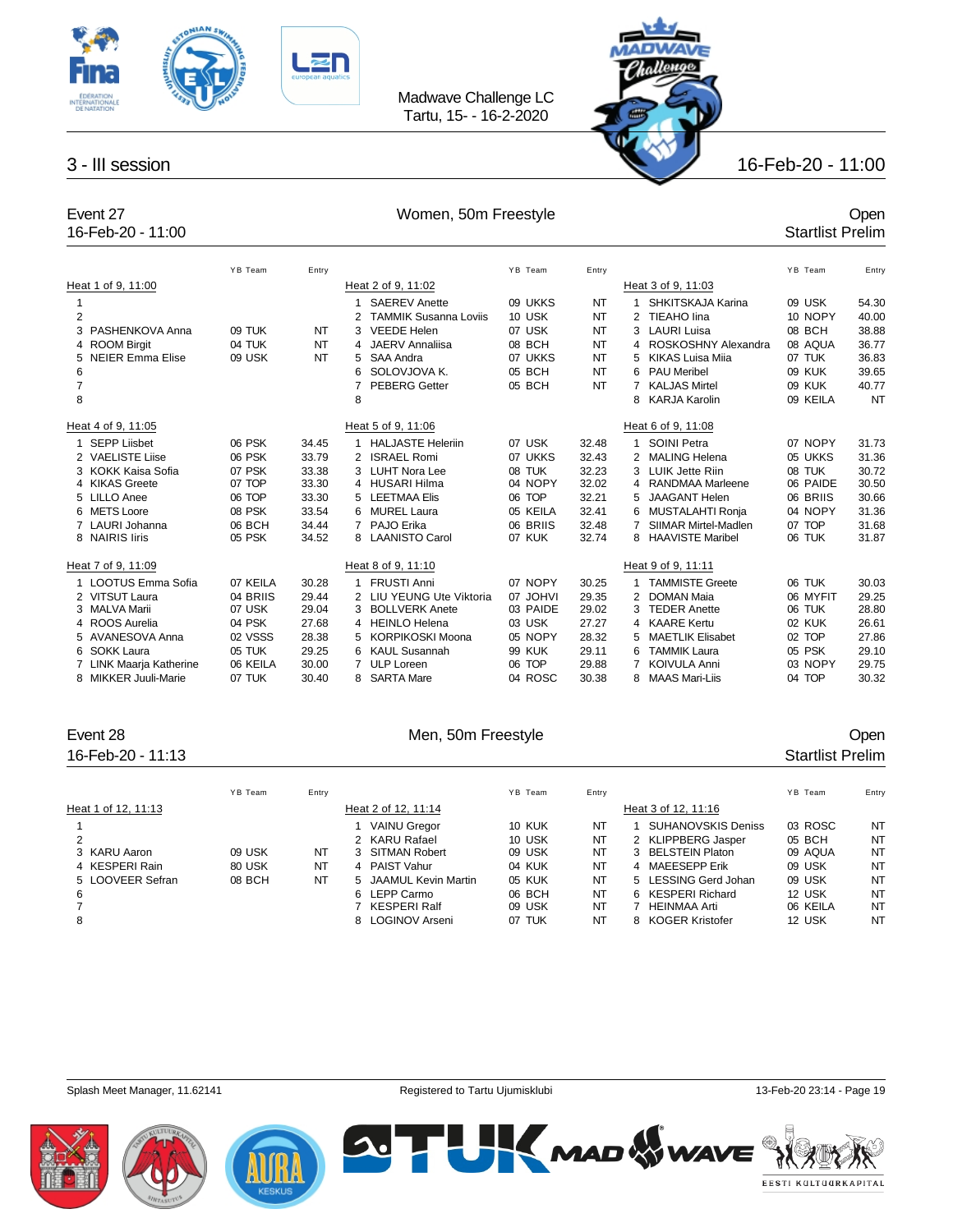



16-Feb-20 - 11:00

## Event 27 Comen, 50m Freestyle Comen, 50m Freestyle Comen, 50m Freestyle Comen, 50m Freestyle Comen, 50m Freestyle Comen, 50m Freestyle Comen, 60m Freestyle Comen, 60m Freestyle Comen, 60m Freestyle Comen, 60m Freestyle Com

|                |                              | YB Team  | Entry |                                   | YB Team       | Entry     |                              | YB Team  | Entry     |
|----------------|------------------------------|----------|-------|-----------------------------------|---------------|-----------|------------------------------|----------|-----------|
|                | Heat 1 of 9, 11:00           |          |       | Heat 2 of 9, 11:02                |               |           | Heat 3 of 9, 11:03           |          |           |
| 1              |                              |          |       | <b>SAEREV Anette</b><br>1         | 09 UKKS       | <b>NT</b> | SHKITSKAJA Karina            | 09 USK   | 54.30     |
| $\overline{2}$ |                              |          |       | <b>TAMMIK Susanna Loviis</b><br>2 | 10 USK        | NT        | 2 TIEAHO lina                | 10 NOPY  | 40.00     |
|                | PASHENKOVA Anna              | 09 TUK   | NT    | <b>VEEDE Helen</b><br>3           | 07 USK        | NT        | <b>LAURI Luisa</b><br>3      | 08 BCH   | 38.88     |
| 4              | <b>ROOM Birgit</b>           | 04 TUK   | NT    | JAERV Annaliisa<br>4              | 08 BCH        | NT        | ROSKOSHNY Alexandra<br>4     | 08 AQUA  | 36.77     |
| 5.             | <b>NEIER Emma Elise</b>      | 09 USK   | NT    | SAA Andra<br>5                    | 07 UKKS       | <b>NT</b> | <b>KIKAS Luisa Mija</b><br>5 | 07 TUK   | 36.83     |
| 6              |                              |          |       | SOLOVJOVA K.<br>6                 | 05 BCH        | <b>NT</b> | <b>PAU Meribel</b><br>6      | 09 KUK   | 39.65     |
| $\overline{7}$ |                              |          |       | <b>PEBERG Getter</b><br>7         | 05 BCH        | <b>NT</b> | <b>KALJAS Mirtel</b>         | 09 KUK   | 40.77     |
| 8              |                              |          |       | 8                                 |               |           | <b>KARJA Karolin</b><br>8    | 09 KEILA | <b>NT</b> |
|                | Heat 4 of 9, 11:05           |          |       | Heat 5 of 9, 11:06                |               |           | Heat 6 of 9, 11:08           |          |           |
| 1              | <b>SEPP Liisbet</b>          | 06 PSK   | 34.45 | <b>HALJASTE Heleriin</b>          | 07 USK        | 32.48     | <b>SOINI Petra</b>           | 07 NOPY  | 31.73     |
|                | 2 VAELISTE Liise             | 06 PSK   | 33.79 | <b>ISRAEL Romi</b><br>2           | 07 UKKS       | 32.43     | <b>MALING Helena</b><br>2    | 05 UKKS  | 31.36     |
|                | 3 KOKK Kaisa Sofia           | 07 PSK   | 33.38 | LUHT Nora Lee<br>3                | 08 TUK        | 32.23     | LUIK Jette Riin<br>3         | 08 TUK   | 30.72     |
|                | 4 KIKAS Greete               | 07 TOP   | 33.30 | 4 HUSARI Hilma                    | 04 NOPY       | 32.02     | <b>RANDMAA Marleene</b><br>4 | 06 PAIDE | 30.50     |
|                | 5 LILLO Anee                 | 06 TOP   | 33.30 | <b>LEETMAA Elis</b><br>5          | 06 TOP        | 32.21     | <b>JAAGANT Helen</b><br>5    | 06 BRIIS | 30.66     |
|                | 6 METS Loore                 | 08 PSK   | 33.54 | <b>MUREL Laura</b><br>6           | 05 KEILA      | 32.41     | MUSTALAHTI Ronja<br>6        | 04 NOPY  | 31.36     |
|                | 7 LAURI Johanna              | 06 BCH   | 34.44 | PAJO Erika<br>7                   | 06 BRIIS      | 32.48     | SIIMAR Mirtel-Madlen         | 07 TOP   | 31.68     |
|                | 8 NAIRIS liris               | 05 PSK   | 34.52 | 8 LAANISTO Carol                  | 07 KUK        | 32.74     | 8 HAAVISTE Maribel           | 06 TUK   | 31.87     |
|                | Heat 7 of 9, 11:09           |          |       | Heat 8 of 9, 11:10                |               |           | Heat 9 of 9, 11:11           |          |           |
|                | 1 LOOTUS Emma Sofia          | 07 KEILA | 30.28 | <b>FRUSTI Anni</b>                | 07 NOPY       | 30.25     | <b>TAMMISTE Greete</b>       | 06 TUK   | 30.03     |
|                | 2 VITSUT Laura               | 04 BRIIS | 29.44 | LIU YEUNG Ute Viktoria<br>2       | 07 JOHVI      | 29.35     | 2<br><b>DOMAN Maia</b>       | 06 MYFIT | 29.25     |
|                | 3 MALVA Marii                | 07 USK   | 29.04 | <b>BOLLVERK Anete</b><br>3        | 03 PAIDE      | 29.02     | <b>TEDER Anette</b>          | 06 TUK   | 28.80     |
|                | 4 ROOS Aurelia               | 04 PSK   | 27.68 | <b>HEINLO Helena</b><br>4         | 03 USK        | 27.27     | 4 KAARE Kertu                | 02 KUK   | 26.61     |
|                | 5 AVANESOVA Anna             | 02 VSSS  | 28.38 | <b>KORPIKOSKI Moona</b><br>5      | 05 NOPY       | 28.32     | <b>MAETLIK Elisabet</b><br>5 | 02 TOP   | 27.86     |
|                | 6 SOKK Laura                 | 05 TUK   | 29.25 | <b>KAUL Susannah</b><br>6.        | <b>99 KUK</b> | 29.11     | <b>TAMMIK Laura</b><br>6     | 05 PSK   | 29.10     |
|                | <b>LINK Maarja Katherine</b> | 06 KEILA | 30.00 | <b>ULP Loreen</b><br>7            | 06 TOP        | 29.88     | <b>KOIVULA Anni</b>          | 03 NOPY  | 29.75     |
|                | 8 MIKKER Juuli-Marie         | 07 TUK   | 30.40 | <b>SARTA Mare</b><br>8            | 04 ROSC       | 30.38     | 8 MAAS Mari-Liis             | 04 TOP   | 30.32     |

### 16-Feb-20 - 11:13 Startlist Prelim

### Event 28 Communication of the Men, 50m Freestyle Communication of the Open

|                     | YB Team | Entry |                       | YB Team       | Entry |                      | YB Team  | Entry |
|---------------------|---------|-------|-----------------------|---------------|-------|----------------------|----------|-------|
| Heat 1 of 12, 11:13 |         |       | Heat 2 of 12, 11:14   |               |       | Heat 3 of 12, 11:16  |          |       |
|                     |         |       | <b>VAINU Gregor</b>   | <b>10 KUK</b> | NT    | SUHANOVSKIS Deniss   | 03 ROSC  | NT    |
|                     |         |       | 2 KARU Rafael         | 10 USK        | NT    | 2 KLIPPBERG Jasper   | 05 BCH   | NT    |
| 3 KARU Aaron        | 09 USK  | NT    | 3 SITMAN Robert       | 09 USK        | NT    | 3 BELSTEIN Platon    | 09 AQUA  | NT    |
| 4 KESPERI Rain      | 80 USK  | NT    | 4 PAIST Vahur         | 04 KUK        | NT    | 4 MAEESEPP Erik      | 09 USK   | NT    |
| 5 LOOVEER Sefran    | 08 BCH  | NT    | 5 JAAMUL Kevin Martin | 05 KUK        | NT    | 5 LESSING Gerd Johan | 09 USK   | NT    |
| 6                   |         |       | 6 LEPP Carmo          | 06 BCH        | NT    | 6 KESPERI Richard    | 12 USK   | NT    |
|                     |         |       | KESPERI Ralf          | 09 USK        | NT    | HEINMAA Arti         | 06 KEILA | NT    |
| 8                   |         |       | 8 LOGINOV Arseni      | 07 TUK        | NT    | 8 KOGER Kristofer    | 12 USK   | NT    |



20 1

**AND WAVE** 





EESTI KULTUURKAPITAL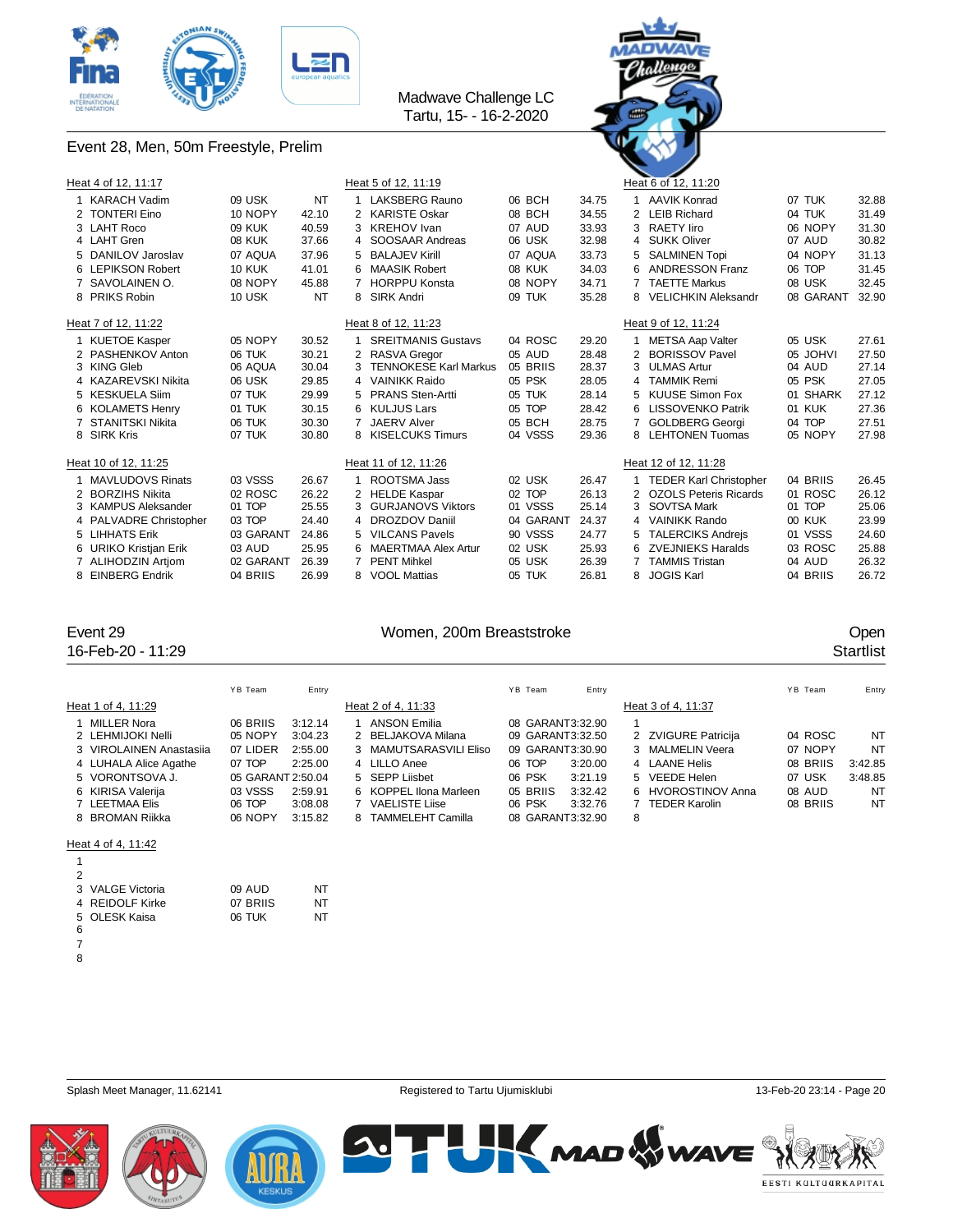





|   | Heat 4 of 12, 11:17     |               |       |    | Heat 5 of 12, 11:19          |           |       |   | Heat 6 of 12, 11:20           |           |       |
|---|-------------------------|---------------|-------|----|------------------------------|-----------|-------|---|-------------------------------|-----------|-------|
|   | <b>KARACH Vadim</b>     | 09 USK        | NT    |    | LAKSBERG Rauno               | 06 BCH    | 34.75 |   | <b>AAVIK Konrad</b>           | 07 TUK    | 32.88 |
|   | 2 TONTERI Eino          | 10 NOPY       | 42.10 |    | 2 KARISTE Oskar              | 08 BCH    | 34.55 |   | 2 LEIB Richard                | 04 TUK    | 31.49 |
|   | 3 LAHT Roco             | <b>09 KUK</b> | 40.59 | 3  | <b>KREHOV</b> Ivan           | 07 AUD    | 33.93 |   | 3 RAETY liro                  | 06 NOPY   | 31.30 |
|   | 4 LAHT Gren             | <b>08 KUK</b> | 37.66 |    | 4 SOOSAAR Andreas            | 06 USK    | 32.98 |   | 4 SUKK Oliver                 | 07 AUD    | 30.82 |
|   | 5 DANILOV Jaroslav      | 07 AQUA       | 37.96 | 5  | <b>BALAJEV Kirill</b>        | 07 AQUA   | 33.73 |   | 5 SALMINEN Topi               | 04 NOPY   | 31.13 |
|   | 6 LEPIKSON Robert       | <b>10 KUK</b> | 41.01 | 6  | <b>MAASIK Robert</b>         | 08 KUK    | 34.03 |   | 6 ANDRESSON Franz             | 06 TOP    | 31.45 |
|   | 7 SAVOLAINEN O.         | 08 NOPY       | 45.88 |    | <b>HORPPU Konsta</b>         | 08 NOPY   | 34.71 |   | <b>TAETTE Markus</b>          | 08 USK    | 32.45 |
|   | 8 PRIKS Robin           | 10 USK        | NT    |    | 8 SIRK Andri                 | 09 TUK    | 35.28 |   | 8 VELICHKIN Aleksandr         | 08 GARANT | 32.90 |
|   | Heat 7 of 12, 11:22     |               |       |    | Heat 8 of 12, 11:23          |           |       |   | Heat 9 of 12, 11:24           |           |       |
|   | <b>KUETOE Kasper</b>    | 05 NOPY       | 30.52 |    | <b>SREITMANIS Gustavs</b>    | 04 ROSC   | 29.20 |   | <b>METSA Aap Valter</b>       | 05 USK    | 27.61 |
|   | 2 PASHENKOV Anton       | 06 TUK        | 30.21 |    | <b>RASVA Gregor</b>          | 05 AUD    | 28.48 |   | 2 BORISSOV Pavel              | 05 JOHVI  | 27.50 |
|   | 3 KING Gleb             | 06 AQUA       | 30.04 | 3  | <b>TENNOKESE Karl Markus</b> | 05 BRIIS  | 28.37 |   | 3 ULMAS Artur                 | 04 AUD    | 27.14 |
|   | 4 KAZAREVSKI Nikita     | 06 USK        | 29.85 | 4  | <b>VAINIKK Raido</b>         | 05 PSK    | 28.05 | 4 | <b>TAMMIK Remi</b>            | 05 PSK    | 27.05 |
|   | 5 KESKUELA Siim         | 07 TUK        | 29.99 | 5  | <b>PRANS Sten-Artti</b>      | 05 TUK    | 28.14 |   | 5 KUUSE Simon Fox             | 01 SHARK  | 27.12 |
|   | 6 KOLAMETS Henry        | 01 TUK        | 30.15 | 6  | KULJUS Lars                  | 05 TOP    | 28.42 |   | 6 LISSOVENKO Patrik           | 01 KUK    | 27.36 |
|   | 7 STANITSKI Nikita      | 06 TUK        | 30.30 |    | <b>JAERV Alver</b>           | 05 BCH    | 28.75 |   | 7 GOLDBERG Georgi             | 04 TOP    | 27.51 |
|   | 8 SIRK Kris             | 07 TUK        | 30.80 | 8  | <b>KISELCUKS Timurs</b>      | 04 VSSS   | 29.36 |   | 8 LEHTONEN Tuomas             | 05 NOPY   | 27.98 |
|   | Heat 10 of 12, 11:25    |               |       |    | Heat 11 of 12, 11:26         |           |       |   | Heat 12 of 12, 11:28          |           |       |
|   | <b>MAVLUDOVS Rinats</b> | 03 VSSS       | 26.67 |    | ROOTSMA Jass                 | 02 USK    | 26.47 |   | <b>TEDER Karl Christopher</b> | 04 BRIIS  | 26.45 |
|   | 2 BORZIHS Nikita        | 02 ROSC       | 26.22 | 2  | <b>HELDE Kaspar</b>          | 02 TOP    | 26.13 |   | 2 OZOLS Peteris Ricards       | 01 ROSC   | 26.12 |
|   | 3 KAMPUS Aleksander     | 01 TOP        | 25.55 | 3  | <b>GURJANOVS Viktors</b>     | 01 VSSS   | 25.14 |   | 3 SOVTSA Mark                 | 01 TOP    | 25.06 |
|   | 4 PALVADRE Christopher  | 03 TOP        | 24.40 | 4  | <b>DROZDOV Daniil</b>        | 04 GARANT | 24.37 |   | 4 VAINIKK Rando               | 00 KUK    | 23.99 |
|   | 5 LIHHATS Erik          | 03 GARANT     | 24.86 | 5. | <b>VILCANS Pavels</b>        | 90 VSSS   | 24.77 |   | 5 TALERCIKS Andreis           | 01 VSSS   | 24.60 |
|   | 6 URIKO Kristjan Erik   | 03 AUD        | 25.95 |    | <b>MAERTMAA Alex Artur</b>   | 02 USK    | 25.93 |   | 6 ZVEJNIEKS Haralds           | 03 ROSC   | 25.88 |
|   | 7 ALIHODZIN Artiom      | 02 GARANT     | 26.39 |    | <b>PENT Mihkel</b>           | 05 USK    | 26.39 |   | <b>TAMMIS Tristan</b>         | 04 AUD    | 26.32 |
| 8 | <b>EINBERG Endrik</b>   | 04 BRIIS      | 26.99 | 8  | <b>VOOL Mattias</b>          | 05 TUK    | 26.81 | 8 | <b>JOGIS Karl</b>             | 04 BRIIS  | 26.72 |

16-Feb-20 - 11:29 Startlist

### Event 29 **Event 29** Open

|                         | YB Team           | Entry   |   |                          | YB Team          | Entry   |   |                     | YB Team  | Entry   |
|-------------------------|-------------------|---------|---|--------------------------|------------------|---------|---|---------------------|----------|---------|
| Heat 1 of 4, 11:29      |                   |         |   | Heat 2 of 4, 11:33       |                  |         |   | Heat 3 of 4, 11:37  |          |         |
| 1 MILLER Nora           | 06 BRIIS          | 3:12.14 |   | <b>ANSON Emilia</b>      | 08 GARANT3:32.90 |         |   |                     |          |         |
| 2 LEHMIJOKI Nelli       | 05 NOPY           | 3:04.23 |   | 2 BELJAKOVA Milana       | 09 GARANT3:32.50 |         |   | 2 ZVIGURE Patricija | 04 ROSC  | NT      |
| 3 VIROLAINEN Anastasija | 07 LIDER          | 2:55.00 |   | 3 MAMUTSARASVILI Eliso   | 09 GARANT3:30.90 |         |   | 3 MALMELIN Veera    | 07 NOPY  | NT      |
| 4 LUHALA Alice Agathe   | 07 TOP            | 2:25.00 |   | 4 LILLO Anee             | 06 TOP           | 3:20.00 |   | 4 LAANE Helis       | 08 BRIIS | 3:42.85 |
| 5 VORONTSOVA J.         | 05 GARANT 2:50.04 |         |   | 5 SEPP Liisbet           | 06 PSK           | 3:21.19 |   | 5 VEEDE Helen       | 07 USK   | 3:48.85 |
| 6 KIRISA Valerija       | 03 VSSS           | 2:59.91 |   | 6 KOPPEL Ilona Marleen   | 05 BRIIS         | 3:32.42 |   | 6 HVOROSTINOV Anna  | 08 AUD   | NT      |
| 7 LEETMAA Elis          | 06 TOP            | 3:08.08 |   | <b>VAELISTE Liise</b>    | 06 PSK           | 3:32.76 |   | TEDER Karolin       | 08 BRIIS | NT      |
| 8 BROMAN Riikka         | 06 NOPY           | 3:15.82 | 8 | <b>TAMMELEHT Camilla</b> | 08 GARANT3:32.90 |         | 8 |                     |          |         |
|                         |                   |         |   |                          |                  |         |   |                     |          |         |

### Heat 4 of 4, 11:42

| 2 |                  |          |    |
|---|------------------|----------|----|
|   | 3 VALGE Victoria | 09 AUD   | NT |
|   | 4 REIDOLF Kirke  | 07 BRIIS | NT |
|   | 5 OLESK Kaisa    | 06 TUK   | NT |
| 6 |                  |          |    |
|   |                  |          |    |

Splash Meet Manager, 11.62141 **Registered to Tartu Ujumisklubi** 13-Feb-20 23:14 - Page 20<br>
Registered to Tartu Ujumisklubi

**2. H** 





**AND WAVE** EESTI KULTUURKAPITAL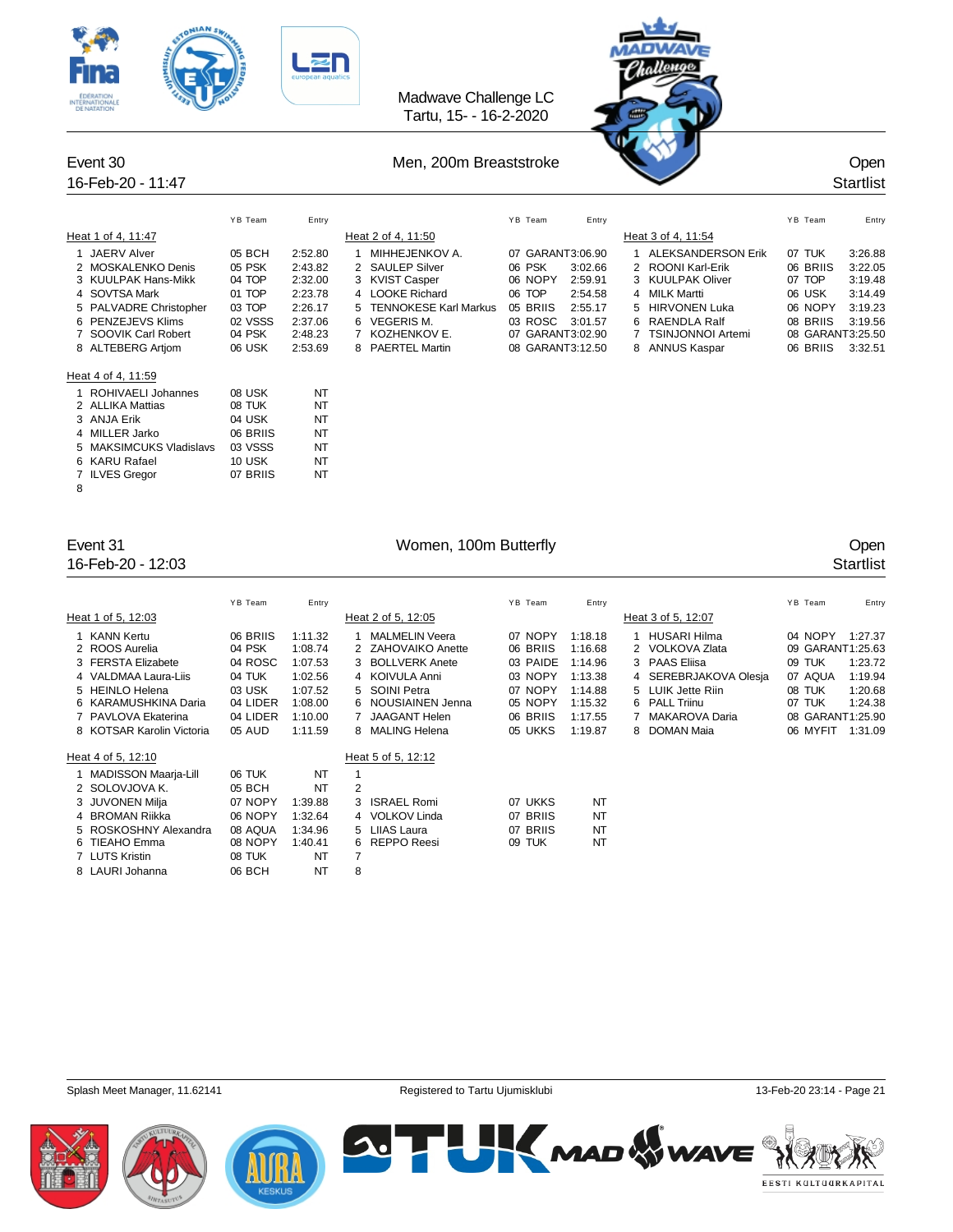| <b>TERNATIONALE</b><br>Event 30                                                                                                                                                                                                                                                                                                                                                                                           |                                                                                                                                                                            |                                                                                                                                                       | Madwave Challenge LC<br>Tartu, 15- - 16-2-2020<br>Men, 200m Breaststroke                                                                                                                                                        |                                                                                                                           |                                                                                               |                                                                                                                                                                                                                                         |                                                                                                                         | Open                                                                               |
|---------------------------------------------------------------------------------------------------------------------------------------------------------------------------------------------------------------------------------------------------------------------------------------------------------------------------------------------------------------------------------------------------------------------------|----------------------------------------------------------------------------------------------------------------------------------------------------------------------------|-------------------------------------------------------------------------------------------------------------------------------------------------------|---------------------------------------------------------------------------------------------------------------------------------------------------------------------------------------------------------------------------------|---------------------------------------------------------------------------------------------------------------------------|-----------------------------------------------------------------------------------------------|-----------------------------------------------------------------------------------------------------------------------------------------------------------------------------------------------------------------------------------------|-------------------------------------------------------------------------------------------------------------------------|------------------------------------------------------------------------------------|
| 16-Feb-20 - 11:47                                                                                                                                                                                                                                                                                                                                                                                                         |                                                                                                                                                                            |                                                                                                                                                       |                                                                                                                                                                                                                                 |                                                                                                                           |                                                                                               |                                                                                                                                                                                                                                         |                                                                                                                         | <b>Startlist</b>                                                                   |
| Heat 1 of 4, 11:47<br>1 JAERV Alver<br>2 MOSKALENKO Denis<br>3 KUULPAK Hans-Mikk<br><b>SOVTSA Mark</b><br>4<br>5 PALVADRE Christopher<br>PENZEJEVS Klims<br>6<br>7 SOOVIK Carl Robert<br>8 ALTEBERG Artjom<br>Heat 4 of 4, 11:59<br><b>ROHIVAELI Johannes</b><br>1<br>2 ALLIKA Mattias<br>3 ANJA Erik<br><b>MILLER Jarko</b><br>4<br>5 MAKSIMCUKS Vladislavs<br><b>KARU Rafael</b><br>6.<br><b>ILVES Gregor</b><br>7<br>8 | YB Team<br>05 BCH<br>05 PSK<br>04 TOP<br>01 TOP<br>03 TOP<br>02 VSSS<br>04 PSK<br>06 USK<br>08 USK<br>08 TUK<br>04 USK<br>06 BRIIS<br>03 VSSS<br><b>10 USK</b><br>07 BRIIS | Entry<br>2:52.80<br>2:43.82<br>2:32.00<br>2:23.78<br>2:26.17<br>2:37.06<br>2:48.23<br>2:53.69<br>NT<br>ΝT<br>NT<br><b>NT</b><br>NT<br><b>NT</b><br>NT | Heat 2 of 4, 11:50<br>1 MIHHEJENKOV A.<br>2 SAULEP Silver<br>3 KVIST Casper<br>4 LOOKE Richard<br>5 TENNOKESE Karl Markus<br><b>VEGERIS M.</b><br>6<br>$\overline{7}$<br>KOZHENKOV E.<br>8 PAERTEL Martin                       | YB Team<br>07 GARANT3:06.90<br>06 PSK<br>06 NOPY<br>06 TOP<br>05 BRIIS<br>03 ROSC<br>07 GARANT3:02.90<br>08 GARANT3:12.50 | Entry<br>3:02.66<br>2:59.91<br>2:54.58<br>2:55.17<br>3:01.57                                  | Heat 3 of 4, 11:54<br>1 ALEKSANDERSON Erik<br>2<br>ROONI Karl-Erik<br><b>KUULPAK Oliver</b><br>3<br><b>MILK Martti</b><br>4<br><b>HIRVONEN Luka</b><br>5<br><b>RAENDLA Ralf</b><br>6<br><b>TSINJONNOI Artemi</b><br>7<br>8 ANNUS Kaspar | YB Team<br>07 TUK<br>06 BRIIS<br>07 TOP<br>06 USK<br>06 NOPY<br>08 BRIIS<br>08 GARANT3:25.50<br>06 BRIIS                | Entry<br>3:26.88<br>3:22.05<br>3:19.48<br>3:14.49<br>3:19.23<br>3:19.56<br>3:32.51 |
| Event 31<br>16-Feb-20 - 12:03                                                                                                                                                                                                                                                                                                                                                                                             |                                                                                                                                                                            |                                                                                                                                                       | Women, 100m Butterfly                                                                                                                                                                                                           |                                                                                                                           |                                                                                               |                                                                                                                                                                                                                                         |                                                                                                                         | Open<br><b>Startlist</b>                                                           |
| Heat 1 of 5, 12:03<br><b>KANN Kertu</b><br>1<br>2 ROOS Aurelia<br>3 FERSTA Elizabete<br>4 VALDMAA Laura-Liis<br>5 HEINLO Helena<br>KARAMUSHKINA Daria<br>6<br>PAVLOVA Ekaterina<br>7<br>KOTSAR Karolin Victoria<br>8<br>Heat 4 of 5, 12:10                                                                                                                                                                                | YB Team<br>06 BRIIS<br>04 PSK<br>04 ROSC<br>04 TUK<br>03 USK<br>04 LIDER<br>04 LIDER<br>05 AUD                                                                             | Entry<br>1:11.32<br>1:08.74<br>1:07.53<br>1:02.56<br>1:07.52<br>1:08.00<br>1:10.00<br>1:11.59                                                         | Heat 2 of 5, 12:05<br><b>MALMELIN Veera</b><br>1<br>2 ZAHOVAIKO Anette<br>3 BOLLVERK Anete<br>4 KOIVULA Anni<br>SOINI Petra<br>5<br>NOUSIAINEN Jenna<br>6<br><b>JAAGANT Helen</b><br>7<br>8 MALING Helena<br>Heat 5 of 5, 12:12 | YB Team<br>07 NOPY<br>06 BRIIS<br>03 PAIDE<br>03 NOPY<br>07 NOPY<br>05 NOPY<br>06 BRIIS<br>05 UKKS                        | Entry<br>1:18.18<br>1:16.68<br>1:14.96<br>1:13.38<br>1:14.88<br>1:15.32<br>1:17.55<br>1:19.87 | Heat 3 of 5, 12:07<br><b>HUSARI Hilma</b><br>1<br>2 VOLKOVA Zlata<br><b>PAAS Eliisa</b><br>3<br>SEREBRJAKOVA Olesja<br>4<br>5 LUIK Jette Riin<br><b>PALL Triinu</b><br>6<br><b>MAKAROVA Daria</b><br>7<br>8<br>DOMAN Maia               | YB Team<br>04 NOPY<br>09 GARANT1:25.63<br>09 TUK<br>07 AQUA<br>08 TUK<br>07 TUK<br>08 GARANT1:25.90<br>06 MYFIT 1:31.09 | Entry<br>1:27.37<br>1:23.72<br>1:19.94<br>1:20.68<br>1:24.38                       |

| MADISSON Maarja-Lill  | 06 TUK  | NT      |   |                |          |    |
|-----------------------|---------|---------|---|----------------|----------|----|
| 2 SOLOVJOVA K.        | 05 BCH  | NT      | 2 |                |          |    |
| 3 JUVONEN Milja       | 07 NOPY | 1:39.88 |   | 3 ISRAEL Romi  | 07 UKKS  | NT |
| 4 BROMAN Riikka       | 06 NOPY | 1:32.64 |   | 4 VOLKOV Linda | 07 BRIIS | NT |
| 5 ROSKOSHNY Alexandra | 08 AQUA | 1:34.96 |   | 5 LIIAS Laura  | 07 BRIIS | NT |
| 6 TIEAHO Emma         | 08 NOPY | 1:40.41 |   | 6 REPPO Reesi  | 09 TUK   | NT |
| 7 LUTS Kristin        | 08 TUK  | NT      |   |                |          |    |
| 8 LAURI Johanna       | 06 BCH  | NT      | 8 |                |          |    |
|                       |         |         |   |                |          |    |





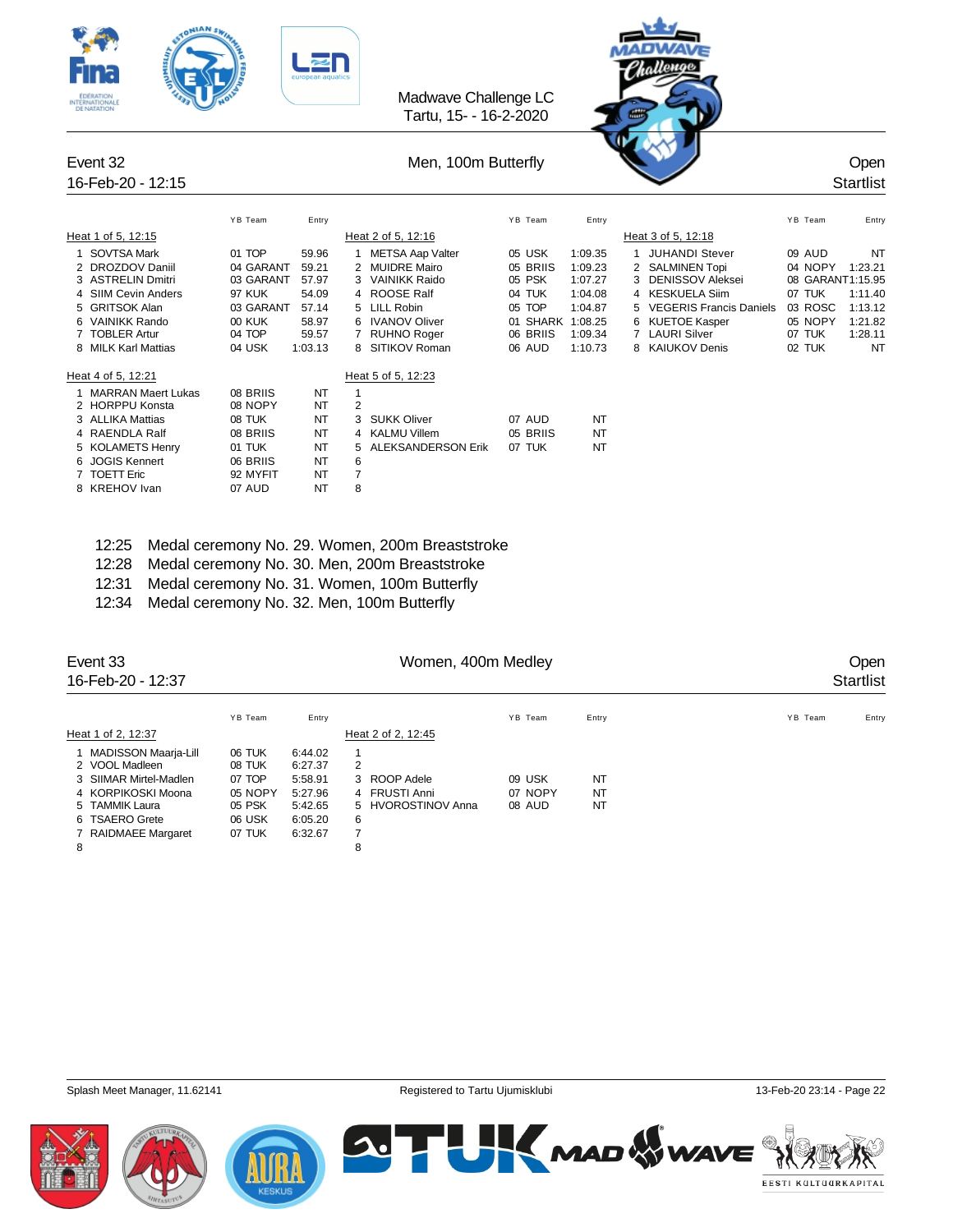| 12 WAIN<br><b>ITERNATIONAL</b> |               |           |                | Madwave Challenge LC<br>Tartu, 15- - 16-2-2020 |                  |         |   |                           |         |                          |
|--------------------------------|---------------|-----------|----------------|------------------------------------------------|------------------|---------|---|---------------------------|---------|--------------------------|
| Event 32<br>16-Feb-20 - 12:15  |               |           |                | Men, 100m Butterfly                            |                  |         |   |                           |         | Open<br><b>Startlist</b> |
|                                | YB Team       | Entry     |                |                                                | YB Team          | Entry   |   |                           | YB Team | Entry                    |
| Heat 1 of 5, 12:15             |               |           |                | Heat 2 of 5, 12:16                             |                  |         |   | Heat 3 of 5, 12:18        |         |                          |
| 1 SOVTSA Mark                  | 01 TOP        | 59.96     |                | <b>METSA Aap Valter</b>                        | 05 USK           | 1:09.35 |   | 1 JUHANDI Stever          | 09 AUD  | <b>NT</b>                |
| 2 DROZDOV Daniil               | 04 GARANT     | 59.21     |                | 2 MUIDRE Mairo                                 | 05 BRIIS         | 1:09.23 |   | 2 SALMINEN Topi           | 04 NOPY | 1:23.21                  |
| 3 ASTRELIN Dmitri              | 03 GARANT     | 57.97     |                | 3 VAINIKK Raido                                | 05 PSK           | 1:07.27 | 3 | <b>DENISSOV Aleksei</b>   |         | 08 GARANT1:15.95         |
| 4 SIIM Cevin Anders            | 97 KUK        | 54.09     |                | <b>ROOSE Ralf</b>                              | 04 TUK           | 1:04.08 |   | 4 KESKUELA Siim           | 07 TUK  | 1:11.40                  |
| 5 GRITSOK Alan                 | 03 GARANT     | 57.14     | 5              | <b>LILL Robin</b>                              | 05 TOP           | 1:04.87 |   | 5 VEGERIS Francis Daniels | 03 ROSC | 1:13.12                  |
| 6 VAINIKK Rando                | <b>00 KUK</b> | 58.97     |                | 6 IVANOV Oliver                                | 01 SHARK 1:08.25 |         |   | 6 KUETOE Kasper           | 05 NOPY | 1:21.82                  |
| 7 TOBLER Artur                 | 04 TOP        | 59.57     |                | 7 RUHNO Roger                                  | 06 BRIIS         | 1:09.34 |   | 7 LAURI Silver            | 07 TUK  | 1:28.11                  |
| 8 MILK Karl Mattias            | 04 USK        | 1:03.13   |                | 8 SITIKOV Roman                                | 06 AUD           | 1:10.73 |   | 8 KAIUKOV Denis           | 02 TUK  | <b>NT</b>                |
| Heat 4 of 5, 12:21             |               |           |                | Heat 5 of 5, 12:23                             |                  |         |   |                           |         |                          |
| 1 MARRAN Maert Lukas           | 08 BRIIS      | NT        | $\mathbf{1}$   |                                                |                  |         |   |                           |         |                          |
| 2 HORPPU Konsta                | 08 NOPY       | NT        | $\overline{2}$ |                                                |                  |         |   |                           |         |                          |
| 3 ALLIKA Mattias               | 08 TUK        | NT        | 3              | <b>SUKK Oliver</b>                             | 07 AUD           | NT      |   |                           |         |                          |
| 4 RAENDLA Ralf                 | 08 BRIIS      | NT        | 4              | <b>KALMU Villem</b>                            | 05 BRIIS         | NT      |   |                           |         |                          |
| 5 KOLAMETS Henry               | 01 TUK        | NT        | 5              | ALEKSANDERSON Erik                             | 07 TUK           | NT      |   |                           |         |                          |
| 6 JOGIS Kennert                | 06 BRIIS      | <b>NT</b> | 6              |                                                |                  |         |   |                           |         |                          |
| 7 TOETT Eric                   | 92 MYFIT      | NT        | 7              |                                                |                  |         |   |                           |         |                          |
| 8 KREHOV Ivan                  | 07 AUD        | NT        | 8              |                                                |                  |         |   |                           |         |                          |
|                                |               |           |                |                                                |                  |         |   |                           |         |                          |

- 12:25 Medal ceremony No. 29. Women, 200m Breaststroke
- 12:28 Medal ceremony No. 30. Men, 200m Breaststroke
- 12:31 Medal ceremony No. 31. Women, 100m Butterfly
- 12:34 Medal ceremony No. 32. Men, 100m Butterfly

| Event 33<br>16-Feb-20 - 12:37 |         |         |   | Women, 400m Medley | Open<br><b>Startlist</b> |           |                  |
|-------------------------------|---------|---------|---|--------------------|--------------------------|-----------|------------------|
|                               | YB Team | Entry   |   |                    | YB Team                  | Entry     | YB Team<br>Entry |
| Heat 1 of 2, 12:37            |         |         |   | Heat 2 of 2, 12:45 |                          |           |                  |
| 1 MADISSON Maarja-Lill        | 06 TUK  | 6:44.02 | 1 |                    |                          |           |                  |
| 2 VOOL Madleen                | 08 TUK  | 6:27.37 | 2 |                    |                          |           |                  |
| 3 SIIMAR Mirtel-Madlen        | 07 TOP  | 5:58.91 |   | 3 ROOP Adele       | 09 USK                   | NT        |                  |
| 4 KORPIKOSKI Moona            | 05 NOPY | 5:27.96 |   | 4 FRUSTI Anni      | 07 NOPY                  | <b>NT</b> |                  |
| 5 TAMMIK Laura                | 05 PSK  | 5:42.65 |   | 5 HVOROSTINOV Anna | 08 AUD                   | <b>NT</b> |                  |
| 6 TSAERO Grete                | 06 USK  | 6:05.20 | 6 |                    |                          |           |                  |
| 7 RAIDMAEE Margaret           | 07 TUK  | 6:32.67 | 7 |                    |                          |           |                  |
| 8                             |         |         | 8 |                    |                          |           |                  |

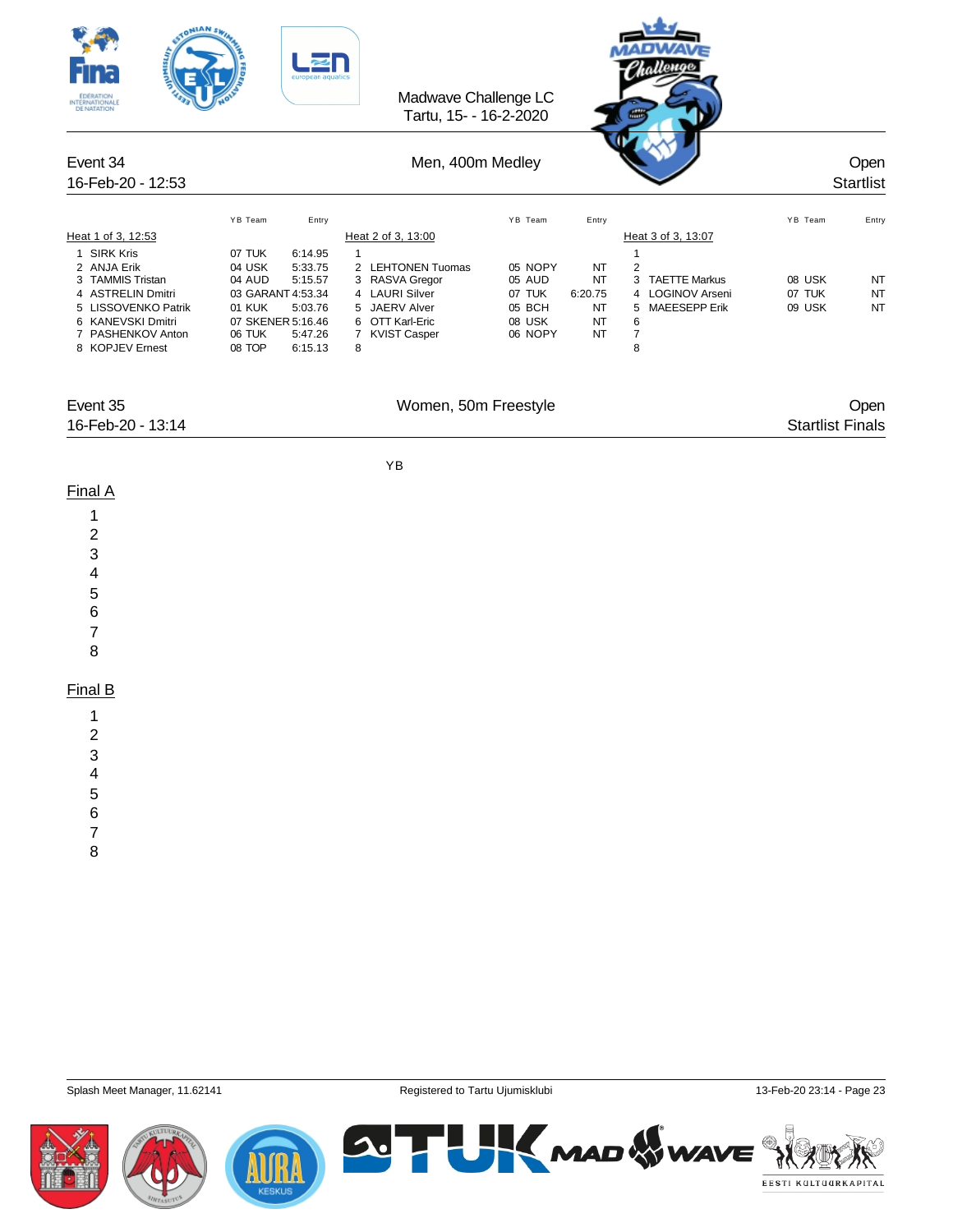| <b>TONIANSK</b><br>n.<br>INTERNATIONALE                                                                                                                                |                                                                                                                            | Madwave Challenge LC<br>Tartu, 15- - 16-2-2020                                              |                                                            |                                                                                                            |                            |                          |
|------------------------------------------------------------------------------------------------------------------------------------------------------------------------|----------------------------------------------------------------------------------------------------------------------------|---------------------------------------------------------------------------------------------|------------------------------------------------------------|------------------------------------------------------------------------------------------------------------|----------------------------|--------------------------|
| Event 34<br>16-Feb-20 - 12:53                                                                                                                                          |                                                                                                                            | Men, 400m Medley                                                                            |                                                            |                                                                                                            |                            | Open<br><b>Startlist</b> |
| Heat 1 of 3, 12:53<br>1 SIRK Kris<br>2 ANJA Erik                                                                                                                       | YB Team<br>Entry<br>07 TUK<br>6:14.95<br>04 USK<br>5:33.75                                                                 | Heat 2 of 3, 13:00<br>$\mathbf{1}$<br>2 LEHTONEN Tuomas                                     | YB Team<br>Entry<br>05 NOPY                                | Heat 3 of 3, 13:07<br>$\mathbf{1}$<br>$\sqrt{2}$<br>NT                                                     | YB Team                    | Entry                    |
| 3 TAMMIS Tristan<br>4 ASTRELIN Dmitri<br>5 LISSOVENKO Patrik<br>6 KANEVSKI Dmitri<br>7 PASHENKOV Anton<br>8 KOPJEV Ernest                                              | 04 AUD<br>5:15.57<br>03 GARANT 4:53.34<br>5:03.76<br>01 KUK<br>07 SKENER 5:16.46<br>06 TUK<br>5:47.26<br>08 TOP<br>6:15.13 | 3 RASVA Gregor<br>4 LAURI Silver<br>5 JAERV Alver<br>6 OTT Karl-Eric<br>7 KVIST Casper<br>8 | 05 AUD<br>07 TUK<br>6:20.75<br>05 BCH<br>08 USK<br>06 NOPY | 3 TAETTE Markus<br>NT<br>4 LOGINOV Arseni<br>5 MAEESEPP Erik<br>NT<br>NT<br>6<br>NT<br>$\overline{7}$<br>8 | 08 USK<br>07 TUK<br>09 USK | NT<br>NT<br>NT           |
| Event 35<br>16-Feb-20 - 13:14                                                                                                                                          |                                                                                                                            | Women, 50m Freestyle                                                                        |                                                            |                                                                                                            | <b>Startlist Finals</b>    | Open                     |
| Final A<br>1<br>2<br>3<br>4<br>5<br>6<br>$\boldsymbol{7}$<br>8<br>Final B<br>1<br>$\overline{\mathbf{c}}$<br>3<br>$\overline{\mathcal{A}}$<br>5<br>6<br>$\overline{7}$ |                                                                                                                            | YB                                                                                          |                                                            |                                                                                                            |                            |                          |
| 8                                                                                                                                                                      |                                                                                                                            |                                                                                             |                                                            |                                                                                                            |                            |                          |

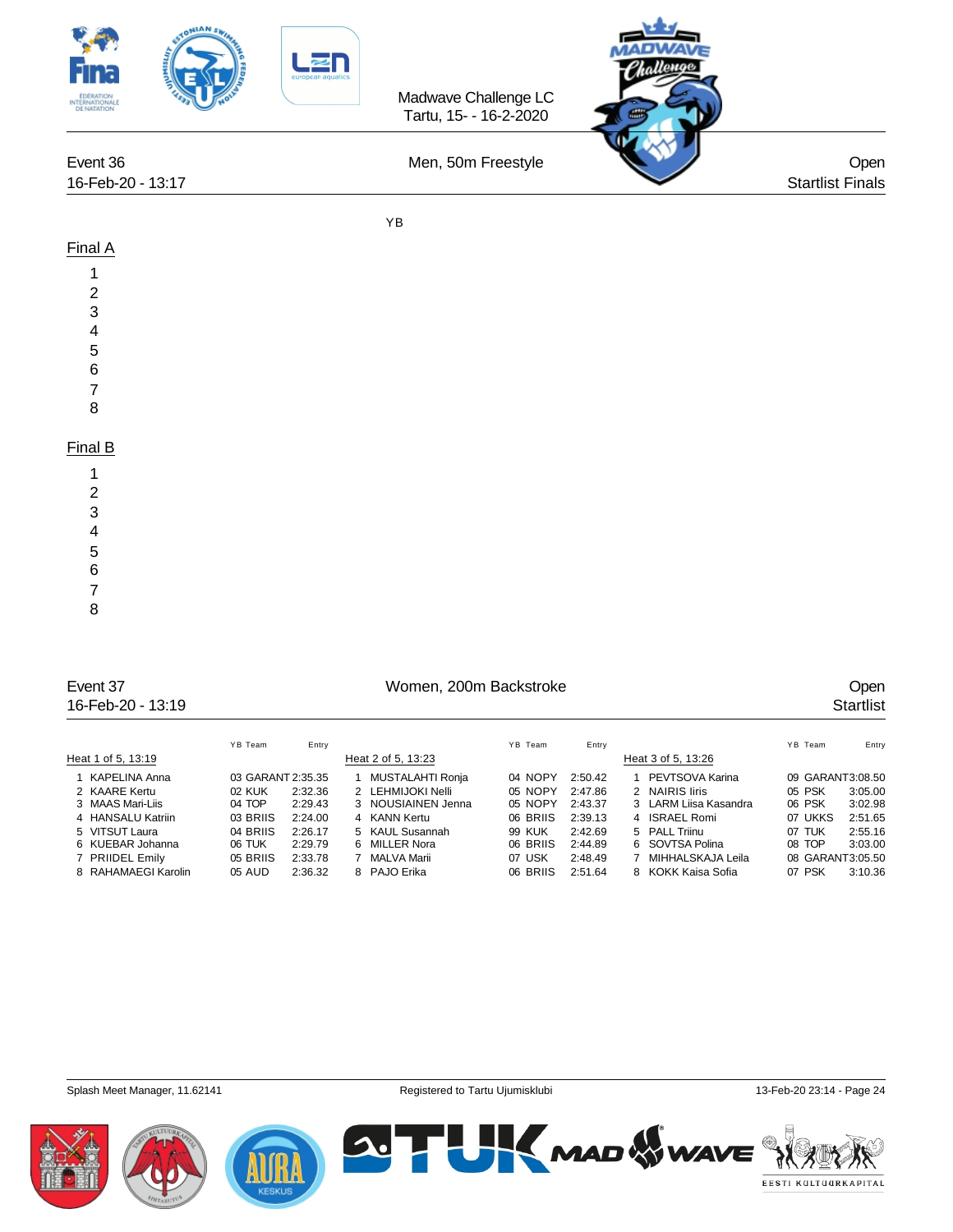

|                     | YB Team           | Entry   |                    | YB Team  | Entry   |                       | YB Team          | Entry   |
|---------------------|-------------------|---------|--------------------|----------|---------|-----------------------|------------------|---------|
| Heat 1 of 5, 13:19  |                   |         | Heat 2 of 5, 13:23 |          |         | Heat 3 of 5, 13:26    |                  |         |
| 1 KAPELINA Anna     | 03 GARANT 2:35.35 |         | MUSTALAHTI Ronja   | 04 NOPY  | 2:50.42 | PEVTSOVA Karina       | 09 GARANT3:08.50 |         |
| 2 KAARE Kertu       | 02 KUK            | 2:32.36 | 2 LEHMIJOKI Nelli  | 05 NOPY  | 2:47.86 | 2 NAIRIS liris        | 05 PSK           | 3:05.00 |
| 3 MAAS Mari-Liis    | 04 TOP            | 2:29.43 | 3 NOUSIAINEN Jenna | 05 NOPY  | 2:43.37 | 3 LARM Liisa Kasandra | 06 PSK           | 3:02.98 |
| 4 HANSALU Katriin   | 03 BRIIS          | 2:24.00 | 4 KANN Kertu       | 06 BRIIS | 2:39.13 | 4 ISRAEL Romi         | 07 UKKS          | 2:51.65 |
| 5 VITSUT Laura      | 04 BRIIS          | 2:26.17 | 5 KAUL Susannah    | 99 KUK   | 2:42.69 | 5 PALL Triinu         | 07 TUK           | 2:55.16 |
| 6 KUEBAR Johanna    | 06 TUK            | 2:29.79 | 6 MILLER Nora      | 06 BRIIS | 2:44.89 | 6 SOVTSA Polina       | 08 TOP           | 3:03.00 |
| 7 PRIIDEL Emily     | 05 BRIIS          | 2:33.78 | MALVA Marii        | 07 USK   | 2:48.49 | MIHHALSKAJA Leila     | 08 GARANT3:05.50 |         |
| 8 RAHAMAEGI Karolin | 05 AUD            | 2:36.32 | 8 PAJO Erika       | 06 BRIIS | 2:51.64 | 8 KOKK Kaisa Sofia    | 07 PSK           | 3:10.36 |